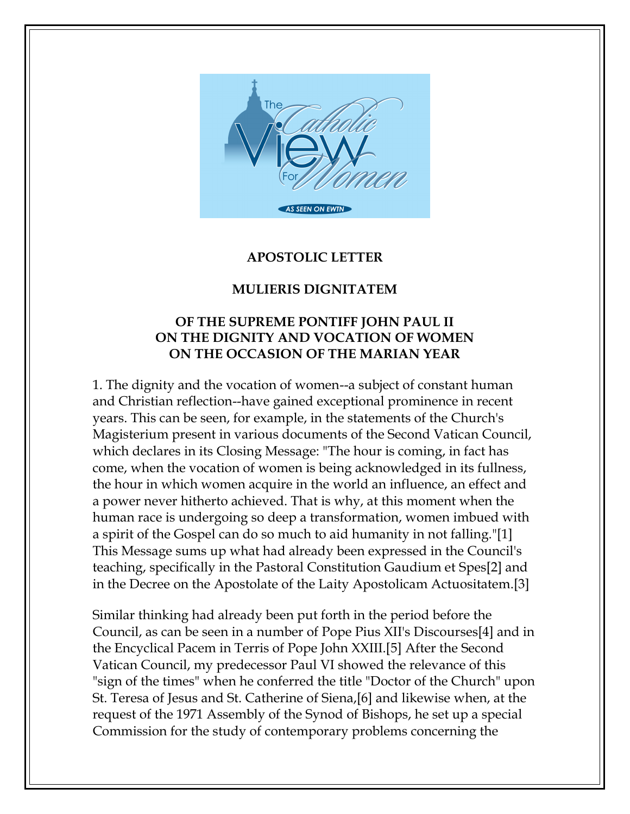

## **APOSTOLIC LETTER**

## **MULIERIS DIGNITATEM**

## **OF THE SUPREME PONTIFF JOHN PAUL II ON THE DIGNITY AND VOCATION OF WOMEN ON THE OCCASION OF THE MARIAN YEAR**

1. The dignity and the vocation of women--a subject of constant human and Christian reflection--have gained exceptional prominence in recent years. This can be seen, for example, in the statements of the Church's Magisterium present in various documents of the Second Vatican Council, which declares in its Closing Message: "The hour is coming, in fact has come, when the vocation of women is being acknowledged in its fullness, the hour in which women acquire in the world an influence, an effect and a power never hitherto achieved. That is why, at this moment when the human race is undergoing so deep a transformation, women imbued with a spirit of the Gospel can do so much to aid humanity in not falling."[1] This Message sums up what had already been expressed in the Council's teaching, specifically in the Pastoral Constitution Gaudium et Spes[2] and in the Decree on the Apostolate of the Laity Apostolicam Actuositatem.[3]

Similar thinking had already been put forth in the period before the Council, as can be seen in a number of Pope Pius XII's Discourses[4] and in the Encyclical Pacem in Terris of Pope John XXIII.[5] After the Second Vatican Council, my predecessor Paul VI showed the relevance of this "sign of the times" when he conferred the title "Doctor of the Church" upon St. Teresa of Jesus and St. Catherine of Siena,[6] and likewise when, at the request of the 1971 Assembly of the Synod of Bishops, he set up a special Commission for the study of contemporary problems concerning the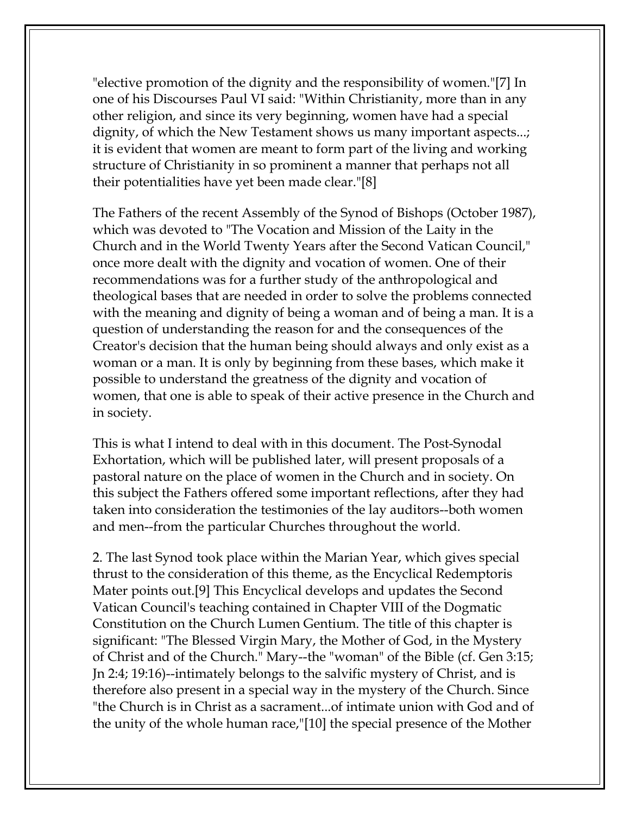"elective promotion of the dignity and the responsibility of women."[7] In one of his Discourses Paul VI said: "Within Christianity, more than in any other religion, and since its very beginning, women have had a special dignity, of which the New Testament shows us many important aspects...; it is evident that women are meant to form part of the living and working structure of Christianity in so prominent a manner that perhaps not all their potentialities have yet been made clear."[8]

The Fathers of the recent Assembly of the Synod of Bishops (October 1987), which was devoted to "The Vocation and Mission of the Laity in the Church and in the World Twenty Years after the Second Vatican Council," once more dealt with the dignity and vocation of women. One of their recommendations was for a further study of the anthropological and theological bases that are needed in order to solve the problems connected with the meaning and dignity of being a woman and of being a man. It is a question of understanding the reason for and the consequences of the Creator's decision that the human being should always and only exist as a woman or a man. It is only by beginning from these bases, which make it possible to understand the greatness of the dignity and vocation of women, that one is able to speak of their active presence in the Church and in society.

This is what I intend to deal with in this document. The Post-Synodal Exhortation, which will be published later, will present proposals of a pastoral nature on the place of women in the Church and in society. On this subject the Fathers offered some important reflections, after they had taken into consideration the testimonies of the lay auditors--both women and men--from the particular Churches throughout the world.

2. The last Synod took place within the Marian Year, which gives special thrust to the consideration of this theme, as the Encyclical Redemptoris Mater points out.[9] This Encyclical develops and updates the Second Vatican Council's teaching contained in Chapter VIII of the Dogmatic Constitution on the Church Lumen Gentium. The title of this chapter is significant: "The Blessed Virgin Mary, the Mother of God, in the Mystery of Christ and of the Church." Mary--the "woman" of the Bible (cf. Gen 3:15; Jn 2:4; 19:16)--intimately belongs to the salvific mystery of Christ, and is therefore also present in a special way in the mystery of the Church. Since "the Church is in Christ as a sacrament...of intimate union with God and of the unity of the whole human race,"[10] the special presence of the Mother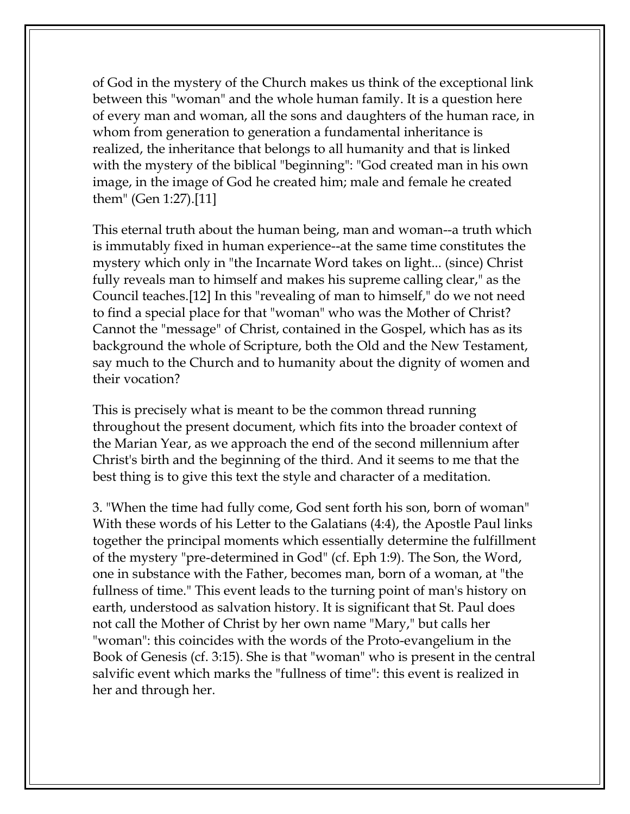of God in the mystery of the Church makes us think of the exceptional link between this "woman" and the whole human family. It is a question here of every man and woman, all the sons and daughters of the human race, in whom from generation to generation a fundamental inheritance is realized, the inheritance that belongs to all humanity and that is linked with the mystery of the biblical "beginning": "God created man in his own image, in the image of God he created him; male and female he created them" (Gen 1:27).[11]

This eternal truth about the human being, man and woman--a truth which is immutably fixed in human experience--at the same time constitutes the mystery which only in "the Incarnate Word takes on light... (since) Christ fully reveals man to himself and makes his supreme calling clear," as the Council teaches.[12] In this "revealing of man to himself," do we not need to find a special place for that "woman" who was the Mother of Christ? Cannot the "message" of Christ, contained in the Gospel, which has as its background the whole of Scripture, both the Old and the New Testament, say much to the Church and to humanity about the dignity of women and their vocation?

This is precisely what is meant to be the common thread running throughout the present document, which fits into the broader context of the Marian Year, as we approach the end of the second millennium after Christ's birth and the beginning of the third. And it seems to me that the best thing is to give this text the style and character of a meditation.

3. "When the time had fully come, God sent forth his son, born of woman" With these words of his Letter to the Galatians (4:4), the Apostle Paul links together the principal moments which essentially determine the fulfillment of the mystery "pre-determined in God" (cf. Eph 1:9). The Son, the Word, one in substance with the Father, becomes man, born of a woman, at "the fullness of time." This event leads to the turning point of man's history on earth, understood as salvation history. It is significant that St. Paul does not call the Mother of Christ by her own name "Mary," but calls her "woman": this coincides with the words of the Proto-evangelium in the Book of Genesis (cf. 3:15). She is that "woman" who is present in the central salvific event which marks the "fullness of time": this event is realized in her and through her.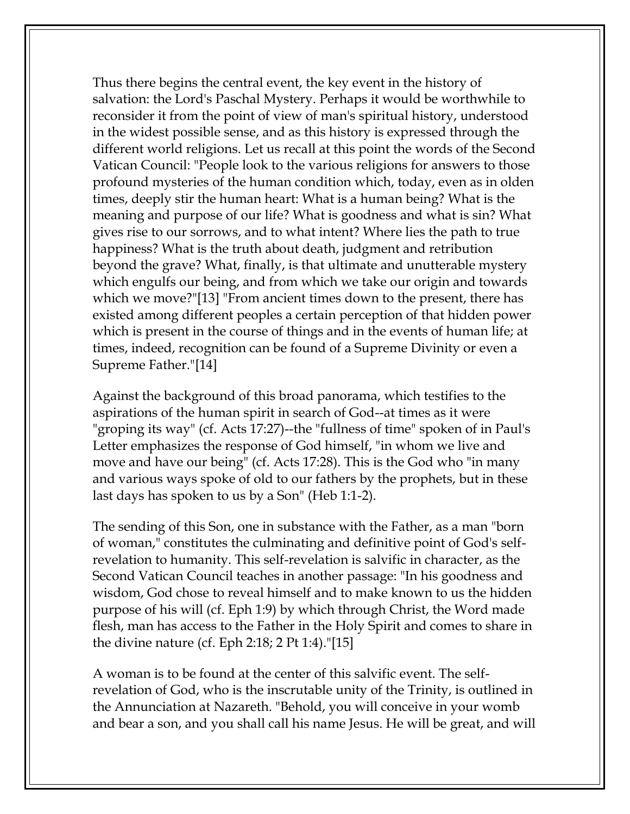Thus there begins the central event, the key event in the history of salvation: the Lord's Paschal Mystery. Perhaps it would be worthwhile to reconsider it from the point of view of man's spiritual history, understood in the widest possible sense, and as this history is expressed through the different world religions. Let us recall at this point the words of the Second Vatican Council: "People look to the various religions for answers to those profound mysteries of the human condition which, today, even as in olden times, deeply stir the human heart: What is a human being? What is the meaning and purpose of our life? What is goodness and what is sin? What gives rise to our sorrows, and to what intent? Where lies the path to true happiness? What is the truth about death, judgment and retribution beyond the grave? What, finally, is that ultimate and unutterable mystery which engulfs our being, and from which we take our origin and towards which we move?"[13] "From ancient times down to the present, there has existed among different peoples a certain perception of that hidden power which is present in the course of things and in the events of human life; at times, indeed, recognition can be found of a Supreme Divinity or even a Supreme Father."[14]

Against the background of this broad panorama, which testifies to the aspirations of the human spirit in search of God--at times as it were "groping its way" (cf. Acts 17:27)--the "fullness of time" spoken of in Paul's Letter emphasizes the response of God himself, "in whom we live and move and have our being" (cf. Acts 17:28). This is the God who "in many and various ways spoke of old to our fathers by the prophets, but in these last days has spoken to us by a Son" (Heb 1:1-2).

The sending of this Son, one in substance with the Father, as a man "born of woman," constitutes the culminating and definitive point of God's selfrevelation to humanity. This self-revelation is salvific in character, as the Second Vatican Council teaches in another passage: "In his goodness and wisdom, God chose to reveal himself and to make known to us the hidden purpose of his will (cf. Eph 1:9) by which through Christ, the Word made flesh, man has access to the Father in the Holy Spirit and comes to share in the divine nature (cf. Eph 2:18; 2 Pt 1:4)."[15]

A woman is to be found at the center of this salvific event. The selfrevelation of God, who is the inscrutable unity of the Trinity, is outlined in the Annunciation at Nazareth. "Behold, you will conceive in your womb and bear a son, and you shall call his name Jesus. He will be great, and will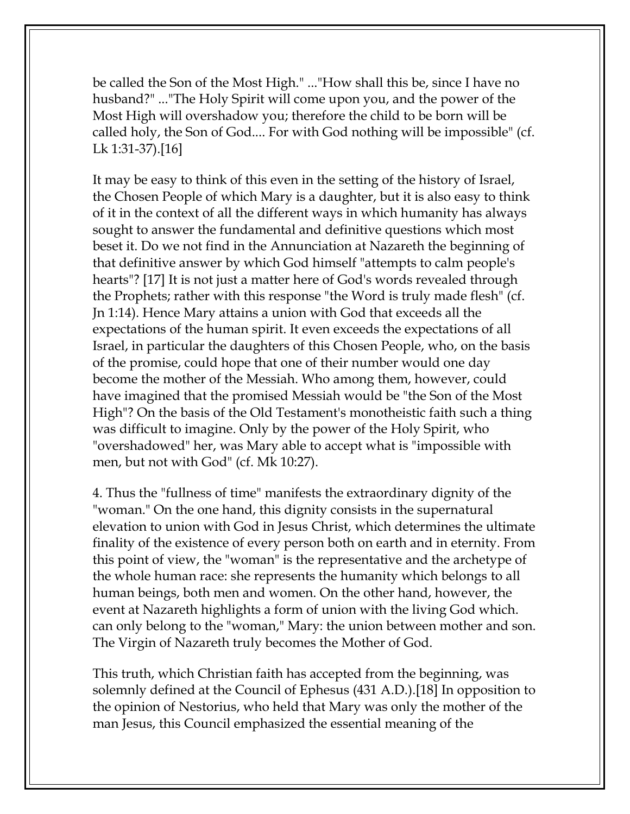be called the Son of the Most High." ..."How shall this be, since I have no husband?" ..."The Holy Spirit will come upon you, and the power of the Most High will overshadow you; therefore the child to be born will be called holy, the Son of God.... For with God nothing will be impossible" (cf. Lk 1:31-37).[16]

It may be easy to think of this even in the setting of the history of Israel, the Chosen People of which Mary is a daughter, but it is also easy to think of it in the context of all the different ways in which humanity has always sought to answer the fundamental and definitive questions which most beset it. Do we not find in the Annunciation at Nazareth the beginning of that definitive answer by which God himself "attempts to calm people's hearts"? [17] It is not just a matter here of God's words revealed through the Prophets; rather with this response "the Word is truly made flesh" (cf. Jn 1:14). Hence Mary attains a union with God that exceeds all the expectations of the human spirit. It even exceeds the expectations of all Israel, in particular the daughters of this Chosen People, who, on the basis of the promise, could hope that one of their number would one day become the mother of the Messiah. Who among them, however, could have imagined that the promised Messiah would be "the Son of the Most High"? On the basis of the Old Testament's monotheistic faith such a thing was difficult to imagine. Only by the power of the Holy Spirit, who "overshadowed" her, was Mary able to accept what is "impossible with men, but not with God" (cf. Mk 10:27).

4. Thus the "fullness of time" manifests the extraordinary dignity of the "woman." On the one hand, this dignity consists in the supernatural elevation to union with God in Jesus Christ, which determines the ultimate finality of the existence of every person both on earth and in eternity. From this point of view, the "woman" is the representative and the archetype of the whole human race: she represents the humanity which belongs to all human beings, both men and women. On the other hand, however, the event at Nazareth highlights a form of union with the living God which. can only belong to the "woman," Mary: the union between mother and son. The Virgin of Nazareth truly becomes the Mother of God.

This truth, which Christian faith has accepted from the beginning, was solemnly defined at the Council of Ephesus (431 A.D.).[18] In opposition to the opinion of Nestorius, who held that Mary was only the mother of the man Jesus, this Council emphasized the essential meaning of the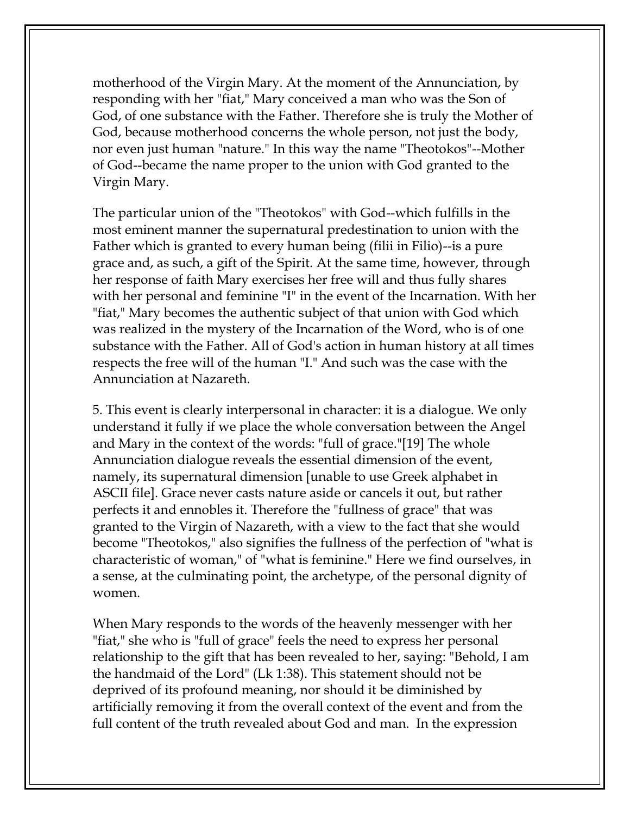motherhood of the Virgin Mary. At the moment of the Annunciation, by responding with her "fiat," Mary conceived a man who was the Son of God, of one substance with the Father. Therefore she is truly the Mother of God, because motherhood concerns the whole person, not just the body, nor even just human "nature." In this way the name "Theotokos"--Mother of God--became the name proper to the union with God granted to the Virgin Mary.

The particular union of the "Theotokos" with God--which fulfills in the most eminent manner the supernatural predestination to union with the Father which is granted to every human being (filii in Filio)--is a pure grace and, as such, a gift of the Spirit. At the same time, however, through her response of faith Mary exercises her free will and thus fully shares with her personal and feminine "I" in the event of the Incarnation. With her "fiat," Mary becomes the authentic subject of that union with God which was realized in the mystery of the Incarnation of the Word, who is of one substance with the Father. All of God's action in human history at all times respects the free will of the human "I." And such was the case with the Annunciation at Nazareth.

5. This event is clearly interpersonal in character: it is a dialogue. We only understand it fully if we place the whole conversation between the Angel and Mary in the context of the words: "full of grace."[19] The whole Annunciation dialogue reveals the essential dimension of the event, namely, its supernatural dimension [unable to use Greek alphabet in ASCII file]. Grace never casts nature aside or cancels it out, but rather perfects it and ennobles it. Therefore the "fullness of grace" that was granted to the Virgin of Nazareth, with a view to the fact that she would become "Theotokos," also signifies the fullness of the perfection of "what is characteristic of woman," of "what is feminine." Here we find ourselves, in a sense, at the culminating point, the archetype, of the personal dignity of women.

When Mary responds to the words of the heavenly messenger with her "fiat," she who is "full of grace" feels the need to express her personal relationship to the gift that has been revealed to her, saying: "Behold, I am the handmaid of the Lord" (Lk 1:38). This statement should not be deprived of its profound meaning, nor should it be diminished by artificially removing it from the overall context of the event and from the full content of the truth revealed about God and man. In the expression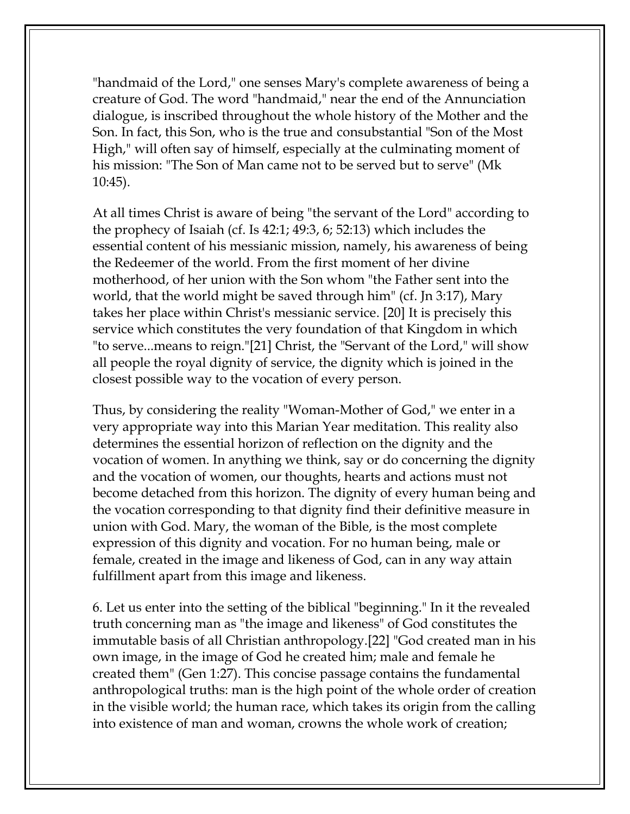"handmaid of the Lord," one senses Mary's complete awareness of being a creature of God. The word "handmaid," near the end of the Annunciation dialogue, is inscribed throughout the whole history of the Mother and the Son. In fact, this Son, who is the true and consubstantial "Son of the Most High," will often say of himself, especially at the culminating moment of his mission: "The Son of Man came not to be served but to serve" (Mk 10:45).

At all times Christ is aware of being "the servant of the Lord" according to the prophecy of Isaiah (cf. Is 42:1; 49:3, 6; 52:13) which includes the essential content of his messianic mission, namely, his awareness of being the Redeemer of the world. From the first moment of her divine motherhood, of her union with the Son whom "the Father sent into the world, that the world might be saved through him" (cf. Jn 3:17), Mary takes her place within Christ's messianic service. [20] It is precisely this service which constitutes the very foundation of that Kingdom in which "to serve...means to reign."[21] Christ, the "Servant of the Lord," will show all people the royal dignity of service, the dignity which is joined in the closest possible way to the vocation of every person.

Thus, by considering the reality "Woman-Mother of God," we enter in a very appropriate way into this Marian Year meditation. This reality also determines the essential horizon of reflection on the dignity and the vocation of women. In anything we think, say or do concerning the dignity and the vocation of women, our thoughts, hearts and actions must not become detached from this horizon. The dignity of every human being and the vocation corresponding to that dignity find their definitive measure in union with God. Mary, the woman of the Bible, is the most complete expression of this dignity and vocation. For no human being, male or female, created in the image and likeness of God, can in any way attain fulfillment apart from this image and likeness.

6. Let us enter into the setting of the biblical "beginning." In it the revealed truth concerning man as "the image and likeness" of God constitutes the immutable basis of all Christian anthropology.[22] "God created man in his own image, in the image of God he created him; male and female he created them" (Gen 1:27). This concise passage contains the fundamental anthropological truths: man is the high point of the whole order of creation in the visible world; the human race, which takes its origin from the calling into existence of man and woman, crowns the whole work of creation;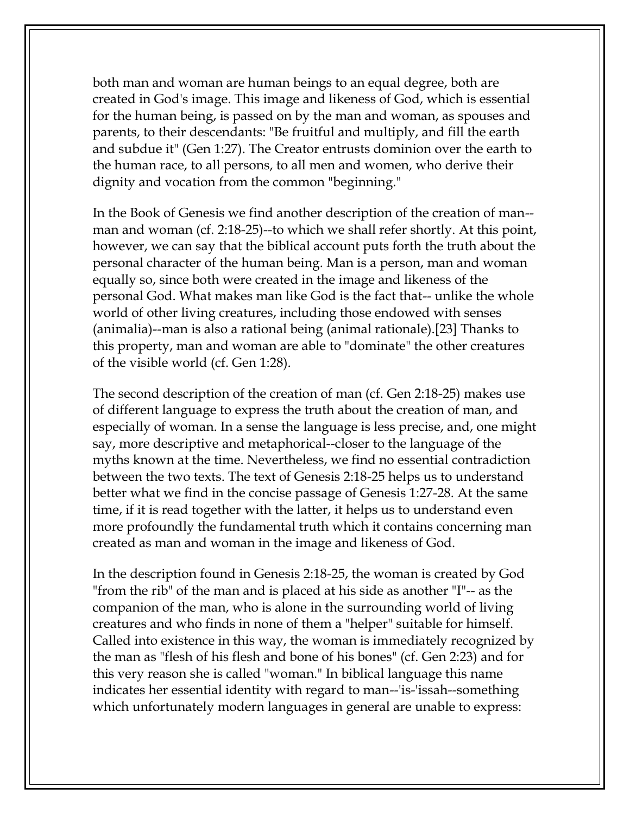both man and woman are human beings to an equal degree, both are created in God's image. This image and likeness of God, which is essential for the human being, is passed on by the man and woman, as spouses and parents, to their descendants: "Be fruitful and multiply, and fill the earth and subdue it" (Gen 1:27). The Creator entrusts dominion over the earth to the human race, to all persons, to all men and women, who derive their dignity and vocation from the common "beginning."

In the Book of Genesis we find another description of the creation of man- man and woman (cf. 2:18-25)--to which we shall refer shortly. At this point, however, we can say that the biblical account puts forth the truth about the personal character of the human being. Man is a person, man and woman equally so, since both were created in the image and likeness of the personal God. What makes man like God is the fact that-- unlike the whole world of other living creatures, including those endowed with senses (animalia)--man is also a rational being (animal rationale).[23] Thanks to this property, man and woman are able to "dominate" the other creatures of the visible world (cf. Gen 1:28).

The second description of the creation of man (cf. Gen 2:18-25) makes use of different language to express the truth about the creation of man, and especially of woman. In a sense the language is less precise, and, one might say, more descriptive and metaphorical--closer to the language of the myths known at the time. Nevertheless, we find no essential contradiction between the two texts. The text of Genesis 2:18-25 helps us to understand better what we find in the concise passage of Genesis 1:27-28. At the same time, if it is read together with the latter, it helps us to understand even more profoundly the fundamental truth which it contains concerning man created as man and woman in the image and likeness of God.

In the description found in Genesis 2:18-25, the woman is created by God "from the rib" of the man and is placed at his side as another "I"-- as the companion of the man, who is alone in the surrounding world of living creatures and who finds in none of them a "helper" suitable for himself. Called into existence in this way, the woman is immediately recognized by the man as "flesh of his flesh and bone of his bones" (cf. Gen 2:23) and for this very reason she is called "woman." In biblical language this name indicates her essential identity with regard to man--'is-'issah--something which unfortunately modern languages in general are unable to express: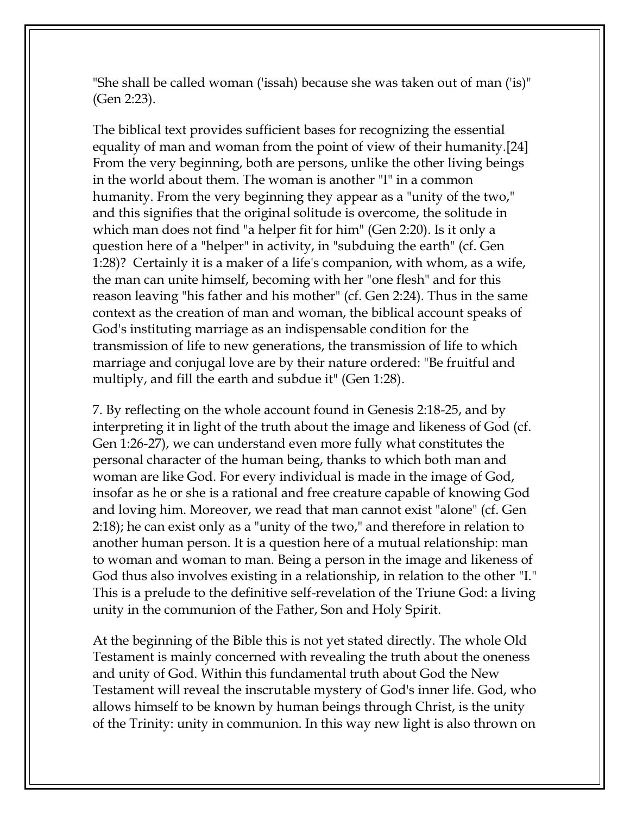"She shall be called woman ('issah) because she was taken out of man ('is)" (Gen 2:23).

The biblical text provides sufficient bases for recognizing the essential equality of man and woman from the point of view of their humanity.[24] From the very beginning, both are persons, unlike the other living beings in the world about them. The woman is another "I" in a common humanity. From the very beginning they appear as a "unity of the two," and this signifies that the original solitude is overcome, the solitude in which man does not find "a helper fit for him" (Gen 2:20). Is it only a question here of a "helper" in activity, in "subduing the earth" (cf. Gen 1:28)? Certainly it is a maker of a life's companion, with whom, as a wife, the man can unite himself, becoming with her "one flesh" and for this reason leaving "his father and his mother" (cf. Gen 2:24). Thus in the same context as the creation of man and woman, the biblical account speaks of God's instituting marriage as an indispensable condition for the transmission of life to new generations, the transmission of life to which marriage and conjugal love are by their nature ordered: "Be fruitful and multiply, and fill the earth and subdue it" (Gen 1:28).

7. By reflecting on the whole account found in Genesis 2:18-25, and by interpreting it in light of the truth about the image and likeness of God (cf. Gen 1:26-27), we can understand even more fully what constitutes the personal character of the human being, thanks to which both man and woman are like God. For every individual is made in the image of God, insofar as he or she is a rational and free creature capable of knowing God and loving him. Moreover, we read that man cannot exist "alone" (cf. Gen 2:18); he can exist only as a "unity of the two," and therefore in relation to another human person. It is a question here of a mutual relationship: man to woman and woman to man. Being a person in the image and likeness of God thus also involves existing in a relationship, in relation to the other "I." This is a prelude to the definitive self-revelation of the Triune God: a living unity in the communion of the Father, Son and Holy Spirit.

At the beginning of the Bible this is not yet stated directly. The whole Old Testament is mainly concerned with revealing the truth about the oneness and unity of God. Within this fundamental truth about God the New Testament will reveal the inscrutable mystery of God's inner life. God, who allows himself to be known by human beings through Christ, is the unity of the Trinity: unity in communion. In this way new light is also thrown on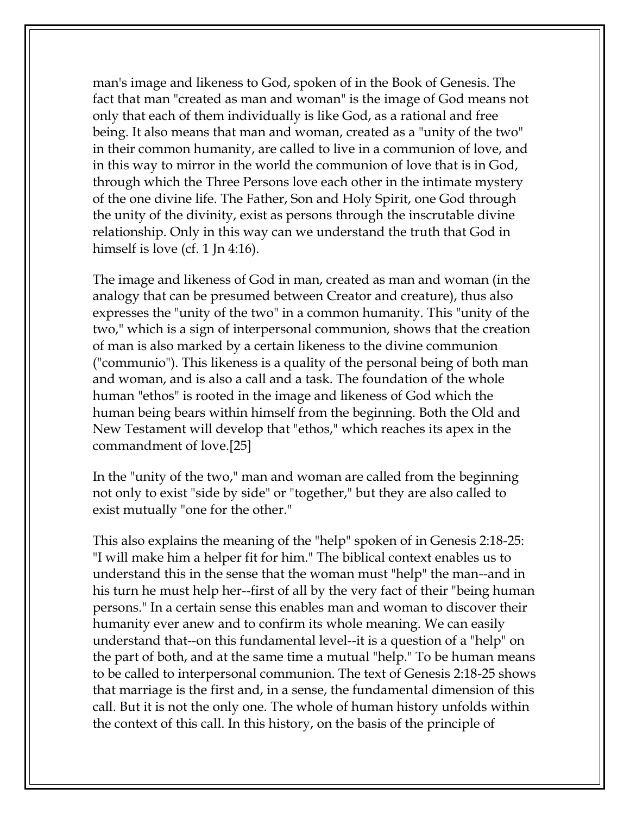man's image and likeness to God, spoken of in the Book of Genesis. The fact that man "created as man and woman" is the image of God means not only that each of them individually is like God, as a rational and free being. It also means that man and woman, created as a "unity of the two" in their common humanity, are called to live in a communion of love, and in this way to mirror in the world the communion of love that is in God, through which the Three Persons love each other in the intimate mystery of the one divine life. The Father, Son and Holy Spirit, one God through the unity of the divinity, exist as persons through the inscrutable divine relationship. Only in this way can we understand the truth that God in himself is love (cf. 1 Jn 4:16).

The image and likeness of God in man, created as man and woman (in the analogy that can be presumed between Creator and creature), thus also expresses the "unity of the two" in a common humanity. This "unity of the two," which is a sign of interpersonal communion, shows that the creation of man is also marked by a certain likeness to the divine communion ("communio"). This likeness is a quality of the personal being of both man and woman, and is also a call and a task. The foundation of the whole human "ethos" is rooted in the image and likeness of God which the human being bears within himself from the beginning. Both the Old and New Testament will develop that "ethos," which reaches its apex in the commandment of love.[25]

In the "unity of the two," man and woman are called from the beginning not only to exist "side by side" or "together," but they are also called to exist mutually "one for the other."

This also explains the meaning of the "help" spoken of in Genesis 2:18-25: "I will make him a helper fit for him." The biblical context enables us to understand this in the sense that the woman must "help" the man--and in his turn he must help her--first of all by the very fact of their "being human persons." In a certain sense this enables man and woman to discover their humanity ever anew and to confirm its whole meaning. We can easily understand that--on this fundamental level--it is a question of a "help" on the part of both, and at the same time a mutual "help." To be human means to be called to interpersonal communion. The text of Genesis 2:18-25 shows that marriage is the first and, in a sense, the fundamental dimension of this call. But it is not the only one. The whole of human history unfolds within the context of this call. In this history, on the basis of the principle of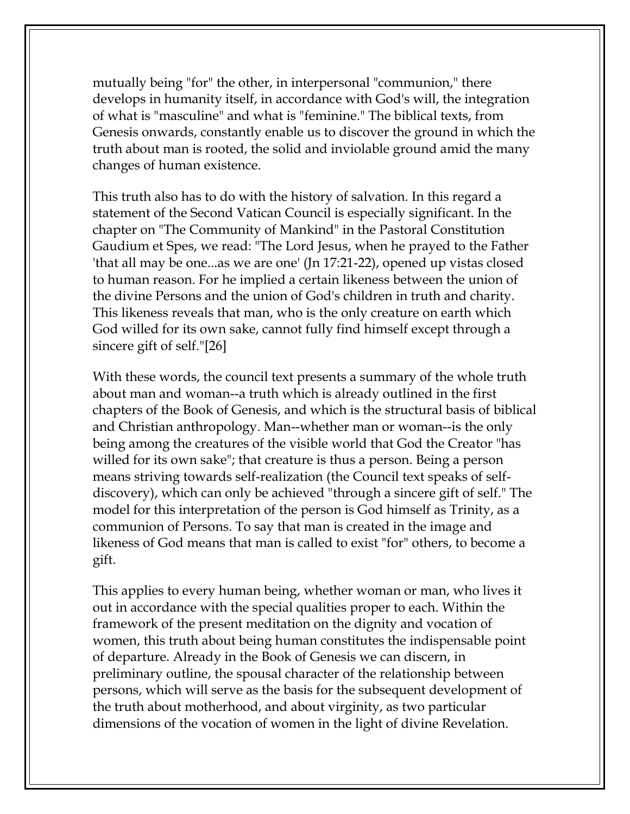mutually being "for" the other, in interpersonal "communion," there develops in humanity itself, in accordance with God's will, the integration of what is "masculine" and what is "feminine." The biblical texts, from Genesis onwards, constantly enable us to discover the ground in which the truth about man is rooted, the solid and inviolable ground amid the many changes of human existence.

This truth also has to do with the history of salvation. In this regard a statement of the Second Vatican Council is especially significant. In the chapter on "The Community of Mankind" in the Pastoral Constitution Gaudium et Spes, we read: "The Lord Jesus, when he prayed to the Father 'that all may be one...as we are one' (Jn 17:21-22), opened up vistas closed to human reason. For he implied a certain likeness between the union of the divine Persons and the union of God's children in truth and charity. This likeness reveals that man, who is the only creature on earth which God willed for its own sake, cannot fully find himself except through a sincere gift of self."[26]

With these words, the council text presents a summary of the whole truth about man and woman--a truth which is already outlined in the first chapters of the Book of Genesis, and which is the structural basis of biblical and Christian anthropology. Man--whether man or woman--is the only being among the creatures of the visible world that God the Creator "has willed for its own sake"; that creature is thus a person. Being a person means striving towards self-realization (the Council text speaks of selfdiscovery), which can only be achieved "through a sincere gift of self." The model for this interpretation of the person is God himself as Trinity, as a communion of Persons. To say that man is created in the image and likeness of God means that man is called to exist "for" others, to become a gift.

This applies to every human being, whether woman or man, who lives it out in accordance with the special qualities proper to each. Within the framework of the present meditation on the dignity and vocation of women, this truth about being human constitutes the indispensable point of departure. Already in the Book of Genesis we can discern, in preliminary outline, the spousal character of the relationship between persons, which will serve as the basis for the subsequent development of the truth about motherhood, and about virginity, as two particular dimensions of the vocation of women in the light of divine Revelation.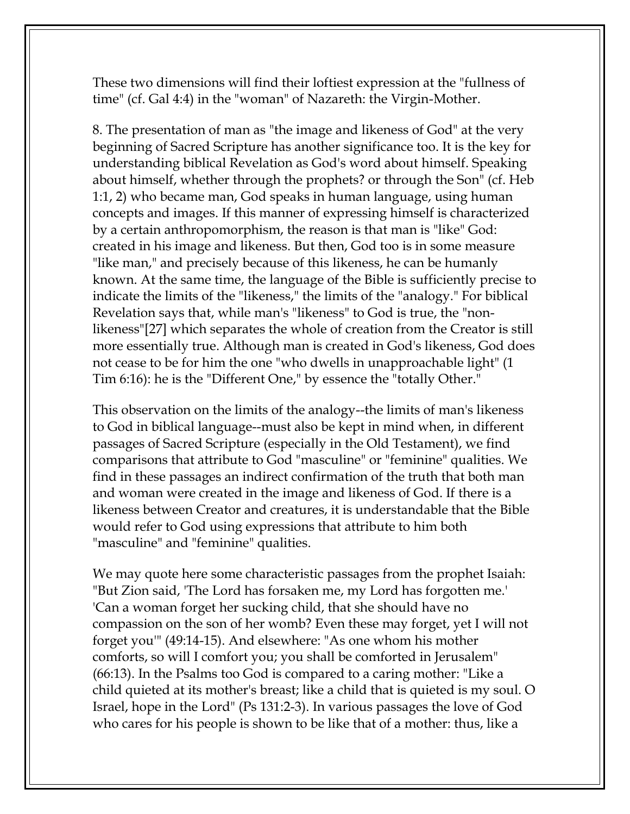These two dimensions will find their loftiest expression at the "fullness of time" (cf. Gal 4:4) in the "woman" of Nazareth: the Virgin-Mother.

8. The presentation of man as "the image and likeness of God" at the very beginning of Sacred Scripture has another significance too. It is the key for understanding biblical Revelation as God's word about himself. Speaking about himself, whether through the prophets? or through the Son" (cf. Heb 1:1, 2) who became man, God speaks in human language, using human concepts and images. If this manner of expressing himself is characterized by a certain anthropomorphism, the reason is that man is "like" God: created in his image and likeness. But then, God too is in some measure "like man," and precisely because of this likeness, he can be humanly known. At the same time, the language of the Bible is sufficiently precise to indicate the limits of the "likeness," the limits of the "analogy." For biblical Revelation says that, while man's "likeness" to God is true, the "nonlikeness"[27] which separates the whole of creation from the Creator is still more essentially true. Although man is created in God's likeness, God does not cease to be for him the one "who dwells in unapproachable light" (1 Tim 6:16): he is the "Different One," by essence the "totally Other."

This observation on the limits of the analogy--the limits of man's likeness to God in biblical language--must also be kept in mind when, in different passages of Sacred Scripture (especially in the Old Testament), we find comparisons that attribute to God "masculine" or "feminine" qualities. We find in these passages an indirect confirmation of the truth that both man and woman were created in the image and likeness of God. If there is a likeness between Creator and creatures, it is understandable that the Bible would refer to God using expressions that attribute to him both "masculine" and "feminine" qualities.

We may quote here some characteristic passages from the prophet Isaiah: "But Zion said, 'The Lord has forsaken me, my Lord has forgotten me.' 'Can a woman forget her sucking child, that she should have no compassion on the son of her womb? Even these may forget, yet I will not forget you'" (49:14-15). And elsewhere: "As one whom his mother comforts, so will I comfort you; you shall be comforted in Jerusalem" (66:13). In the Psalms too God is compared to a caring mother: "Like a child quieted at its mother's breast; like a child that is quieted is my soul. O Israel, hope in the Lord" (Ps 131:2-3). In various passages the love of God who cares for his people is shown to be like that of a mother: thus, like a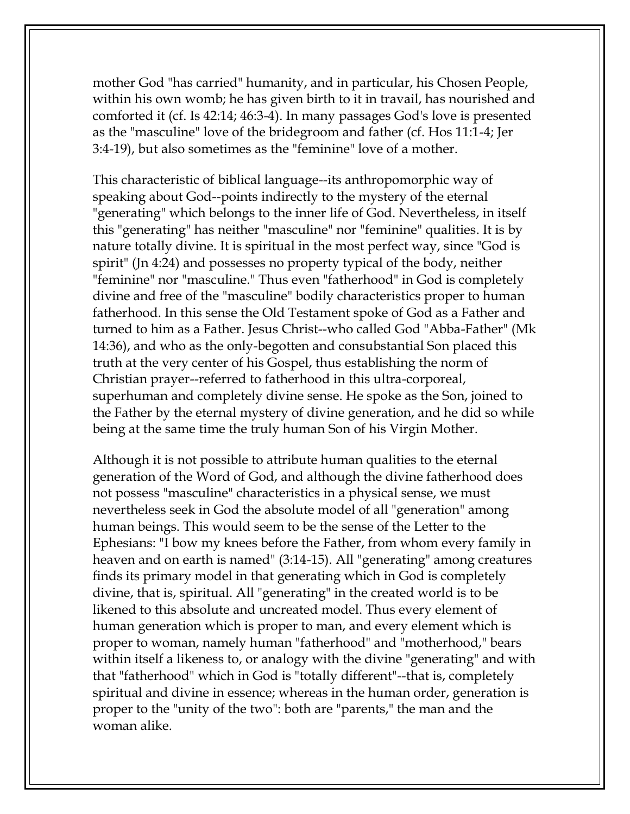mother God "has carried" humanity, and in particular, his Chosen People, within his own womb; he has given birth to it in travail, has nourished and comforted it (cf. Is 42:14; 46:3-4). In many passages God's love is presented as the "masculine" love of the bridegroom and father (cf. Hos 11:1-4; Jer 3:4-19), but also sometimes as the "feminine" love of a mother.

This characteristic of biblical language--its anthropomorphic way of speaking about God--points indirectly to the mystery of the eternal "generating" which belongs to the inner life of God. Nevertheless, in itself this "generating" has neither "masculine" nor "feminine" qualities. It is by nature totally divine. It is spiritual in the most perfect way, since "God is spirit" (Jn 4:24) and possesses no property typical of the body, neither "feminine" nor "masculine." Thus even "fatherhood" in God is completely divine and free of the "masculine" bodily characteristics proper to human fatherhood. In this sense the Old Testament spoke of God as a Father and turned to him as a Father. Jesus Christ--who called God "Abba-Father" (Mk 14:36), and who as the only-begotten and consubstantial Son placed this truth at the very center of his Gospel, thus establishing the norm of Christian prayer--referred to fatherhood in this ultra-corporeal, superhuman and completely divine sense. He spoke as the Son, joined to the Father by the eternal mystery of divine generation, and he did so while being at the same time the truly human Son of his Virgin Mother.

Although it is not possible to attribute human qualities to the eternal generation of the Word of God, and although the divine fatherhood does not possess "masculine" characteristics in a physical sense, we must nevertheless seek in God the absolute model of all "generation" among human beings. This would seem to be the sense of the Letter to the Ephesians: "I bow my knees before the Father, from whom every family in heaven and on earth is named" (3:14-15). All "generating" among creatures finds its primary model in that generating which in God is completely divine, that is, spiritual. All "generating" in the created world is to be likened to this absolute and uncreated model. Thus every element of human generation which is proper to man, and every element which is proper to woman, namely human "fatherhood" and "motherhood," bears within itself a likeness to, or analogy with the divine "generating" and with that "fatherhood" which in God is "totally different"--that is, completely spiritual and divine in essence; whereas in the human order, generation is proper to the "unity of the two": both are "parents," the man and the woman alike.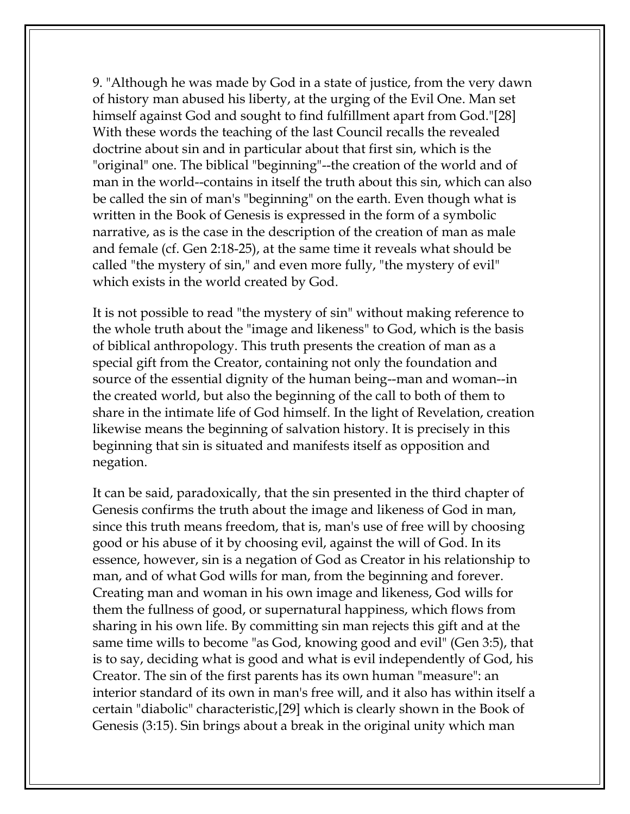9. "Although he was made by God in a state of justice, from the very dawn of history man abused his liberty, at the urging of the Evil One. Man set himself against God and sought to find fulfillment apart from God."[28] With these words the teaching of the last Council recalls the revealed doctrine about sin and in particular about that first sin, which is the "original" one. The biblical "beginning"--the creation of the world and of man in the world--contains in itself the truth about this sin, which can also be called the sin of man's "beginning" on the earth. Even though what is written in the Book of Genesis is expressed in the form of a symbolic narrative, as is the case in the description of the creation of man as male and female (cf. Gen 2:18-25), at the same time it reveals what should be called "the mystery of sin," and even more fully, "the mystery of evil" which exists in the world created by God.

It is not possible to read "the mystery of sin" without making reference to the whole truth about the "image and likeness" to God, which is the basis of biblical anthropology. This truth presents the creation of man as a special gift from the Creator, containing not only the foundation and source of the essential dignity of the human being--man and woman--in the created world, but also the beginning of the call to both of them to share in the intimate life of God himself. In the light of Revelation, creation likewise means the beginning of salvation history. It is precisely in this beginning that sin is situated and manifests itself as opposition and negation.

It can be said, paradoxically, that the sin presented in the third chapter of Genesis confirms the truth about the image and likeness of God in man, since this truth means freedom, that is, man's use of free will by choosing good or his abuse of it by choosing evil, against the will of God. In its essence, however, sin is a negation of God as Creator in his relationship to man, and of what God wills for man, from the beginning and forever. Creating man and woman in his own image and likeness, God wills for them the fullness of good, or supernatural happiness, which flows from sharing in his own life. By committing sin man rejects this gift and at the same time wills to become "as God, knowing good and evil" (Gen 3:5), that is to say, deciding what is good and what is evil independently of God, his Creator. The sin of the first parents has its own human "measure": an interior standard of its own in man's free will, and it also has within itself a certain "diabolic" characteristic,[29] which is clearly shown in the Book of Genesis (3:15). Sin brings about a break in the original unity which man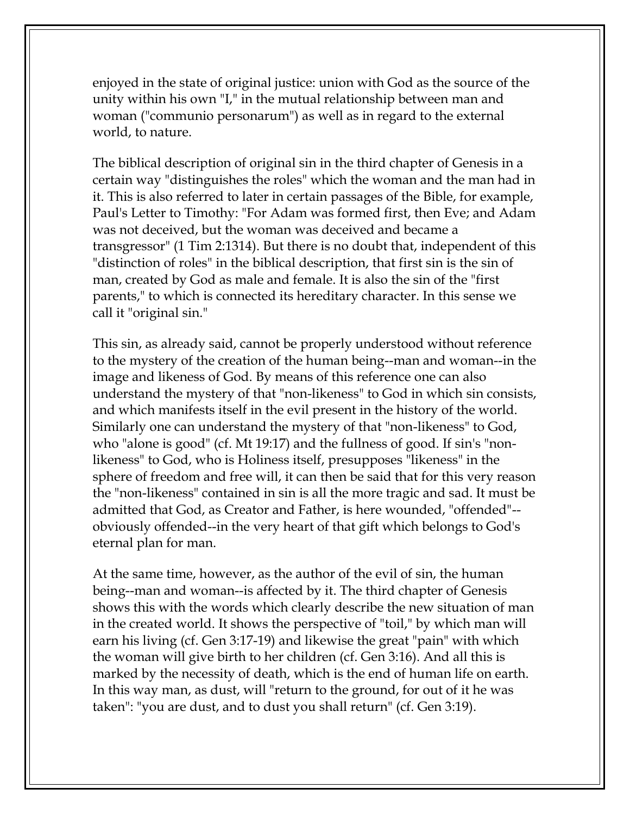enjoyed in the state of original justice: union with God as the source of the unity within his own "I," in the mutual relationship between man and woman ("communio personarum") as well as in regard to the external world, to nature.

The biblical description of original sin in the third chapter of Genesis in a certain way "distinguishes the roles" which the woman and the man had in it. This is also referred to later in certain passages of the Bible, for example, Paul's Letter to Timothy: "For Adam was formed first, then Eve; and Adam was not deceived, but the woman was deceived and became a transgressor" (1 Tim 2:1314). But there is no doubt that, independent of this "distinction of roles" in the biblical description, that first sin is the sin of man, created by God as male and female. It is also the sin of the "first parents," to which is connected its hereditary character. In this sense we call it "original sin."

This sin, as already said, cannot be properly understood without reference to the mystery of the creation of the human being--man and woman--in the image and likeness of God. By means of this reference one can also understand the mystery of that "non-likeness" to God in which sin consists, and which manifests itself in the evil present in the history of the world. Similarly one can understand the mystery of that "non-likeness" to God, who "alone is good" (cf. Mt 19:17) and the fullness of good. If sin's "nonlikeness" to God, who is Holiness itself, presupposes "likeness" in the sphere of freedom and free will, it can then be said that for this very reason the "non-likeness" contained in sin is all the more tragic and sad. It must be admitted that God, as Creator and Father, is here wounded, "offended"- obviously offended--in the very heart of that gift which belongs to God's eternal plan for man.

At the same time, however, as the author of the evil of sin, the human being--man and woman--is affected by it. The third chapter of Genesis shows this with the words which clearly describe the new situation of man in the created world. It shows the perspective of "toil," by which man will earn his living (cf. Gen 3:17-19) and likewise the great "pain" with which the woman will give birth to her children (cf. Gen 3:16). And all this is marked by the necessity of death, which is the end of human life on earth. In this way man, as dust, will "return to the ground, for out of it he was taken": "you are dust, and to dust you shall return" (cf. Gen 3:19).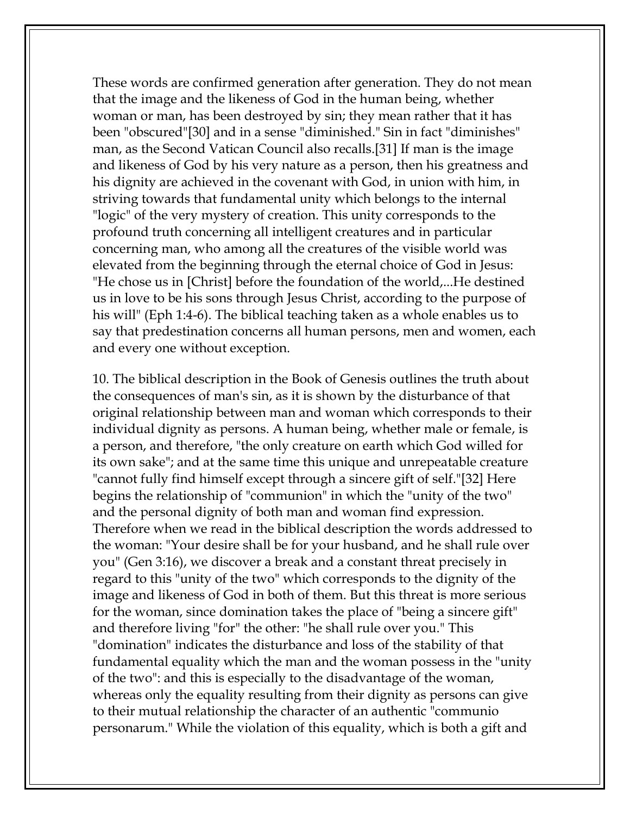These words are confirmed generation after generation. They do not mean that the image and the likeness of God in the human being, whether woman or man, has been destroyed by sin; they mean rather that it has been "obscured"[30] and in a sense "diminished." Sin in fact "diminishes" man, as the Second Vatican Council also recalls.[31] If man is the image and likeness of God by his very nature as a person, then his greatness and his dignity are achieved in the covenant with God, in union with him, in striving towards that fundamental unity which belongs to the internal "logic" of the very mystery of creation. This unity corresponds to the profound truth concerning all intelligent creatures and in particular concerning man, who among all the creatures of the visible world was elevated from the beginning through the eternal choice of God in Jesus: "He chose us in [Christ] before the foundation of the world,...He destined us in love to be his sons through Jesus Christ, according to the purpose of his will" (Eph 1:4-6). The biblical teaching taken as a whole enables us to say that predestination concerns all human persons, men and women, each and every one without exception.

10. The biblical description in the Book of Genesis outlines the truth about the consequences of man's sin, as it is shown by the disturbance of that original relationship between man and woman which corresponds to their individual dignity as persons. A human being, whether male or female, is a person, and therefore, "the only creature on earth which God willed for its own sake"; and at the same time this unique and unrepeatable creature "cannot fully find himself except through a sincere gift of self."[32] Here begins the relationship of "communion" in which the "unity of the two" and the personal dignity of both man and woman find expression. Therefore when we read in the biblical description the words addressed to the woman: "Your desire shall be for your husband, and he shall rule over you" (Gen 3:16), we discover a break and a constant threat precisely in regard to this "unity of the two" which corresponds to the dignity of the image and likeness of God in both of them. But this threat is more serious for the woman, since domination takes the place of "being a sincere gift" and therefore living "for" the other: "he shall rule over you." This "domination" indicates the disturbance and loss of the stability of that fundamental equality which the man and the woman possess in the "unity of the two": and this is especially to the disadvantage of the woman, whereas only the equality resulting from their dignity as persons can give to their mutual relationship the character of an authentic "communio personarum." While the violation of this equality, which is both a gift and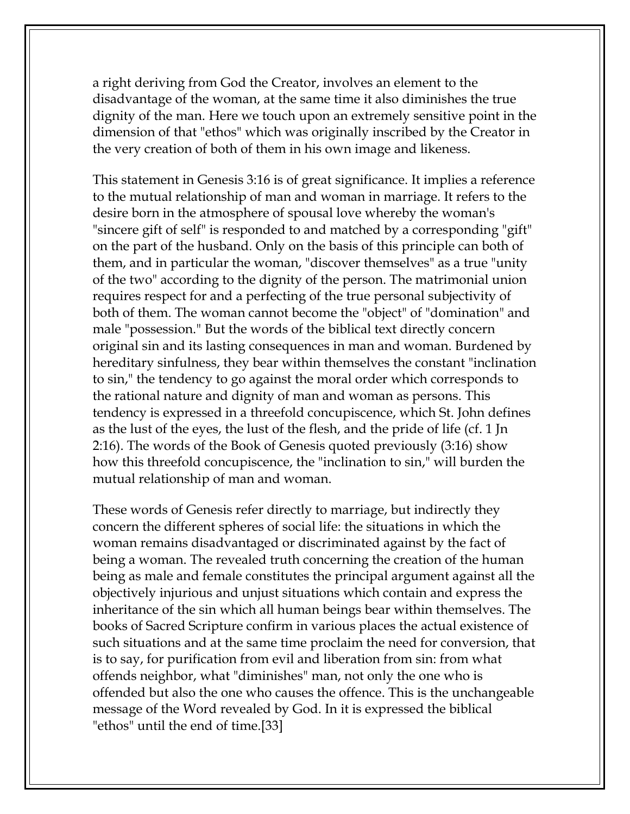a right deriving from God the Creator, involves an element to the disadvantage of the woman, at the same time it also diminishes the true dignity of the man. Here we touch upon an extremely sensitive point in the dimension of that "ethos" which was originally inscribed by the Creator in the very creation of both of them in his own image and likeness.

This statement in Genesis 3:16 is of great significance. It implies a reference to the mutual relationship of man and woman in marriage. It refers to the desire born in the atmosphere of spousal love whereby the woman's "sincere gift of self" is responded to and matched by a corresponding "gift" on the part of the husband. Only on the basis of this principle can both of them, and in particular the woman, "discover themselves" as a true "unity of the two" according to the dignity of the person. The matrimonial union requires respect for and a perfecting of the true personal subjectivity of both of them. The woman cannot become the "object" of "domination" and male "possession." But the words of the biblical text directly concern original sin and its lasting consequences in man and woman. Burdened by hereditary sinfulness, they bear within themselves the constant "inclination to sin," the tendency to go against the moral order which corresponds to the rational nature and dignity of man and woman as persons. This tendency is expressed in a threefold concupiscence, which St. John defines as the lust of the eyes, the lust of the flesh, and the pride of life (cf. 1 Jn 2:16). The words of the Book of Genesis quoted previously (3:16) show how this threefold concupiscence, the "inclination to sin," will burden the mutual relationship of man and woman.

These words of Genesis refer directly to marriage, but indirectly they concern the different spheres of social life: the situations in which the woman remains disadvantaged or discriminated against by the fact of being a woman. The revealed truth concerning the creation of the human being as male and female constitutes the principal argument against all the objectively injurious and unjust situations which contain and express the inheritance of the sin which all human beings bear within themselves. The books of Sacred Scripture confirm in various places the actual existence of such situations and at the same time proclaim the need for conversion, that is to say, for purification from evil and liberation from sin: from what offends neighbor, what "diminishes" man, not only the one who is offended but also the one who causes the offence. This is the unchangeable message of the Word revealed by God. In it is expressed the biblical "ethos" until the end of time.[33]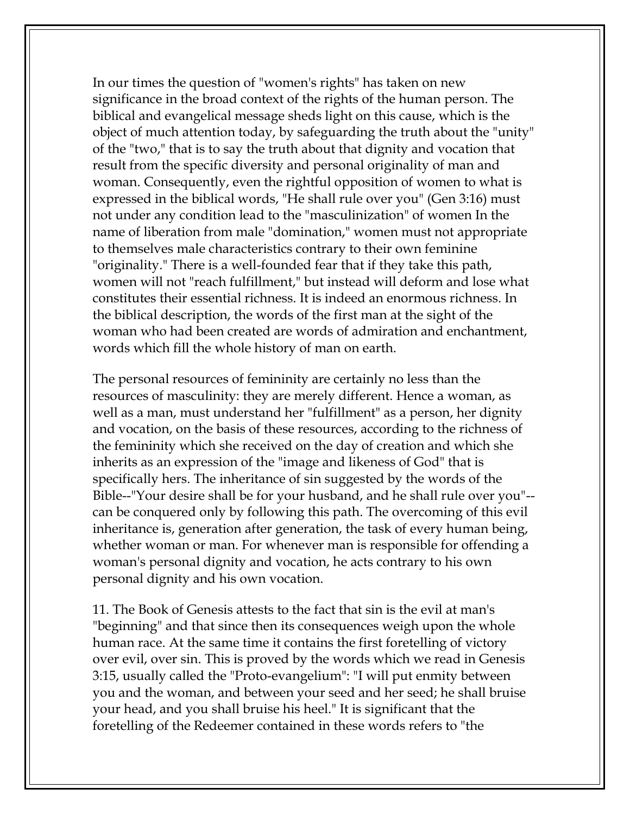In our times the question of "women's rights" has taken on new significance in the broad context of the rights of the human person. The biblical and evangelical message sheds light on this cause, which is the object of much attention today, by safeguarding the truth about the "unity" of the "two," that is to say the truth about that dignity and vocation that result from the specific diversity and personal originality of man and woman. Consequently, even the rightful opposition of women to what is expressed in the biblical words, "He shall rule over you" (Gen 3:16) must not under any condition lead to the "masculinization" of women In the name of liberation from male "domination," women must not appropriate to themselves male characteristics contrary to their own feminine "originality." There is a well-founded fear that if they take this path, women will not "reach fulfillment," but instead will deform and lose what constitutes their essential richness. It is indeed an enormous richness. In the biblical description, the words of the first man at the sight of the woman who had been created are words of admiration and enchantment, words which fill the whole history of man on earth.

The personal resources of femininity are certainly no less than the resources of masculinity: they are merely different. Hence a woman, as well as a man, must understand her "fulfillment" as a person, her dignity and vocation, on the basis of these resources, according to the richness of the femininity which she received on the day of creation and which she inherits as an expression of the "image and likeness of God" that is specifically hers. The inheritance of sin suggested by the words of the Bible--"Your desire shall be for your husband, and he shall rule over you"- can be conquered only by following this path. The overcoming of this evil inheritance is, generation after generation, the task of every human being, whether woman or man. For whenever man is responsible for offending a woman's personal dignity and vocation, he acts contrary to his own personal dignity and his own vocation.

11. The Book of Genesis attests to the fact that sin is the evil at man's "beginning" and that since then its consequences weigh upon the whole human race. At the same time it contains the first foretelling of victory over evil, over sin. This is proved by the words which we read in Genesis 3:15, usually called the "Proto-evangelium": "I will put enmity between you and the woman, and between your seed and her seed; he shall bruise your head, and you shall bruise his heel." It is significant that the foretelling of the Redeemer contained in these words refers to "the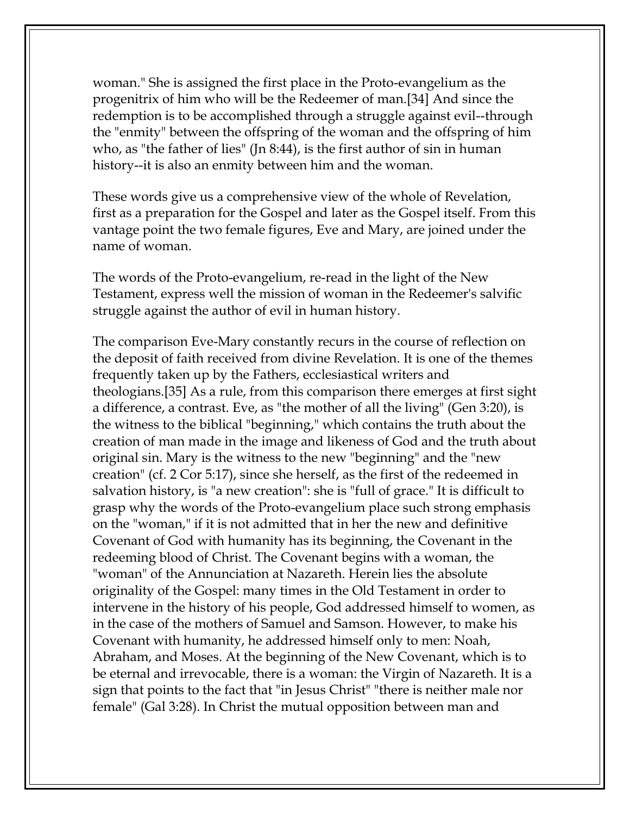woman." She is assigned the first place in the Proto-evangelium as the progenitrix of him who will be the Redeemer of man.[34] And since the redemption is to be accomplished through a struggle against evil--through the "enmity" between the offspring of the woman and the offspring of him who, as "the father of lies" (Jn 8:44), is the first author of sin in human history--it is also an enmity between him and the woman.

These words give us a comprehensive view of the whole of Revelation, first as a preparation for the Gospel and later as the Gospel itself. From this vantage point the two female figures, Eve and Mary, are joined under the name of woman.

The words of the Proto-evangelium, re-read in the light of the New Testament, express well the mission of woman in the Redeemer's salvific struggle against the author of evil in human history.

The comparison Eve-Mary constantly recurs in the course of reflection on the deposit of faith received from divine Revelation. It is one of the themes frequently taken up by the Fathers, ecclesiastical writers and theologians.[35] As a rule, from this comparison there emerges at first sight a difference, a contrast. Eve, as "the mother of all the living" (Gen 3:20), is the witness to the biblical "beginning," which contains the truth about the creation of man made in the image and likeness of God and the truth about original sin. Mary is the witness to the new "beginning" and the "new creation" (cf. 2 Cor 5:17), since she herself, as the first of the redeemed in salvation history, is "a new creation": she is "full of grace." It is difficult to grasp why the words of the Proto-evangelium place such strong emphasis on the "woman," if it is not admitted that in her the new and definitive Covenant of God with humanity has its beginning, the Covenant in the redeeming blood of Christ. The Covenant begins with a woman, the "woman" of the Annunciation at Nazareth. Herein lies the absolute originality of the Gospel: many times in the Old Testament in order to intervene in the history of his people, God addressed himself to women, as in the case of the mothers of Samuel and Samson. However, to make his Covenant with humanity, he addressed himself only to men: Noah, Abraham, and Moses. At the beginning of the New Covenant, which is to be eternal and irrevocable, there is a woman: the Virgin of Nazareth. It is a sign that points to the fact that "in Jesus Christ" "there is neither male nor female" (Gal 3:28). In Christ the mutual opposition between man and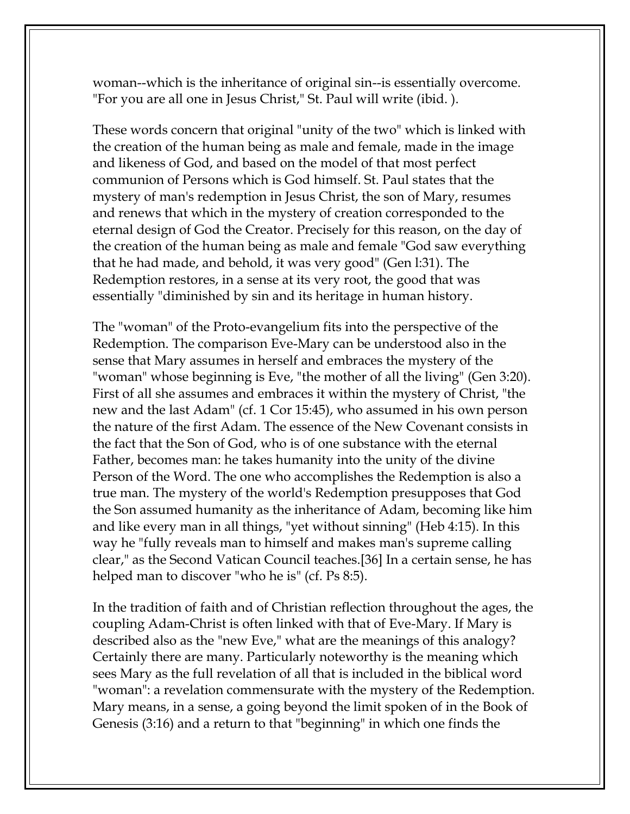woman--which is the inheritance of original sin--is essentially overcome. "For you are all one in Jesus Christ," St. Paul will write (ibid. ).

These words concern that original "unity of the two" which is linked with the creation of the human being as male and female, made in the image and likeness of God, and based on the model of that most perfect communion of Persons which is God himself. St. Paul states that the mystery of man's redemption in Jesus Christ, the son of Mary, resumes and renews that which in the mystery of creation corresponded to the eternal design of God the Creator. Precisely for this reason, on the day of the creation of the human being as male and female "God saw everything that he had made, and behold, it was very good" (Gen l:31). The Redemption restores, in a sense at its very root, the good that was essentially "diminished by sin and its heritage in human history.

The "woman" of the Proto-evangelium fits into the perspective of the Redemption. The comparison Eve-Mary can be understood also in the sense that Mary assumes in herself and embraces the mystery of the "woman" whose beginning is Eve, "the mother of all the living" (Gen 3:20). First of all she assumes and embraces it within the mystery of Christ, "the new and the last Adam" (cf. 1 Cor 15:45), who assumed in his own person the nature of the first Adam. The essence of the New Covenant consists in the fact that the Son of God, who is of one substance with the eternal Father, becomes man: he takes humanity into the unity of the divine Person of the Word. The one who accomplishes the Redemption is also a true man. The mystery of the world's Redemption presupposes that God the Son assumed humanity as the inheritance of Adam, becoming like him and like every man in all things, "yet without sinning" (Heb 4:15). In this way he "fully reveals man to himself and makes man's supreme calling clear," as the Second Vatican Council teaches.[36] In a certain sense, he has helped man to discover "who he is" (cf. Ps 8:5).

In the tradition of faith and of Christian reflection throughout the ages, the coupling Adam-Christ is often linked with that of Eve-Mary. If Mary is described also as the "new Eve," what are the meanings of this analogy? Certainly there are many. Particularly noteworthy is the meaning which sees Mary as the full revelation of all that is included in the biblical word "woman": a revelation commensurate with the mystery of the Redemption. Mary means, in a sense, a going beyond the limit spoken of in the Book of Genesis (3:16) and a return to that "beginning" in which one finds the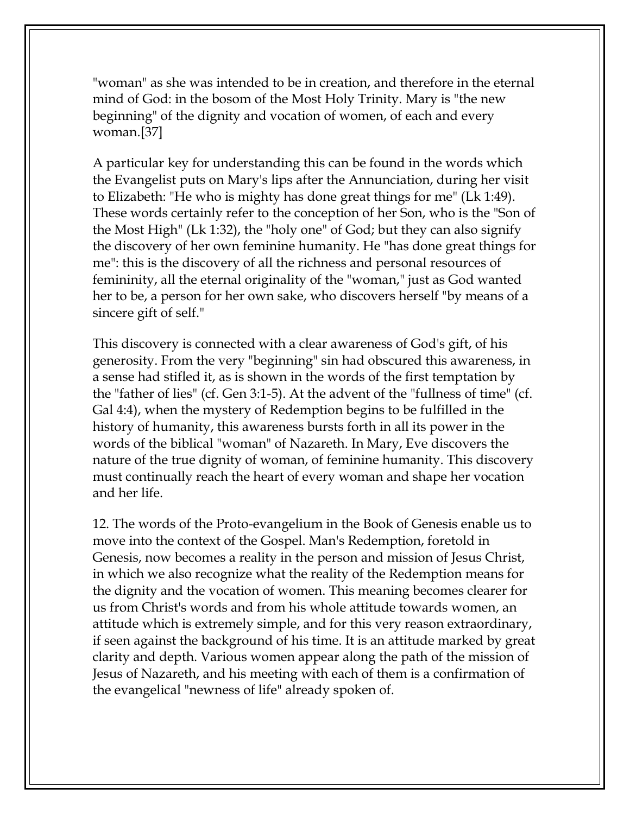"woman" as she was intended to be in creation, and therefore in the eternal mind of God: in the bosom of the Most Holy Trinity. Mary is "the new beginning" of the dignity and vocation of women, of each and every woman.[37]

A particular key for understanding this can be found in the words which the Evangelist puts on Mary's lips after the Annunciation, during her visit to Elizabeth: "He who is mighty has done great things for me" (Lk 1:49). These words certainly refer to the conception of her Son, who is the "Son of the Most High" (Lk 1:32), the "holy one" of God; but they can also signify the discovery of her own feminine humanity. He "has done great things for me": this is the discovery of all the richness and personal resources of femininity, all the eternal originality of the "woman," just as God wanted her to be, a person for her own sake, who discovers herself "by means of a sincere gift of self."

This discovery is connected with a clear awareness of God's gift, of his generosity. From the very "beginning" sin had obscured this awareness, in a sense had stifled it, as is shown in the words of the first temptation by the "father of lies" (cf. Gen 3:1-5). At the advent of the "fullness of time" (cf. Gal 4:4), when the mystery of Redemption begins to be fulfilled in the history of humanity, this awareness bursts forth in all its power in the words of the biblical "woman" of Nazareth. In Mary, Eve discovers the nature of the true dignity of woman, of feminine humanity. This discovery must continually reach the heart of every woman and shape her vocation and her life.

12. The words of the Proto-evangelium in the Book of Genesis enable us to move into the context of the Gospel. Man's Redemption, foretold in Genesis, now becomes a reality in the person and mission of Jesus Christ, in which we also recognize what the reality of the Redemption means for the dignity and the vocation of women. This meaning becomes clearer for us from Christ's words and from his whole attitude towards women, an attitude which is extremely simple, and for this very reason extraordinary, if seen against the background of his time. It is an attitude marked by great clarity and depth. Various women appear along the path of the mission of Jesus of Nazareth, and his meeting with each of them is a confirmation of the evangelical "newness of life" already spoken of.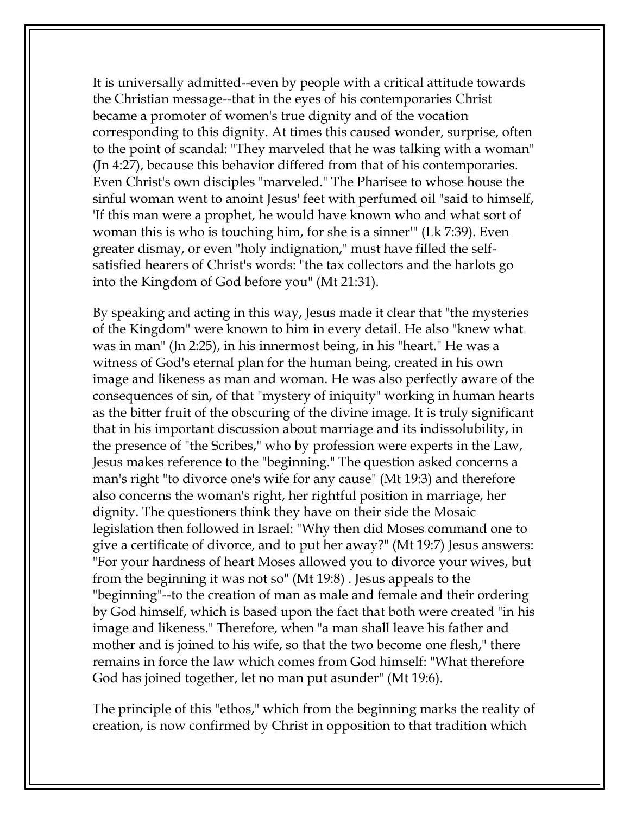It is universally admitted--even by people with a critical attitude towards the Christian message--that in the eyes of his contemporaries Christ became a promoter of women's true dignity and of the vocation corresponding to this dignity. At times this caused wonder, surprise, often to the point of scandal: "They marveled that he was talking with a woman" (Jn 4:27), because this behavior differed from that of his contemporaries. Even Christ's own disciples "marveled." The Pharisee to whose house the sinful woman went to anoint Jesus' feet with perfumed oil "said to himself, 'If this man were a prophet, he would have known who and what sort of woman this is who is touching him, for she is a sinner'" (Lk 7:39). Even greater dismay, or even "holy indignation," must have filled the selfsatisfied hearers of Christ's words: "the tax collectors and the harlots go into the Kingdom of God before you" (Mt 21:31).

By speaking and acting in this way, Jesus made it clear that "the mysteries of the Kingdom" were known to him in every detail. He also "knew what was in man" (Jn 2:25), in his innermost being, in his "heart." He was a witness of God's eternal plan for the human being, created in his own image and likeness as man and woman. He was also perfectly aware of the consequences of sin, of that "mystery of iniquity" working in human hearts as the bitter fruit of the obscuring of the divine image. It is truly significant that in his important discussion about marriage and its indissolubility, in the presence of "the Scribes," who by profession were experts in the Law, Jesus makes reference to the "beginning." The question asked concerns a man's right "to divorce one's wife for any cause" (Mt 19:3) and therefore also concerns the woman's right, her rightful position in marriage, her dignity. The questioners think they have on their side the Mosaic legislation then followed in Israel: "Why then did Moses command one to give a certificate of divorce, and to put her away?" (Mt 19:7) Jesus answers: "For your hardness of heart Moses allowed you to divorce your wives, but from the beginning it was not so" (Mt 19:8) . Jesus appeals to the "beginning"--to the creation of man as male and female and their ordering by God himself, which is based upon the fact that both were created "in his image and likeness." Therefore, when "a man shall leave his father and mother and is joined to his wife, so that the two become one flesh," there remains in force the law which comes from God himself: "What therefore God has joined together, let no man put asunder" (Mt 19:6).

The principle of this "ethos," which from the beginning marks the reality of creation, is now confirmed by Christ in opposition to that tradition which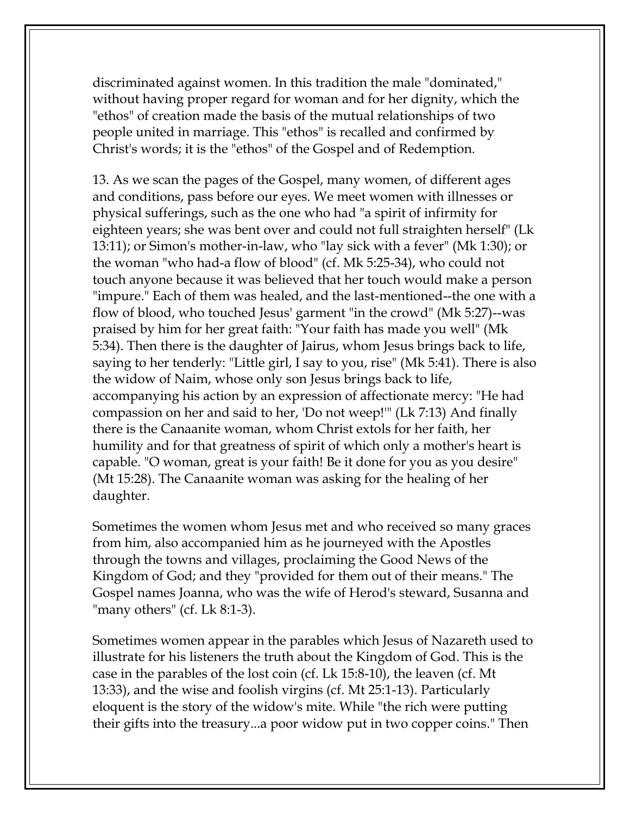discriminated against women. In this tradition the male "dominated," without having proper regard for woman and for her dignity, which the "ethos" of creation made the basis of the mutual relationships of two people united in marriage. This "ethos" is recalled and confirmed by Christ's words; it is the "ethos" of the Gospel and of Redemption.

13. As we scan the pages of the Gospel, many women, of different ages and conditions, pass before our eyes. We meet women with illnesses or physical sufferings, such as the one who had "a spirit of infirmity for eighteen years; she was bent over and could not full straighten herself" (Lk 13:11); or Simon's mother-in-law, who "lay sick with a fever" (Mk 1:30); or the woman "who had-a flow of blood" (cf. Mk 5:25-34), who could not touch anyone because it was believed that her touch would make a person "impure." Each of them was healed, and the last-mentioned--the one with a flow of blood, who touched Jesus' garment "in the crowd" (Mk 5:27)--was praised by him for her great faith: "Your faith has made you well" (Mk 5:34). Then there is the daughter of Jairus, whom Jesus brings back to life, saying to her tenderly: "Little girl, I say to you, rise" (Mk 5:41). There is also the widow of Naim, whose only son Jesus brings back to life, accompanying his action by an expression of affectionate mercy: "He had compassion on her and said to her, 'Do not weep!'" (Lk 7:13) And finally there is the Canaanite woman, whom Christ extols for her faith, her humility and for that greatness of spirit of which only a mother's heart is capable. "O woman, great is your faith! Be it done for you as you desire" (Mt 15:28). The Canaanite woman was asking for the healing of her daughter.

Sometimes the women whom Jesus met and who received so many graces from him, also accompanied him as he journeyed with the Apostles through the towns and villages, proclaiming the Good News of the Kingdom of God; and they "provided for them out of their means." The Gospel names Joanna, who was the wife of Herod's steward, Susanna and "many others" (cf.  $Lk$  8:1-3).

Sometimes women appear in the parables which Jesus of Nazareth used to illustrate for his listeners the truth about the Kingdom of God. This is the case in the parables of the lost coin (cf. Lk 15:8-10), the leaven (cf. Mt 13:33), and the wise and foolish virgins (cf. Mt 25:1-13). Particularly eloquent is the story of the widow's mite. While "the rich were putting their gifts into the treasury...a poor widow put in two copper coins." Then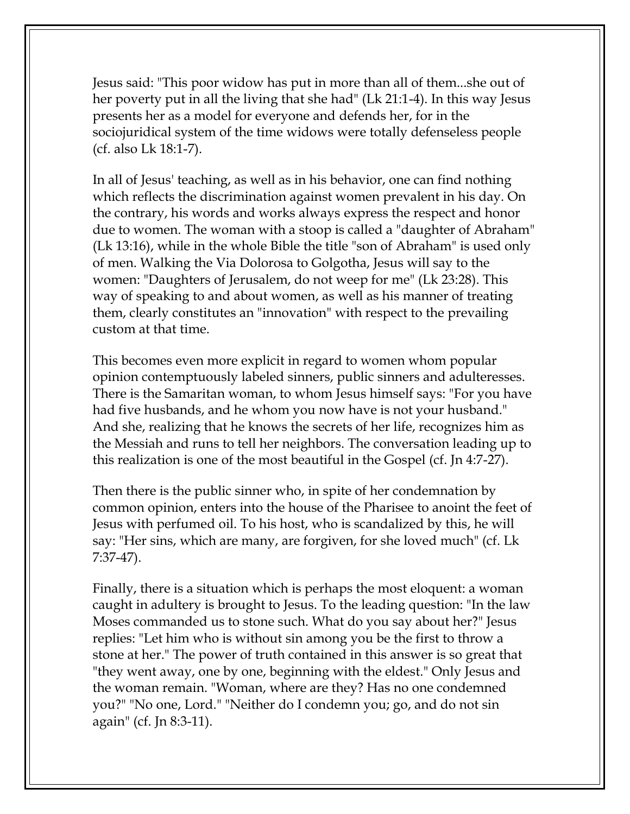Jesus said: "This poor widow has put in more than all of them...she out of her poverty put in all the living that she had" (Lk 21:1-4). In this way Jesus presents her as a model for everyone and defends her, for in the sociojuridical system of the time widows were totally defenseless people (cf. also Lk 18:1-7).

In all of Jesus' teaching, as well as in his behavior, one can find nothing which reflects the discrimination against women prevalent in his day. On the contrary, his words and works always express the respect and honor due to women. The woman with a stoop is called a "daughter of Abraham" (Lk 13:16), while in the whole Bible the title "son of Abraham" is used only of men. Walking the Via Dolorosa to Golgotha, Jesus will say to the women: "Daughters of Jerusalem, do not weep for me" (Lk 23:28). This way of speaking to and about women, as well as his manner of treating them, clearly constitutes an "innovation" with respect to the prevailing custom at that time.

This becomes even more explicit in regard to women whom popular opinion contemptuously labeled sinners, public sinners and adulteresses. There is the Samaritan woman, to whom Jesus himself says: "For you have had five husbands, and he whom you now have is not your husband." And she, realizing that he knows the secrets of her life, recognizes him as the Messiah and runs to tell her neighbors. The conversation leading up to this realization is one of the most beautiful in the Gospel (cf. Jn 4:7-27).

Then there is the public sinner who, in spite of her condemnation by common opinion, enters into the house of the Pharisee to anoint the feet of Jesus with perfumed oil. To his host, who is scandalized by this, he will say: "Her sins, which are many, are forgiven, for she loved much" (cf. Lk 7:37-47).

Finally, there is a situation which is perhaps the most eloquent: a woman caught in adultery is brought to Jesus. To the leading question: "In the law Moses commanded us to stone such. What do you say about her?" Jesus replies: "Let him who is without sin among you be the first to throw a stone at her." The power of truth contained in this answer is so great that "they went away, one by one, beginning with the eldest." Only Jesus and the woman remain. "Woman, where are they? Has no one condemned you?" "No one, Lord." "Neither do I condemn you; go, and do not sin again" (cf. Jn 8:3-11).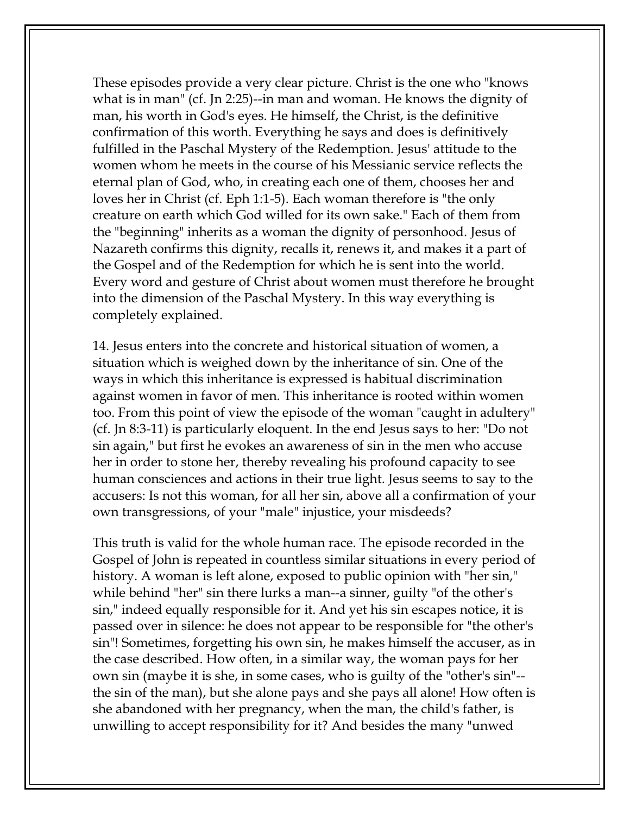These episodes provide a very clear picture. Christ is the one who "knows what is in man" (cf. Jn 2:25)--in man and woman. He knows the dignity of man, his worth in God's eyes. He himself, the Christ, is the definitive confirmation of this worth. Everything he says and does is definitively fulfilled in the Paschal Mystery of the Redemption. Jesus' attitude to the women whom he meets in the course of his Messianic service reflects the eternal plan of God, who, in creating each one of them, chooses her and loves her in Christ (cf. Eph 1:1-5). Each woman therefore is "the only creature on earth which God willed for its own sake." Each of them from the "beginning" inherits as a woman the dignity of personhood. Jesus of Nazareth confirms this dignity, recalls it, renews it, and makes it a part of the Gospel and of the Redemption for which he is sent into the world. Every word and gesture of Christ about women must therefore he brought into the dimension of the Paschal Mystery. In this way everything is completely explained.

14. Jesus enters into the concrete and historical situation of women, a situation which is weighed down by the inheritance of sin. One of the ways in which this inheritance is expressed is habitual discrimination against women in favor of men. This inheritance is rooted within women too. From this point of view the episode of the woman "caught in adultery" (cf. Jn 8:3-11) is particularly eloquent. In the end Jesus says to her: "Do not sin again," but first he evokes an awareness of sin in the men who accuse her in order to stone her, thereby revealing his profound capacity to see human consciences and actions in their true light. Jesus seems to say to the accusers: Is not this woman, for all her sin, above all a confirmation of your own transgressions, of your "male" injustice, your misdeeds?

This truth is valid for the whole human race. The episode recorded in the Gospel of John is repeated in countless similar situations in every period of history. A woman is left alone, exposed to public opinion with "her sin," while behind "her" sin there lurks a man--a sinner, guilty "of the other's sin," indeed equally responsible for it. And yet his sin escapes notice, it is passed over in silence: he does not appear to be responsible for "the other's sin"! Sometimes, forgetting his own sin, he makes himself the accuser, as in the case described. How often, in a similar way, the woman pays for her own sin (maybe it is she, in some cases, who is guilty of the "other's sin"- the sin of the man), but she alone pays and she pays all alone! How often is she abandoned with her pregnancy, when the man, the child's father, is unwilling to accept responsibility for it? And besides the many "unwed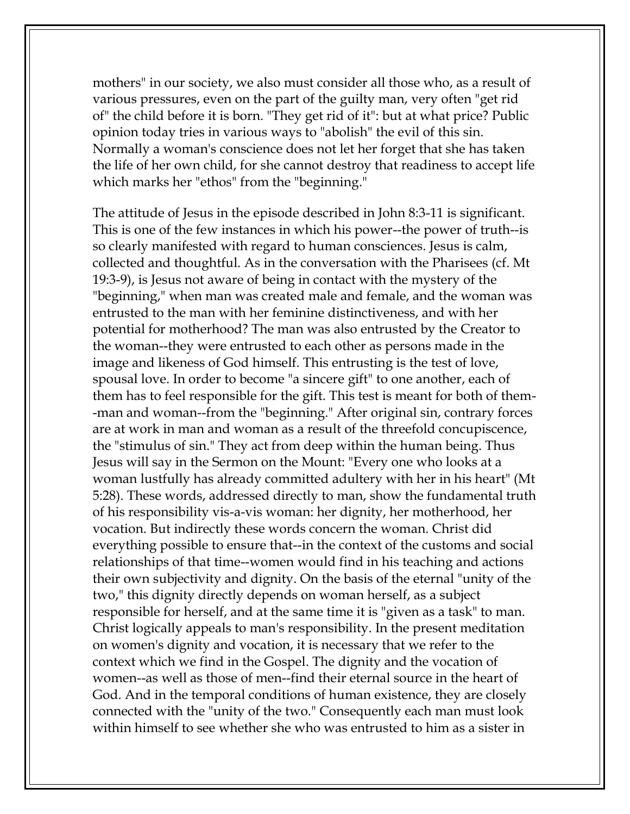mothers" in our society, we also must consider all those who, as a result of various pressures, even on the part of the guilty man, very often "get rid of" the child before it is born. "They get rid of it": but at what price? Public opinion today tries in various ways to "abolish" the evil of this sin. Normally a woman's conscience does not let her forget that she has taken the life of her own child, for she cannot destroy that readiness to accept life which marks her "ethos" from the "beginning."

The attitude of Jesus in the episode described in John 8:3-11 is significant. This is one of the few instances in which his power--the power of truth--is so clearly manifested with regard to human consciences. Jesus is calm, collected and thoughtful. As in the conversation with the Pharisees (cf. Mt 19:3-9), is Jesus not aware of being in contact with the mystery of the "beginning," when man was created male and female, and the woman was entrusted to the man with her feminine distinctiveness, and with her potential for motherhood? The man was also entrusted by the Creator to the woman--they were entrusted to each other as persons made in the image and likeness of God himself. This entrusting is the test of love, spousal love. In order to become "a sincere gift" to one another, each of them has to feel responsible for the gift. This test is meant for both of them- -man and woman--from the "beginning." After original sin, contrary forces are at work in man and woman as a result of the threefold concupiscence, the "stimulus of sin." They act from deep within the human being. Thus Jesus will say in the Sermon on the Mount: "Every one who looks at a woman lustfully has already committed adultery with her in his heart" (Mt 5:28). These words, addressed directly to man, show the fundamental truth of his responsibility vis-a-vis woman: her dignity, her motherhood, her vocation. But indirectly these words concern the woman. Christ did everything possible to ensure that--in the context of the customs and social relationships of that time--women would find in his teaching and actions their own subjectivity and dignity. On the basis of the eternal "unity of the two," this dignity directly depends on woman herself, as a subject responsible for herself, and at the same time it is "given as a task" to man. Christ logically appeals to man's responsibility. In the present meditation on women's dignity and vocation, it is necessary that we refer to the context which we find in the Gospel. The dignity and the vocation of women--as well as those of men--find their eternal source in the heart of God. And in the temporal conditions of human existence, they are closely connected with the "unity of the two." Consequently each man must look within himself to see whether she who was entrusted to him as a sister in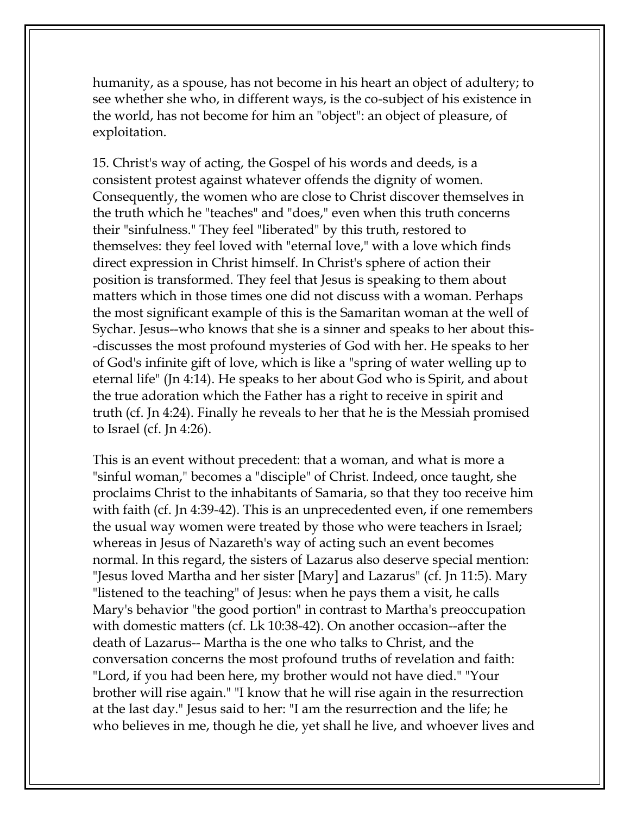humanity, as a spouse, has not become in his heart an object of adultery; to see whether she who, in different ways, is the co-subject of his existence in the world, has not become for him an "object": an object of pleasure, of exploitation.

15. Christ's way of acting, the Gospel of his words and deeds, is a consistent protest against whatever offends the dignity of women. Consequently, the women who are close to Christ discover themselves in the truth which he "teaches" and "does," even when this truth concerns their "sinfulness." They feel "liberated" by this truth, restored to themselves: they feel loved with "eternal love," with a love which finds direct expression in Christ himself. In Christ's sphere of action their position is transformed. They feel that Jesus is speaking to them about matters which in those times one did not discuss with a woman. Perhaps the most significant example of this is the Samaritan woman at the well of Sychar. Jesus--who knows that she is a sinner and speaks to her about this- -discusses the most profound mysteries of God with her. He speaks to her of God's infinite gift of love, which is like a "spring of water welling up to eternal life" (Jn 4:14). He speaks to her about God who is Spirit, and about the true adoration which the Father has a right to receive in spirit and truth (cf. Jn 4:24). Finally he reveals to her that he is the Messiah promised to Israel (cf. Jn 4:26).

This is an event without precedent: that a woman, and what is more a "sinful woman," becomes a "disciple" of Christ. Indeed, once taught, she proclaims Christ to the inhabitants of Samaria, so that they too receive him with faith (cf. Jn 4:39-42). This is an unprecedented even, if one remembers the usual way women were treated by those who were teachers in Israel; whereas in Jesus of Nazareth's way of acting such an event becomes normal. In this regard, the sisters of Lazarus also deserve special mention: "Jesus loved Martha and her sister [Mary] and Lazarus" (cf. Jn 11:5). Mary "listened to the teaching" of Jesus: when he pays them a visit, he calls Mary's behavior "the good portion" in contrast to Martha's preoccupation with domestic matters (cf. Lk 10:38-42). On another occasion--after the death of Lazarus-- Martha is the one who talks to Christ, and the conversation concerns the most profound truths of revelation and faith: "Lord, if you had been here, my brother would not have died." "Your brother will rise again." "I know that he will rise again in the resurrection at the last day." Jesus said to her: "I am the resurrection and the life; he who believes in me, though he die, yet shall he live, and whoever lives and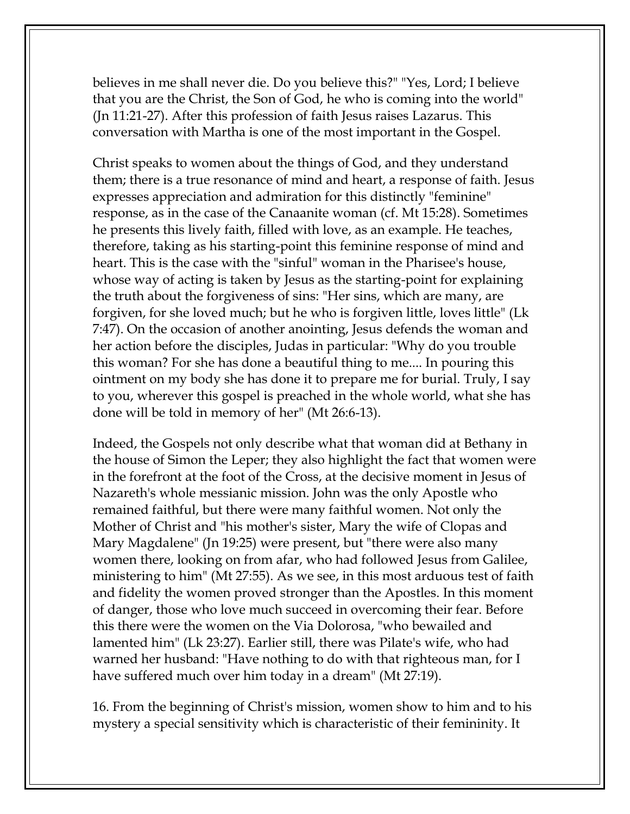believes in me shall never die. Do you believe this?" "Yes, Lord; I believe that you are the Christ, the Son of God, he who is coming into the world" (Jn 11:21-27). After this profession of faith Jesus raises Lazarus. This conversation with Martha is one of the most important in the Gospel.

Christ speaks to women about the things of God, and they understand them; there is a true resonance of mind and heart, a response of faith. Jesus expresses appreciation and admiration for this distinctly "feminine" response, as in the case of the Canaanite woman (cf. Mt 15:28). Sometimes he presents this lively faith, filled with love, as an example. He teaches, therefore, taking as his starting-point this feminine response of mind and heart. This is the case with the "sinful" woman in the Pharisee's house, whose way of acting is taken by Jesus as the starting-point for explaining the truth about the forgiveness of sins: "Her sins, which are many, are forgiven, for she loved much; but he who is forgiven little, loves little" (Lk 7:47). On the occasion of another anointing, Jesus defends the woman and her action before the disciples, Judas in particular: "Why do you trouble this woman? For she has done a beautiful thing to me.... In pouring this ointment on my body she has done it to prepare me for burial. Truly, I say to you, wherever this gospel is preached in the whole world, what she has done will be told in memory of her" (Mt 26:6-13).

Indeed, the Gospels not only describe what that woman did at Bethany in the house of Simon the Leper; they also highlight the fact that women were in the forefront at the foot of the Cross, at the decisive moment in Jesus of Nazareth's whole messianic mission. John was the only Apostle who remained faithful, but there were many faithful women. Not only the Mother of Christ and "his mother's sister, Mary the wife of Clopas and Mary Magdalene" (Jn 19:25) were present, but "there were also many women there, looking on from afar, who had followed Jesus from Galilee, ministering to him" (Mt 27:55). As we see, in this most arduous test of faith and fidelity the women proved stronger than the Apostles. In this moment of danger, those who love much succeed in overcoming their fear. Before this there were the women on the Via Dolorosa, "who bewailed and lamented him" (Lk 23:27). Earlier still, there was Pilate's wife, who had warned her husband: "Have nothing to do with that righteous man, for I have suffered much over him today in a dream" (Mt 27:19).

16. From the beginning of Christ's mission, women show to him and to his mystery a special sensitivity which is characteristic of their femininity. It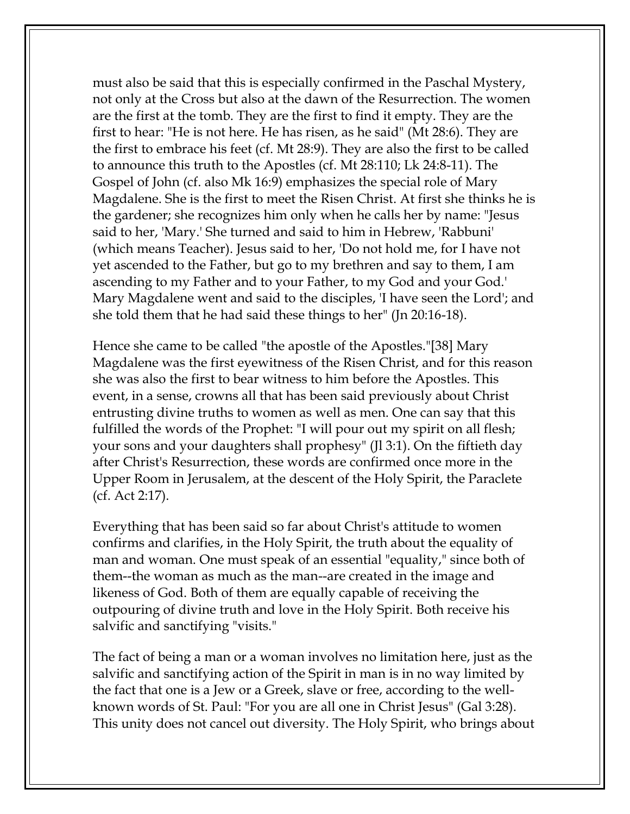must also be said that this is especially confirmed in the Paschal Mystery, not only at the Cross but also at the dawn of the Resurrection. The women are the first at the tomb. They are the first to find it empty. They are the first to hear: "He is not here. He has risen, as he said" (Mt 28:6). They are the first to embrace his feet (cf. Mt 28:9). They are also the first to be called to announce this truth to the Apostles (cf. Mt 28:110; Lk 24:8-11). The Gospel of John (cf. also Mk 16:9) emphasizes the special role of Mary Magdalene. She is the first to meet the Risen Christ. At first she thinks he is the gardener; she recognizes him only when he calls her by name: "Jesus said to her, 'Mary.' She turned and said to him in Hebrew, 'Rabbuni' (which means Teacher). Jesus said to her, 'Do not hold me, for I have not yet ascended to the Father, but go to my brethren and say to them, I am ascending to my Father and to your Father, to my God and your God.' Mary Magdalene went and said to the disciples, 'I have seen the Lord'; and she told them that he had said these things to her" (Jn 20:16-18).

Hence she came to be called "the apostle of the Apostles."[38] Mary Magdalene was the first eyewitness of the Risen Christ, and for this reason she was also the first to bear witness to him before the Apostles. This event, in a sense, crowns all that has been said previously about Christ entrusting divine truths to women as well as men. One can say that this fulfilled the words of the Prophet: "I will pour out my spirit on all flesh; your sons and your daughters shall prophesy" (Jl 3:1). On the fiftieth day after Christ's Resurrection, these words are confirmed once more in the Upper Room in Jerusalem, at the descent of the Holy Spirit, the Paraclete (cf. Act 2:17).

Everything that has been said so far about Christ's attitude to women confirms and clarifies, in the Holy Spirit, the truth about the equality of man and woman. One must speak of an essential "equality," since both of them--the woman as much as the man--are created in the image and likeness of God. Both of them are equally capable of receiving the outpouring of divine truth and love in the Holy Spirit. Both receive his salvific and sanctifying "visits."

The fact of being a man or a woman involves no limitation here, just as the salvific and sanctifying action of the Spirit in man is in no way limited by the fact that one is a Jew or a Greek, slave or free, according to the wellknown words of St. Paul: "For you are all one in Christ Jesus" (Gal 3:28). This unity does not cancel out diversity. The Holy Spirit, who brings about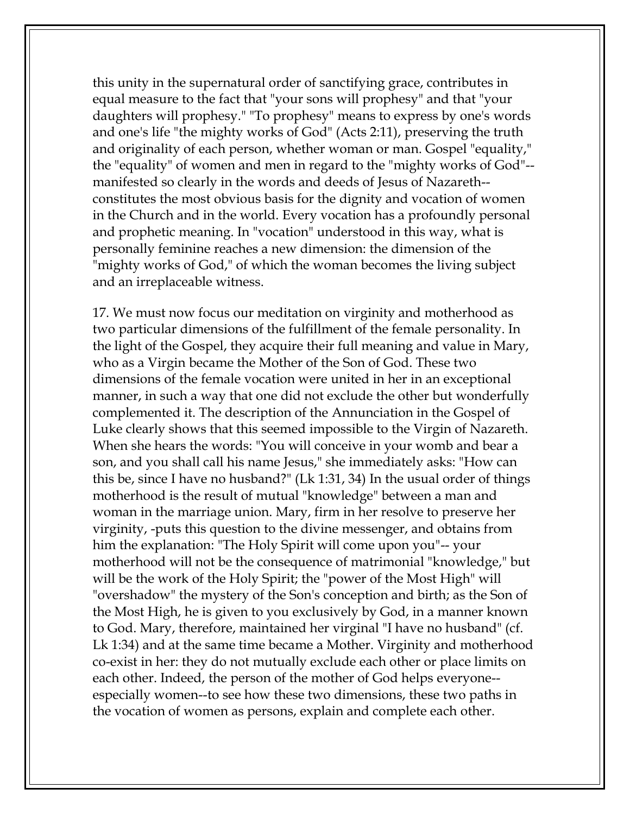this unity in the supernatural order of sanctifying grace, contributes in equal measure to the fact that "your sons will prophesy" and that "your daughters will prophesy." "To prophesy" means to express by one's words and one's life "the mighty works of God" (Acts 2:11), preserving the truth and originality of each person, whether woman or man. Gospel "equality," the "equality" of women and men in regard to the "mighty works of God"- manifested so clearly in the words and deeds of Jesus of Nazareth- constitutes the most obvious basis for the dignity and vocation of women in the Church and in the world. Every vocation has a profoundly personal and prophetic meaning. In "vocation" understood in this way, what is personally feminine reaches a new dimension: the dimension of the "mighty works of God," of which the woman becomes the living subject and an irreplaceable witness.

17. We must now focus our meditation on virginity and motherhood as two particular dimensions of the fulfillment of the female personality. In the light of the Gospel, they acquire their full meaning and value in Mary, who as a Virgin became the Mother of the Son of God. These two dimensions of the female vocation were united in her in an exceptional manner, in such a way that one did not exclude the other but wonderfully complemented it. The description of the Annunciation in the Gospel of Luke clearly shows that this seemed impossible to the Virgin of Nazareth. When she hears the words: "You will conceive in your womb and bear a son, and you shall call his name Jesus," she immediately asks: "How can this be, since I have no husband?" (Lk 1:31, 34) In the usual order of things motherhood is the result of mutual "knowledge" between a man and woman in the marriage union. Mary, firm in her resolve to preserve her virginity, -puts this question to the divine messenger, and obtains from him the explanation: "The Holy Spirit will come upon you"-- your motherhood will not be the consequence of matrimonial "knowledge," but will be the work of the Holy Spirit; the "power of the Most High" will "overshadow" the mystery of the Son's conception and birth; as the Son of the Most High, he is given to you exclusively by God, in a manner known to God. Mary, therefore, maintained her virginal "I have no husband" (cf. Lk 1:34) and at the same time became a Mother. Virginity and motherhood co-exist in her: they do not mutually exclude each other or place limits on each other. Indeed, the person of the mother of God helps everyone- especially women--to see how these two dimensions, these two paths in the vocation of women as persons, explain and complete each other.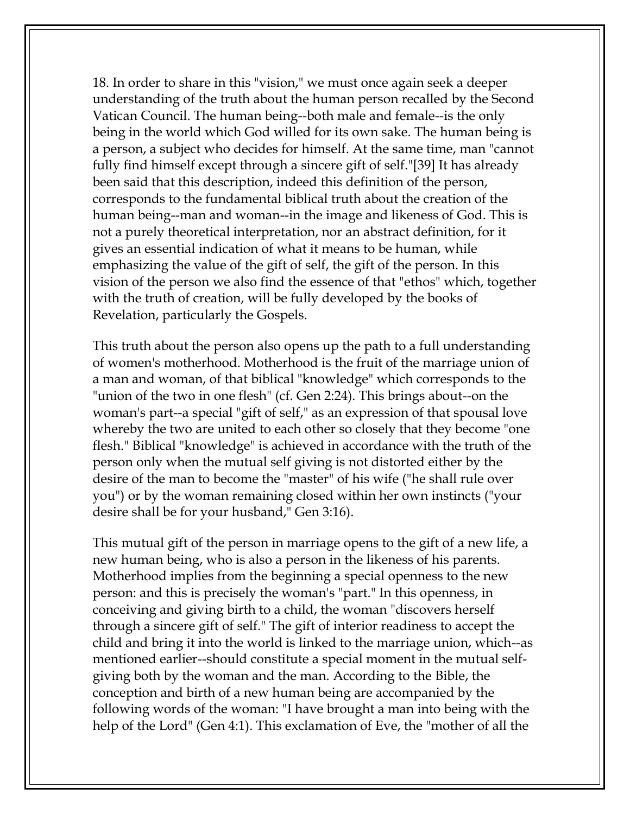18. In order to share in this "vision," we must once again seek a deeper understanding of the truth about the human person recalled by the Second Vatican Council. The human being--both male and female--is the only being in the world which God willed for its own sake. The human being is a person, a subject who decides for himself. At the same time, man "cannot fully find himself except through a sincere gift of self."[39] It has already been said that this description, indeed this definition of the person, corresponds to the fundamental biblical truth about the creation of the human being--man and woman--in the image and likeness of God. This is not a purely theoretical interpretation, nor an abstract definition, for it gives an essential indication of what it means to be human, while emphasizing the value of the gift of self, the gift of the person. In this vision of the person we also find the essence of that "ethos" which, together with the truth of creation, will be fully developed by the books of Revelation, particularly the Gospels.

This truth about the person also opens up the path to a full understanding of women's motherhood. Motherhood is the fruit of the marriage union of a man and woman, of that biblical "knowledge" which corresponds to the "union of the two in one flesh" (cf. Gen 2:24). This brings about--on the woman's part--a special "gift of self," as an expression of that spousal love whereby the two are united to each other so closely that they become "one flesh." Biblical "knowledge" is achieved in accordance with the truth of the person only when the mutual self giving is not distorted either by the desire of the man to become the "master" of his wife ("he shall rule over you") or by the woman remaining closed within her own instincts ("your desire shall be for your husband," Gen 3:16).

This mutual gift of the person in marriage opens to the gift of a new life, a new human being, who is also a person in the likeness of his parents. Motherhood implies from the beginning a special openness to the new person: and this is precisely the woman's "part." In this openness, in conceiving and giving birth to a child, the woman "discovers herself through a sincere gift of self." The gift of interior readiness to accept the child and bring it into the world is linked to the marriage union, which--as mentioned earlier--should constitute a special moment in the mutual selfgiving both by the woman and the man. According to the Bible, the conception and birth of a new human being are accompanied by the following words of the woman: "I have brought a man into being with the help of the Lord" (Gen 4:1). This exclamation of Eve, the "mother of all the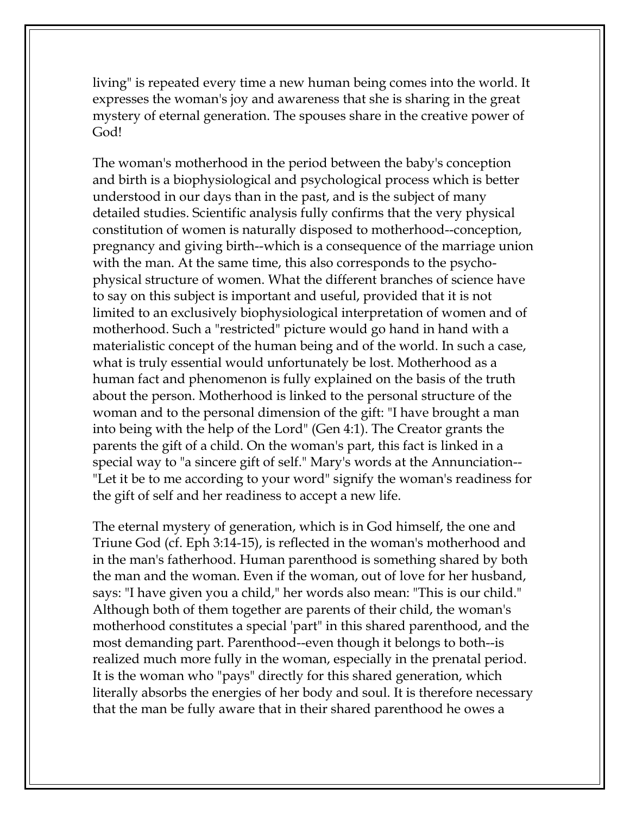living" is repeated every time a new human being comes into the world. It expresses the woman's joy and awareness that she is sharing in the great mystery of eternal generation. The spouses share in the creative power of God!

The woman's motherhood in the period between the baby's conception and birth is a biophysiological and psychological process which is better understood in our days than in the past, and is the subject of many detailed studies. Scientific analysis fully confirms that the very physical constitution of women is naturally disposed to motherhood--conception, pregnancy and giving birth--which is a consequence of the marriage union with the man. At the same time, this also corresponds to the psychophysical structure of women. What the different branches of science have to say on this subject is important and useful, provided that it is not limited to an exclusively biophysiological interpretation of women and of motherhood. Such a "restricted" picture would go hand in hand with a materialistic concept of the human being and of the world. In such a case, what is truly essential would unfortunately be lost. Motherhood as a human fact and phenomenon is fully explained on the basis of the truth about the person. Motherhood is linked to the personal structure of the woman and to the personal dimension of the gift: "I have brought a man into being with the help of the Lord" (Gen 4:1). The Creator grants the parents the gift of a child. On the woman's part, this fact is linked in a special way to "a sincere gift of self." Mary's words at the Annunciation-- "Let it be to me according to your word" signify the woman's readiness for the gift of self and her readiness to accept a new life.

The eternal mystery of generation, which is in God himself, the one and Triune God (cf. Eph 3:14-15), is reflected in the woman's motherhood and in the man's fatherhood. Human parenthood is something shared by both the man and the woman. Even if the woman, out of love for her husband, says: "I have given you a child," her words also mean: "This is our child." Although both of them together are parents of their child, the woman's motherhood constitutes a special 'part" in this shared parenthood, and the most demanding part. Parenthood--even though it belongs to both--is realized much more fully in the woman, especially in the prenatal period. It is the woman who "pays" directly for this shared generation, which literally absorbs the energies of her body and soul. It is therefore necessary that the man be fully aware that in their shared parenthood he owes a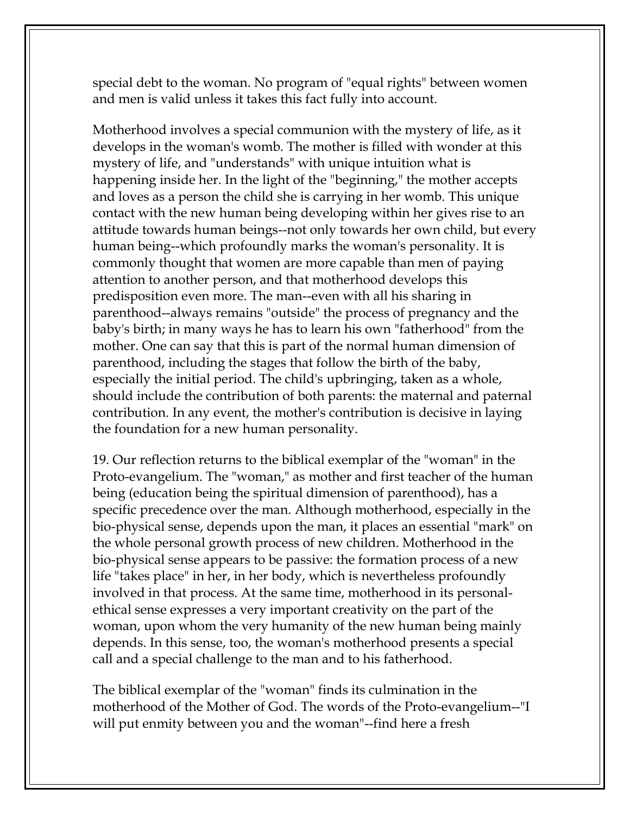special debt to the woman. No program of "equal rights" between women and men is valid unless it takes this fact fully into account.

Motherhood involves a special communion with the mystery of life, as it develops in the woman's womb. The mother is filled with wonder at this mystery of life, and "understands" with unique intuition what is happening inside her. In the light of the "beginning," the mother accepts and loves as a person the child she is carrying in her womb. This unique contact with the new human being developing within her gives rise to an attitude towards human beings--not only towards her own child, but every human being--which profoundly marks the woman's personality. It is commonly thought that women are more capable than men of paying attention to another person, and that motherhood develops this predisposition even more. The man--even with all his sharing in parenthood--always remains "outside" the process of pregnancy and the baby's birth; in many ways he has to learn his own "fatherhood" from the mother. One can say that this is part of the normal human dimension of parenthood, including the stages that follow the birth of the baby, especially the initial period. The child's upbringing, taken as a whole, should include the contribution of both parents: the maternal and paternal contribution. In any event, the mother's contribution is decisive in laying the foundation for a new human personality.

19. Our reflection returns to the biblical exemplar of the "woman" in the Proto-evangelium. The "woman," as mother and first teacher of the human being (education being the spiritual dimension of parenthood), has a specific precedence over the man. Although motherhood, especially in the bio-physical sense, depends upon the man, it places an essential "mark" on the whole personal growth process of new children. Motherhood in the bio-physical sense appears to be passive: the formation process of a new life "takes place" in her, in her body, which is nevertheless profoundly involved in that process. At the same time, motherhood in its personalethical sense expresses a very important creativity on the part of the woman, upon whom the very humanity of the new human being mainly depends. In this sense, too, the woman's motherhood presents a special call and a special challenge to the man and to his fatherhood.

The biblical exemplar of the "woman" finds its culmination in the motherhood of the Mother of God. The words of the Proto-evangelium--"I will put enmity between you and the woman"--find here a fresh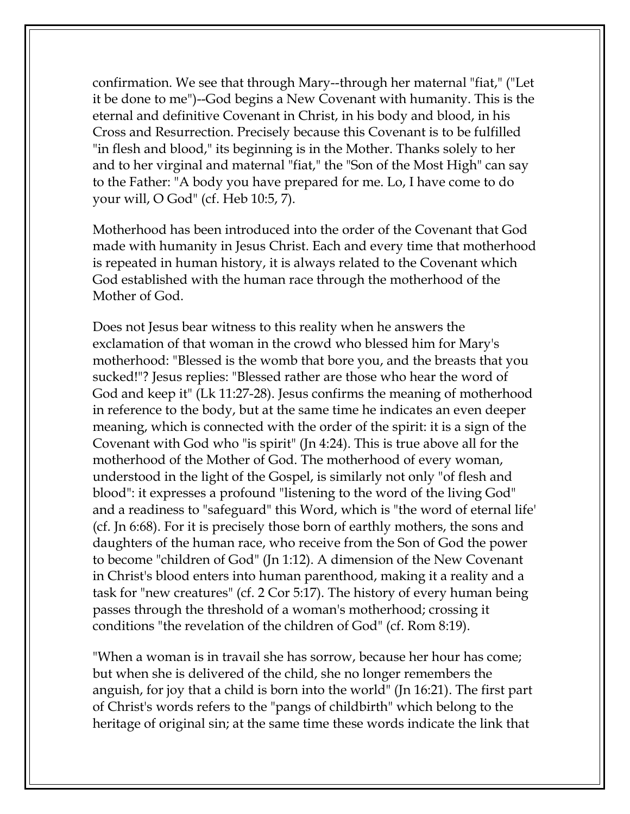confirmation. We see that through Mary--through her maternal "fiat," ("Let it be done to me")--God begins a New Covenant with humanity. This is the eternal and definitive Covenant in Christ, in his body and blood, in his Cross and Resurrection. Precisely because this Covenant is to be fulfilled "in flesh and blood," its beginning is in the Mother. Thanks solely to her and to her virginal and maternal "fiat," the "Son of the Most High" can say to the Father: "A body you have prepared for me. Lo, I have come to do your will, O God" (cf. Heb 10:5, 7).

Motherhood has been introduced into the order of the Covenant that God made with humanity in Jesus Christ. Each and every time that motherhood is repeated in human history, it is always related to the Covenant which God established with the human race through the motherhood of the Mother of God.

Does not Jesus bear witness to this reality when he answers the exclamation of that woman in the crowd who blessed him for Mary's motherhood: "Blessed is the womb that bore you, and the breasts that you sucked!"? Jesus replies: "Blessed rather are those who hear the word of God and keep it" (Lk 11:27-28). Jesus confirms the meaning of motherhood in reference to the body, but at the same time he indicates an even deeper meaning, which is connected with the order of the spirit: it is a sign of the Covenant with God who "is spirit" (Jn 4:24). This is true above all for the motherhood of the Mother of God. The motherhood of every woman, understood in the light of the Gospel, is similarly not only "of flesh and blood": it expresses a profound "listening to the word of the living God" and a readiness to "safeguard" this Word, which is "the word of eternal life' (cf. Jn 6:68). For it is precisely those born of earthly mothers, the sons and daughters of the human race, who receive from the Son of God the power to become "children of God" (Jn 1:12). A dimension of the New Covenant in Christ's blood enters into human parenthood, making it a reality and a task for "new creatures" (cf. 2 Cor 5:17). The history of every human being passes through the threshold of a woman's motherhood; crossing it conditions "the revelation of the children of God" (cf. Rom 8:19).

"When a woman is in travail she has sorrow, because her hour has come; but when she is delivered of the child, she no longer remembers the anguish, for joy that a child is born into the world" (Jn 16:21). The first part of Christ's words refers to the "pangs of childbirth" which belong to the heritage of original sin; at the same time these words indicate the link that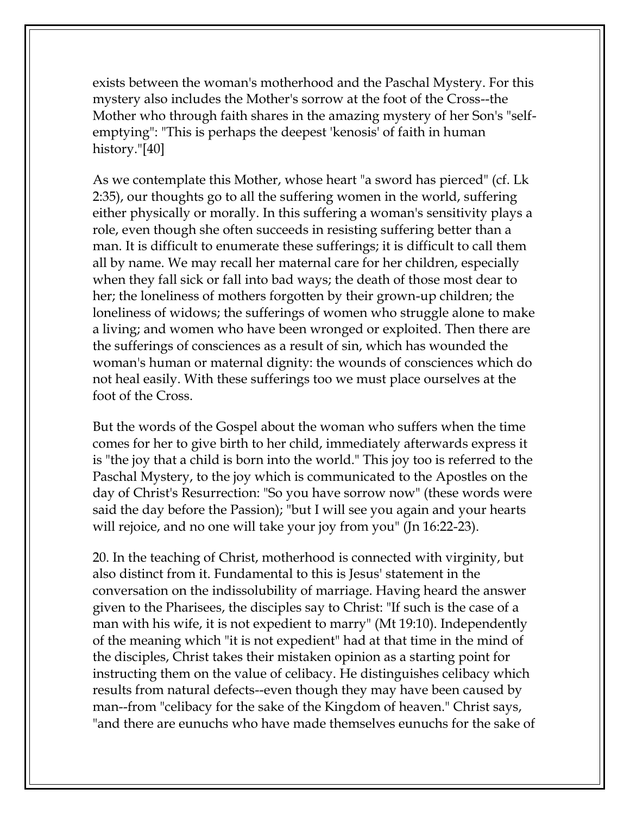exists between the woman's motherhood and the Paschal Mystery. For this mystery also includes the Mother's sorrow at the foot of the Cross--the Mother who through faith shares in the amazing mystery of her Son's "selfemptying": "This is perhaps the deepest 'kenosis' of faith in human history."[40]

As we contemplate this Mother, whose heart "a sword has pierced" (cf. Lk 2:35), our thoughts go to all the suffering women in the world, suffering either physically or morally. In this suffering a woman's sensitivity plays a role, even though she often succeeds in resisting suffering better than a man. It is difficult to enumerate these sufferings; it is difficult to call them all by name. We may recall her maternal care for her children, especially when they fall sick or fall into bad ways; the death of those most dear to her; the loneliness of mothers forgotten by their grown-up children; the loneliness of widows; the sufferings of women who struggle alone to make a living; and women who have been wronged or exploited. Then there are the sufferings of consciences as a result of sin, which has wounded the woman's human or maternal dignity: the wounds of consciences which do not heal easily. With these sufferings too we must place ourselves at the foot of the Cross.

But the words of the Gospel about the woman who suffers when the time comes for her to give birth to her child, immediately afterwards express it is "the joy that a child is born into the world." This joy too is referred to the Paschal Mystery, to the joy which is communicated to the Apostles on the day of Christ's Resurrection: "So you have sorrow now" (these words were said the day before the Passion); "but I will see you again and your hearts will rejoice, and no one will take your joy from you" (Jn 16:22-23).

20. In the teaching of Christ, motherhood is connected with virginity, but also distinct from it. Fundamental to this is Jesus' statement in the conversation on the indissolubility of marriage. Having heard the answer given to the Pharisees, the disciples say to Christ: "If such is the case of a man with his wife, it is not expedient to marry" (Mt 19:10). Independently of the meaning which "it is not expedient" had at that time in the mind of the disciples, Christ takes their mistaken opinion as a starting point for instructing them on the value of celibacy. He distinguishes celibacy which results from natural defects--even though they may have been caused by man--from "celibacy for the sake of the Kingdom of heaven." Christ says, "and there are eunuchs who have made themselves eunuchs for the sake of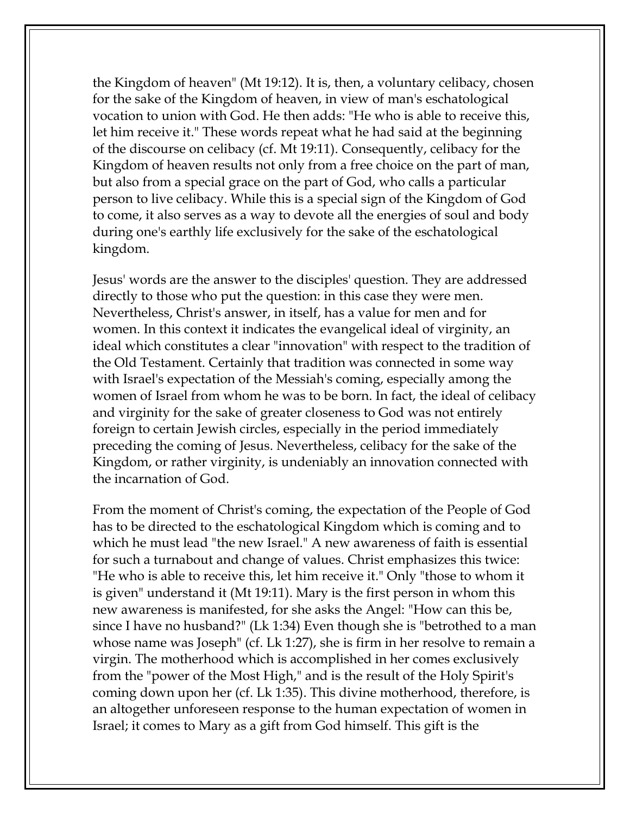the Kingdom of heaven" (Mt 19:12). It is, then, a voluntary celibacy, chosen for the sake of the Kingdom of heaven, in view of man's eschatological vocation to union with God. He then adds: "He who is able to receive this, let him receive it." These words repeat what he had said at the beginning of the discourse on celibacy (cf. Mt 19:11). Consequently, celibacy for the Kingdom of heaven results not only from a free choice on the part of man, but also from a special grace on the part of God, who calls a particular person to live celibacy. While this is a special sign of the Kingdom of God to come, it also serves as a way to devote all the energies of soul and body during one's earthly life exclusively for the sake of the eschatological kingdom.

Jesus' words are the answer to the disciples' question. They are addressed directly to those who put the question: in this case they were men. Nevertheless, Christ's answer, in itself, has a value for men and for women. In this context it indicates the evangelical ideal of virginity, an ideal which constitutes a clear "innovation" with respect to the tradition of the Old Testament. Certainly that tradition was connected in some way with Israel's expectation of the Messiah's coming, especially among the women of Israel from whom he was to be born. In fact, the ideal of celibacy and virginity for the sake of greater closeness to God was not entirely foreign to certain Jewish circles, especially in the period immediately preceding the coming of Jesus. Nevertheless, celibacy for the sake of the Kingdom, or rather virginity, is undeniably an innovation connected with the incarnation of God.

From the moment of Christ's coming, the expectation of the People of God has to be directed to the eschatological Kingdom which is coming and to which he must lead "the new Israel." A new awareness of faith is essential for such a turnabout and change of values. Christ emphasizes this twice: "He who is able to receive this, let him receive it." Only "those to whom it is given" understand it (Mt 19:11). Mary is the first person in whom this new awareness is manifested, for she asks the Angel: "How can this be, since I have no husband?" (Lk 1:34) Even though she is "betrothed to a man whose name was Joseph" (cf. Lk 1:27), she is firm in her resolve to remain a virgin. The motherhood which is accomplished in her comes exclusively from the "power of the Most High," and is the result of the Holy Spirit's coming down upon her (cf. Lk 1:35). This divine motherhood, therefore, is an altogether unforeseen response to the human expectation of women in Israel; it comes to Mary as a gift from God himself. This gift is the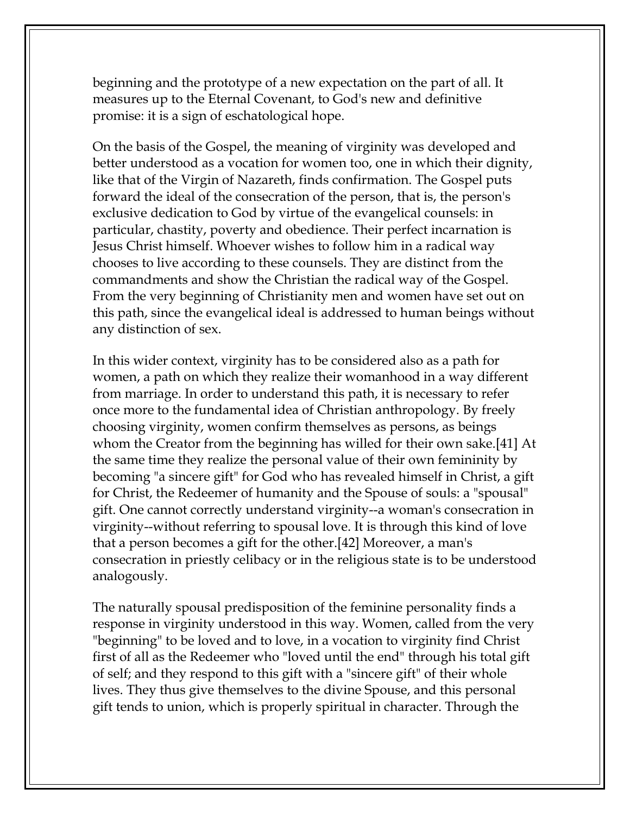beginning and the prototype of a new expectation on the part of all. It measures up to the Eternal Covenant, to God's new and definitive promise: it is a sign of eschatological hope.

On the basis of the Gospel, the meaning of virginity was developed and better understood as a vocation for women too, one in which their dignity, like that of the Virgin of Nazareth, finds confirmation. The Gospel puts forward the ideal of the consecration of the person, that is, the person's exclusive dedication to God by virtue of the evangelical counsels: in particular, chastity, poverty and obedience. Their perfect incarnation is Jesus Christ himself. Whoever wishes to follow him in a radical way chooses to live according to these counsels. They are distinct from the commandments and show the Christian the radical way of the Gospel. From the very beginning of Christianity men and women have set out on this path, since the evangelical ideal is addressed to human beings without any distinction of sex.

In this wider context, virginity has to be considered also as a path for women, a path on which they realize their womanhood in a way different from marriage. In order to understand this path, it is necessary to refer once more to the fundamental idea of Christian anthropology. By freely choosing virginity, women confirm themselves as persons, as beings whom the Creator from the beginning has willed for their own sake.[41] At the same time they realize the personal value of their own femininity by becoming "a sincere gift" for God who has revealed himself in Christ, a gift for Christ, the Redeemer of humanity and the Spouse of souls: a "spousal" gift. One cannot correctly understand virginity--a woman's consecration in virginity--without referring to spousal love. It is through this kind of love that a person becomes a gift for the other.[42] Moreover, a man's consecration in priestly celibacy or in the religious state is to be understood analogously.

The naturally spousal predisposition of the feminine personality finds a response in virginity understood in this way. Women, called from the very "beginning" to be loved and to love, in a vocation to virginity find Christ first of all as the Redeemer who "loved until the end" through his total gift of self; and they respond to this gift with a "sincere gift" of their whole lives. They thus give themselves to the divine Spouse, and this personal gift tends to union, which is properly spiritual in character. Through the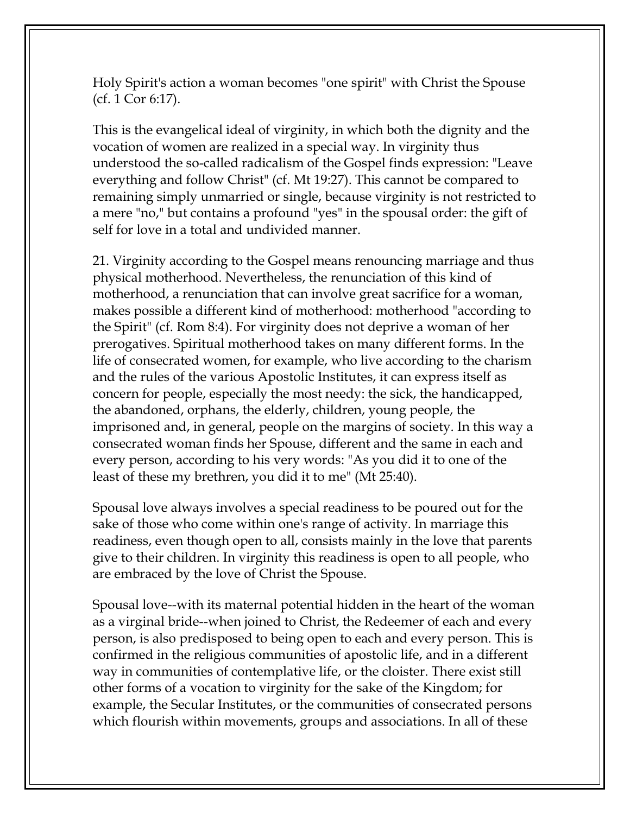Holy Spirit's action a woman becomes "one spirit" with Christ the Spouse (cf. 1 Cor 6:17).

This is the evangelical ideal of virginity, in which both the dignity and the vocation of women are realized in a special way. In virginity thus understood the so-called radicalism of the Gospel finds expression: "Leave everything and follow Christ" (cf. Mt 19:27). This cannot be compared to remaining simply unmarried or single, because virginity is not restricted to a mere "no," but contains a profound "yes" in the spousal order: the gift of self for love in a total and undivided manner.

21. Virginity according to the Gospel means renouncing marriage and thus physical motherhood. Nevertheless, the renunciation of this kind of motherhood, a renunciation that can involve great sacrifice for a woman, makes possible a different kind of motherhood: motherhood "according to the Spirit" (cf. Rom 8:4). For virginity does not deprive a woman of her prerogatives. Spiritual motherhood takes on many different forms. In the life of consecrated women, for example, who live according to the charism and the rules of the various Apostolic Institutes, it can express itself as concern for people, especially the most needy: the sick, the handicapped, the abandoned, orphans, the elderly, children, young people, the imprisoned and, in general, people on the margins of society. In this way a consecrated woman finds her Spouse, different and the same in each and every person, according to his very words: "As you did it to one of the least of these my brethren, you did it to me" (Mt 25:40).

Spousal love always involves a special readiness to be poured out for the sake of those who come within one's range of activity. In marriage this readiness, even though open to all, consists mainly in the love that parents give to their children. In virginity this readiness is open to all people, who are embraced by the love of Christ the Spouse.

Spousal love--with its maternal potential hidden in the heart of the woman as a virginal bride--when joined to Christ, the Redeemer of each and every person, is also predisposed to being open to each and every person. This is confirmed in the religious communities of apostolic life, and in a different way in communities of contemplative life, or the cloister. There exist still other forms of a vocation to virginity for the sake of the Kingdom; for example, the Secular Institutes, or the communities of consecrated persons which flourish within movements, groups and associations. In all of these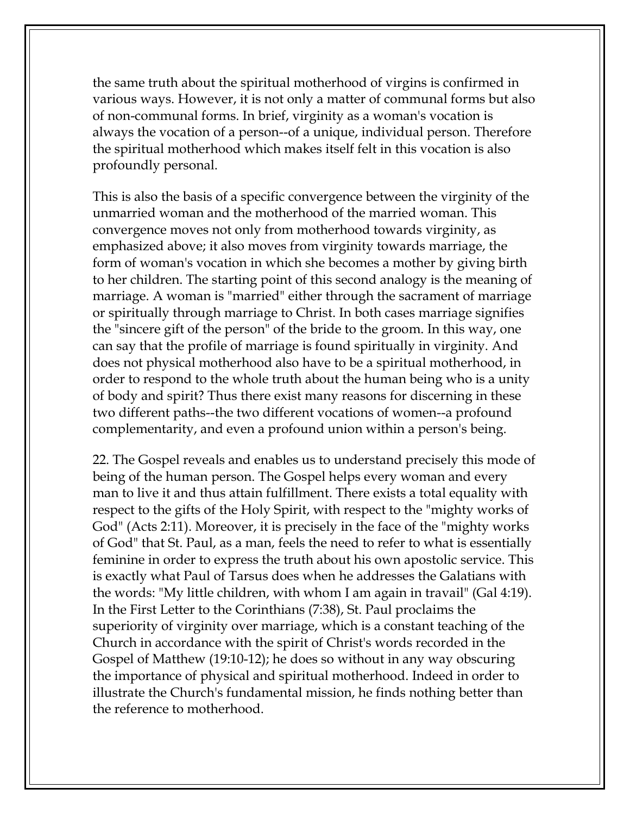the same truth about the spiritual motherhood of virgins is confirmed in various ways. However, it is not only a matter of communal forms but also of non-communal forms. In brief, virginity as a woman's vocation is always the vocation of a person--of a unique, individual person. Therefore the spiritual motherhood which makes itself felt in this vocation is also profoundly personal.

This is also the basis of a specific convergence between the virginity of the unmarried woman and the motherhood of the married woman. This convergence moves not only from motherhood towards virginity, as emphasized above; it also moves from virginity towards marriage, the form of woman's vocation in which she becomes a mother by giving birth to her children. The starting point of this second analogy is the meaning of marriage. A woman is "married" either through the sacrament of marriage or spiritually through marriage to Christ. In both cases marriage signifies the "sincere gift of the person" of the bride to the groom. In this way, one can say that the profile of marriage is found spiritually in virginity. And does not physical motherhood also have to be a spiritual motherhood, in order to respond to the whole truth about the human being who is a unity of body and spirit? Thus there exist many reasons for discerning in these two different paths--the two different vocations of women--a profound complementarity, and even a profound union within a person's being.

22. The Gospel reveals and enables us to understand precisely this mode of being of the human person. The Gospel helps every woman and every man to live it and thus attain fulfillment. There exists a total equality with respect to the gifts of the Holy Spirit, with respect to the "mighty works of God" (Acts 2:11). Moreover, it is precisely in the face of the "mighty works of God" that St. Paul, as a man, feels the need to refer to what is essentially feminine in order to express the truth about his own apostolic service. This is exactly what Paul of Tarsus does when he addresses the Galatians with the words: "My little children, with whom I am again in travail" (Gal 4:19). In the First Letter to the Corinthians (7:38), St. Paul proclaims the superiority of virginity over marriage, which is a constant teaching of the Church in accordance with the spirit of Christ's words recorded in the Gospel of Matthew (19:10-12); he does so without in any way obscuring the importance of physical and spiritual motherhood. Indeed in order to illustrate the Church's fundamental mission, he finds nothing better than the reference to motherhood.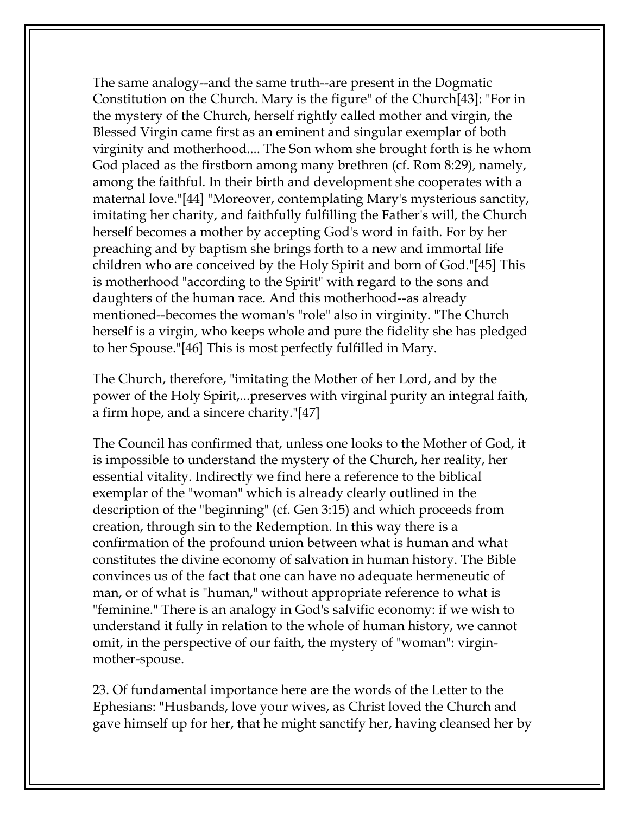The same analogy--and the same truth--are present in the Dogmatic Constitution on the Church. Mary is the figure" of the Church[43]: "For in the mystery of the Church, herself rightly called mother and virgin, the Blessed Virgin came first as an eminent and singular exemplar of both virginity and motherhood.... The Son whom she brought forth is he whom God placed as the firstborn among many brethren (cf. Rom 8:29), namely, among the faithful. In their birth and development she cooperates with a maternal love."[44] "Moreover, contemplating Mary's mysterious sanctity, imitating her charity, and faithfully fulfilling the Father's will, the Church herself becomes a mother by accepting God's word in faith. For by her preaching and by baptism she brings forth to a new and immortal life children who are conceived by the Holy Spirit and born of God."[45] This is motherhood "according to the Spirit" with regard to the sons and daughters of the human race. And this motherhood--as already mentioned--becomes the woman's "role" also in virginity. "The Church herself is a virgin, who keeps whole and pure the fidelity she has pledged to her Spouse."[46] This is most perfectly fulfilled in Mary.

The Church, therefore, "imitating the Mother of her Lord, and by the power of the Holy Spirit,...preserves with virginal purity an integral faith, a firm hope, and a sincere charity."[47]

The Council has confirmed that, unless one looks to the Mother of God, it is impossible to understand the mystery of the Church, her reality, her essential vitality. Indirectly we find here a reference to the biblical exemplar of the "woman" which is already clearly outlined in the description of the "beginning" (cf. Gen 3:15) and which proceeds from creation, through sin to the Redemption. In this way there is a confirmation of the profound union between what is human and what constitutes the divine economy of salvation in human history. The Bible convinces us of the fact that one can have no adequate hermeneutic of man, or of what is "human," without appropriate reference to what is "feminine." There is an analogy in God's salvific economy: if we wish to understand it fully in relation to the whole of human history, we cannot omit, in the perspective of our faith, the mystery of "woman": virginmother-spouse.

23. Of fundamental importance here are the words of the Letter to the Ephesians: "Husbands, love your wives, as Christ loved the Church and gave himself up for her, that he might sanctify her, having cleansed her by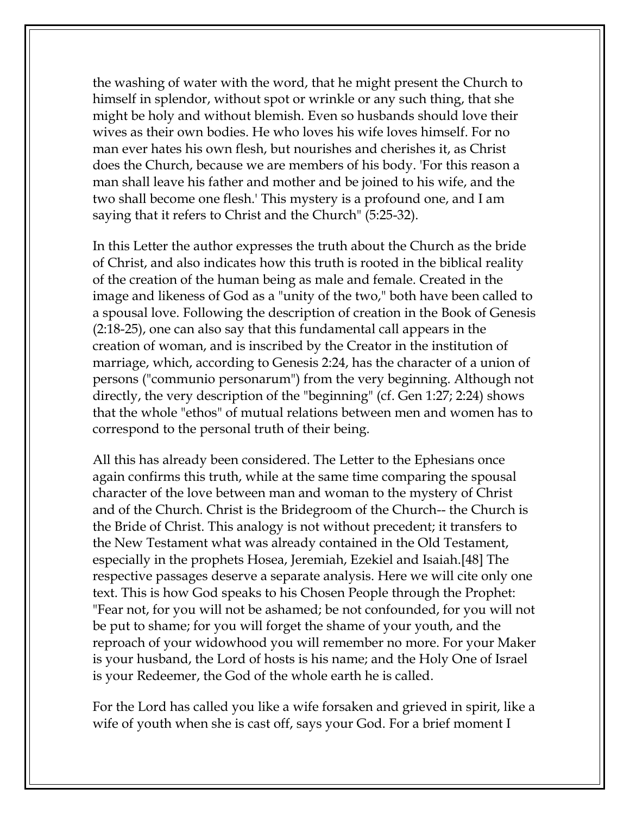the washing of water with the word, that he might present the Church to himself in splendor, without spot or wrinkle or any such thing, that she might be holy and without blemish. Even so husbands should love their wives as their own bodies. He who loves his wife loves himself. For no man ever hates his own flesh, but nourishes and cherishes it, as Christ does the Church, because we are members of his body. 'For this reason a man shall leave his father and mother and be joined to his wife, and the two shall become one flesh.' This mystery is a profound one, and I am saying that it refers to Christ and the Church" (5:25-32).

In this Letter the author expresses the truth about the Church as the bride of Christ, and also indicates how this truth is rooted in the biblical reality of the creation of the human being as male and female. Created in the image and likeness of God as a "unity of the two," both have been called to a spousal love. Following the description of creation in the Book of Genesis (2:18-25), one can also say that this fundamental call appears in the creation of woman, and is inscribed by the Creator in the institution of marriage, which, according to Genesis 2:24, has the character of a union of persons ("communio personarum") from the very beginning. Although not directly, the very description of the "beginning" (cf. Gen 1:27; 2:24) shows that the whole "ethos" of mutual relations between men and women has to correspond to the personal truth of their being.

All this has already been considered. The Letter to the Ephesians once again confirms this truth, while at the same time comparing the spousal character of the love between man and woman to the mystery of Christ and of the Church. Christ is the Bridegroom of the Church-- the Church is the Bride of Christ. This analogy is not without precedent; it transfers to the New Testament what was already contained in the Old Testament, especially in the prophets Hosea, Jeremiah, Ezekiel and Isaiah.[48] The respective passages deserve a separate analysis. Here we will cite only one text. This is how God speaks to his Chosen People through the Prophet: "Fear not, for you will not be ashamed; be not confounded, for you will not be put to shame; for you will forget the shame of your youth, and the reproach of your widowhood you will remember no more. For your Maker is your husband, the Lord of hosts is his name; and the Holy One of Israel is your Redeemer, the God of the whole earth he is called.

For the Lord has called you like a wife forsaken and grieved in spirit, like a wife of youth when she is cast off, says your God. For a brief moment I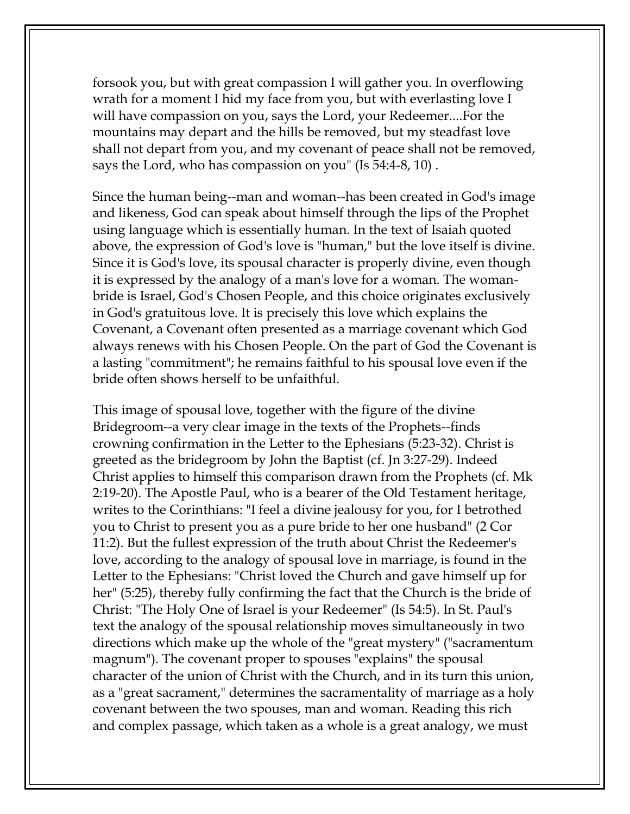forsook you, but with great compassion I will gather you. In overflowing wrath for a moment I hid my face from you, but with everlasting love I will have compassion on you, says the Lord, your Redeemer....For the mountains may depart and the hills be removed, but my steadfast love shall not depart from you, and my covenant of peace shall not be removed, says the Lord, who has compassion on you" (Is 54:4-8, 10) .

Since the human being--man and woman--has been created in God's image and likeness, God can speak about himself through the lips of the Prophet using language which is essentially human. In the text of Isaiah quoted above, the expression of God's love is "human," but the love itself is divine. Since it is God's love, its spousal character is properly divine, even though it is expressed by the analogy of a man's love for a woman. The womanbride is Israel, God's Chosen People, and this choice originates exclusively in God's gratuitous love. It is precisely this love which explains the Covenant, a Covenant often presented as a marriage covenant which God always renews with his Chosen People. On the part of God the Covenant is a lasting "commitment"; he remains faithful to his spousal love even if the bride often shows herself to be unfaithful.

This image of spousal love, together with the figure of the divine Bridegroom--a very clear image in the texts of the Prophets--finds crowning confirmation in the Letter to the Ephesians (5:23-32). Christ is greeted as the bridegroom by John the Baptist (cf. Jn 3:27-29). Indeed Christ applies to himself this comparison drawn from the Prophets (cf. Mk 2:19-20). The Apostle Paul, who is a bearer of the Old Testament heritage, writes to the Corinthians: "I feel a divine jealousy for you, for I betrothed you to Christ to present you as a pure bride to her one husband" (2 Cor 11:2). But the fullest expression of the truth about Christ the Redeemer's love, according to the analogy of spousal love in marriage, is found in the Letter to the Ephesians: "Christ loved the Church and gave himself up for her" (5:25), thereby fully confirming the fact that the Church is the bride of Christ: "The Holy One of Israel is your Redeemer" (Is 54:5). In St. Paul's text the analogy of the spousal relationship moves simultaneously in two directions which make up the whole of the "great mystery" ("sacramentum magnum"). The covenant proper to spouses "explains" the spousal character of the union of Christ with the Church, and in its turn this union, as a "great sacrament," determines the sacramentality of marriage as a holy covenant between the two spouses, man and woman. Reading this rich and complex passage, which taken as a whole is a great analogy, we must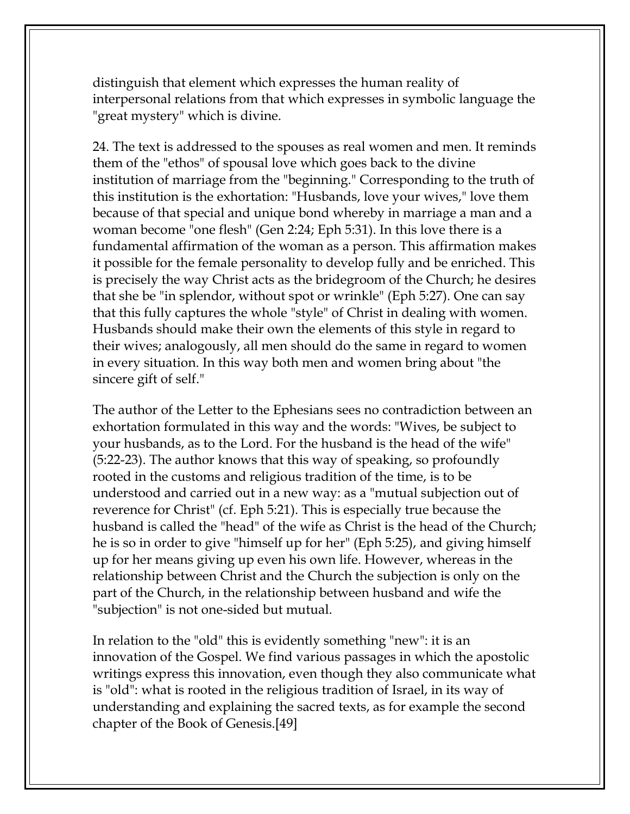distinguish that element which expresses the human reality of interpersonal relations from that which expresses in symbolic language the "great mystery" which is divine.

24. The text is addressed to the spouses as real women and men. It reminds them of the "ethos" of spousal love which goes back to the divine institution of marriage from the "beginning." Corresponding to the truth of this institution is the exhortation: "Husbands, love your wives," love them because of that special and unique bond whereby in marriage a man and a woman become "one flesh" (Gen 2:24; Eph 5:31). In this love there is a fundamental affirmation of the woman as a person. This affirmation makes it possible for the female personality to develop fully and be enriched. This is precisely the way Christ acts as the bridegroom of the Church; he desires that she be "in splendor, without spot or wrinkle" (Eph 5:27). One can say that this fully captures the whole "style" of Christ in dealing with women. Husbands should make their own the elements of this style in regard to their wives; analogously, all men should do the same in regard to women in every situation. In this way both men and women bring about "the sincere gift of self."

The author of the Letter to the Ephesians sees no contradiction between an exhortation formulated in this way and the words: "Wives, be subject to your husbands, as to the Lord. For the husband is the head of the wife" (5:22-23). The author knows that this way of speaking, so profoundly rooted in the customs and religious tradition of the time, is to be understood and carried out in a new way: as a "mutual subjection out of reverence for Christ" (cf. Eph 5:21). This is especially true because the husband is called the "head" of the wife as Christ is the head of the Church; he is so in order to give "himself up for her" (Eph 5:25), and giving himself up for her means giving up even his own life. However, whereas in the relationship between Christ and the Church the subjection is only on the part of the Church, in the relationship between husband and wife the "subjection" is not one-sided but mutual.

In relation to the "old" this is evidently something "new": it is an innovation of the Gospel. We find various passages in which the apostolic writings express this innovation, even though they also communicate what is "old": what is rooted in the religious tradition of Israel, in its way of understanding and explaining the sacred texts, as for example the second chapter of the Book of Genesis.[49]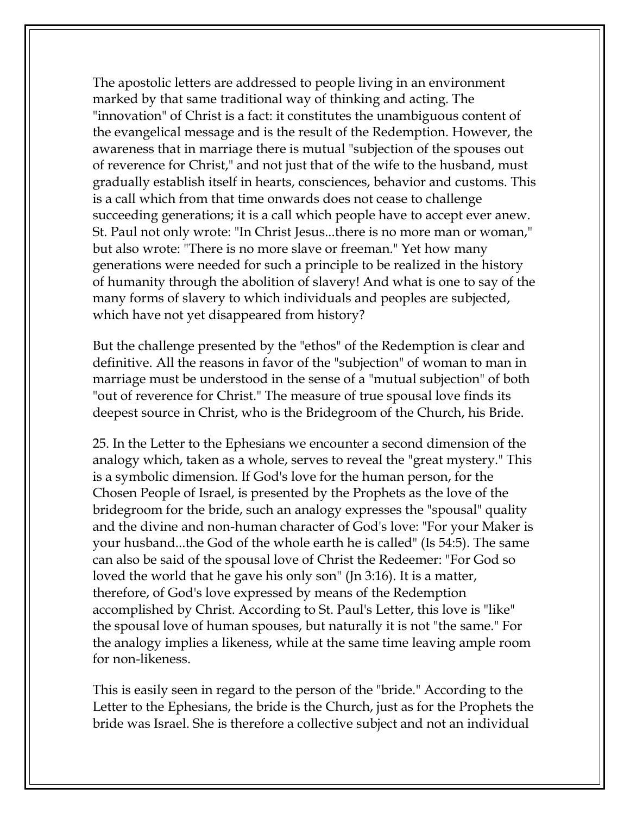The apostolic letters are addressed to people living in an environment marked by that same traditional way of thinking and acting. The "innovation" of Christ is a fact: it constitutes the unambiguous content of the evangelical message and is the result of the Redemption. However, the awareness that in marriage there is mutual "subjection of the spouses out of reverence for Christ," and not just that of the wife to the husband, must gradually establish itself in hearts, consciences, behavior and customs. This is a call which from that time onwards does not cease to challenge succeeding generations; it is a call which people have to accept ever anew. St. Paul not only wrote: "In Christ Jesus...there is no more man or woman," but also wrote: "There is no more slave or freeman." Yet how many generations were needed for such a principle to be realized in the history of humanity through the abolition of slavery! And what is one to say of the many forms of slavery to which individuals and peoples are subjected, which have not yet disappeared from history?

But the challenge presented by the "ethos" of the Redemption is clear and definitive. All the reasons in favor of the "subjection" of woman to man in marriage must be understood in the sense of a "mutual subjection" of both "out of reverence for Christ." The measure of true spousal love finds its deepest source in Christ, who is the Bridegroom of the Church, his Bride.

25. In the Letter to the Ephesians we encounter a second dimension of the analogy which, taken as a whole, serves to reveal the "great mystery." This is a symbolic dimension. If God's love for the human person, for the Chosen People of Israel, is presented by the Prophets as the love of the bridegroom for the bride, such an analogy expresses the "spousal" quality and the divine and non-human character of God's love: "For your Maker is your husband...the God of the whole earth he is called" (Is 54:5). The same can also be said of the spousal love of Christ the Redeemer: "For God so loved the world that he gave his only son" (Jn 3:16). It is a matter, therefore, of God's love expressed by means of the Redemption accomplished by Christ. According to St. Paul's Letter, this love is "like" the spousal love of human spouses, but naturally it is not "the same." For the analogy implies a likeness, while at the same time leaving ample room for non-likeness.

This is easily seen in regard to the person of the "bride." According to the Letter to the Ephesians, the bride is the Church, just as for the Prophets the bride was Israel. She is therefore a collective subject and not an individual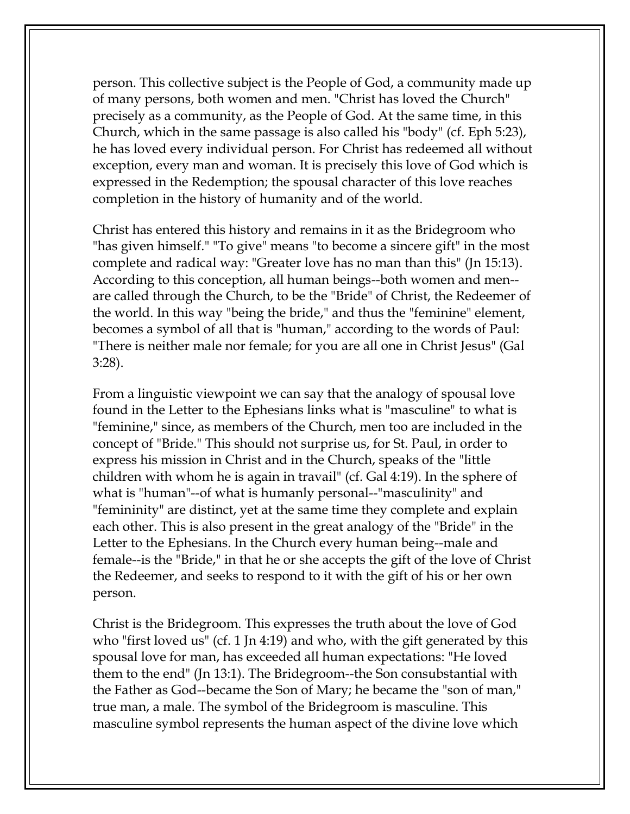person. This collective subject is the People of God, a community made up of many persons, both women and men. "Christ has loved the Church" precisely as a community, as the People of God. At the same time, in this Church, which in the same passage is also called his "body" (cf. Eph 5:23), he has loved every individual person. For Christ has redeemed all without exception, every man and woman. It is precisely this love of God which is expressed in the Redemption; the spousal character of this love reaches completion in the history of humanity and of the world.

Christ has entered this history and remains in it as the Bridegroom who "has given himself." "To give" means "to become a sincere gift" in the most complete and radical way: "Greater love has no man than this" (Jn 15:13). According to this conception, all human beings--both women and men- are called through the Church, to be the "Bride" of Christ, the Redeemer of the world. In this way "being the bride," and thus the "feminine" element, becomes a symbol of all that is "human," according to the words of Paul: "There is neither male nor female; for you are all one in Christ Jesus" (Gal 3:28).

From a linguistic viewpoint we can say that the analogy of spousal love found in the Letter to the Ephesians links what is "masculine" to what is "feminine," since, as members of the Church, men too are included in the concept of "Bride." This should not surprise us, for St. Paul, in order to express his mission in Christ and in the Church, speaks of the "little children with whom he is again in travail" (cf. Gal 4:19). In the sphere of what is "human"--of what is humanly personal--"masculinity" and "femininity" are distinct, yet at the same time they complete and explain each other. This is also present in the great analogy of the "Bride" in the Letter to the Ephesians. In the Church every human being--male and female--is the "Bride," in that he or she accepts the gift of the love of Christ the Redeemer, and seeks to respond to it with the gift of his or her own person.

Christ is the Bridegroom. This expresses the truth about the love of God who "first loved us" (cf. 1 Jn 4:19) and who, with the gift generated by this spousal love for man, has exceeded all human expectations: "He loved them to the end" (Jn 13:1). The Bridegroom--the Son consubstantial with the Father as God--became the Son of Mary; he became the "son of man," true man, a male. The symbol of the Bridegroom is masculine. This masculine symbol represents the human aspect of the divine love which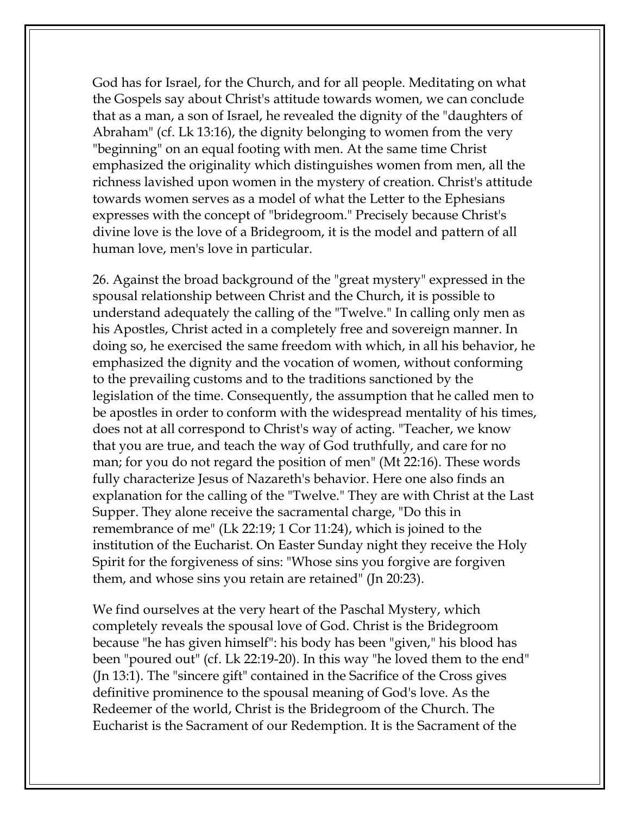God has for Israel, for the Church, and for all people. Meditating on what the Gospels say about Christ's attitude towards women, we can conclude that as a man, a son of Israel, he revealed the dignity of the "daughters of Abraham" (cf. Lk 13:16), the dignity belonging to women from the very "beginning" on an equal footing with men. At the same time Christ emphasized the originality which distinguishes women from men, all the richness lavished upon women in the mystery of creation. Christ's attitude towards women serves as a model of what the Letter to the Ephesians expresses with the concept of "bridegroom." Precisely because Christ's divine love is the love of a Bridegroom, it is the model and pattern of all human love, men's love in particular.

26. Against the broad background of the "great mystery" expressed in the spousal relationship between Christ and the Church, it is possible to understand adequately the calling of the "Twelve." In calling only men as his Apostles, Christ acted in a completely free and sovereign manner. In doing so, he exercised the same freedom with which, in all his behavior, he emphasized the dignity and the vocation of women, without conforming to the prevailing customs and to the traditions sanctioned by the legislation of the time. Consequently, the assumption that he called men to be apostles in order to conform with the widespread mentality of his times, does not at all correspond to Christ's way of acting. "Teacher, we know that you are true, and teach the way of God truthfully, and care for no man; for you do not regard the position of men" (Mt 22:16). These words fully characterize Jesus of Nazareth's behavior. Here one also finds an explanation for the calling of the "Twelve." They are with Christ at the Last Supper. They alone receive the sacramental charge, "Do this in remembrance of me" (Lk 22:19; 1 Cor 11:24), which is joined to the institution of the Eucharist. On Easter Sunday night they receive the Holy Spirit for the forgiveness of sins: "Whose sins you forgive are forgiven them, and whose sins you retain are retained" (Jn 20:23).

We find ourselves at the very heart of the Paschal Mystery, which completely reveals the spousal love of God. Christ is the Bridegroom because "he has given himself": his body has been "given," his blood has been "poured out" (cf. Lk 22:19-20). In this way "he loved them to the end" (Jn 13:1). The "sincere gift" contained in the Sacrifice of the Cross gives definitive prominence to the spousal meaning of God's love. As the Redeemer of the world, Christ is the Bridegroom of the Church. The Eucharist is the Sacrament of our Redemption. It is the Sacrament of the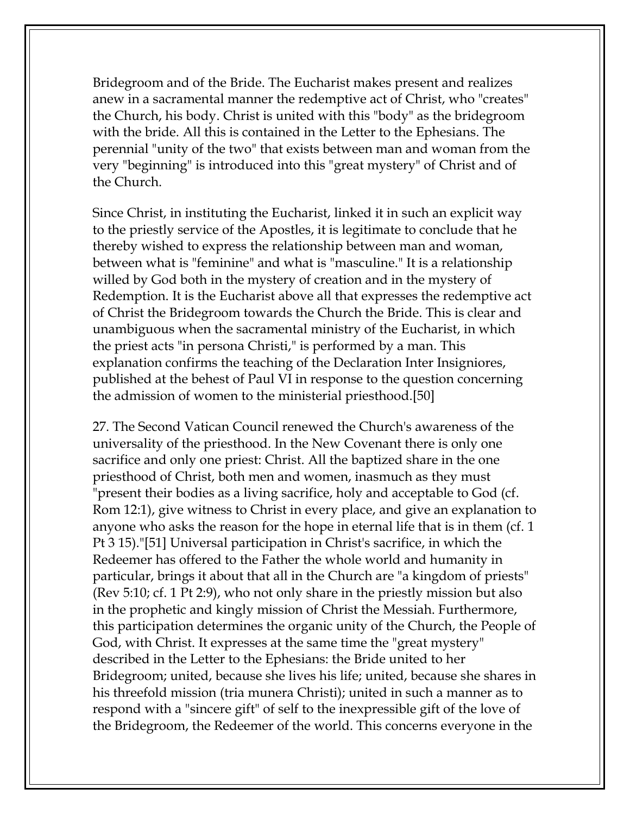Bridegroom and of the Bride. The Eucharist makes present and realizes anew in a sacramental manner the redemptive act of Christ, who "creates" the Church, his body. Christ is united with this "body" as the bridegroom with the bride. All this is contained in the Letter to the Ephesians. The perennial "unity of the two" that exists between man and woman from the very "beginning" is introduced into this "great mystery" of Christ and of the Church.

Since Christ, in instituting the Eucharist, linked it in such an explicit way to the priestly service of the Apostles, it is legitimate to conclude that he thereby wished to express the relationship between man and woman, between what is "feminine" and what is "masculine." It is a relationship willed by God both in the mystery of creation and in the mystery of Redemption. It is the Eucharist above all that expresses the redemptive act of Christ the Bridegroom towards the Church the Bride. This is clear and unambiguous when the sacramental ministry of the Eucharist, in which the priest acts "in persona Christi," is performed by a man. This explanation confirms the teaching of the Declaration Inter Insigniores, published at the behest of Paul VI in response to the question concerning the admission of women to the ministerial priesthood.[50]

27. The Second Vatican Council renewed the Church's awareness of the universality of the priesthood. In the New Covenant there is only one sacrifice and only one priest: Christ. All the baptized share in the one priesthood of Christ, both men and women, inasmuch as they must "present their bodies as a living sacrifice, holy and acceptable to God (cf. Rom 12:1), give witness to Christ in every place, and give an explanation to anyone who asks the reason for the hope in eternal life that is in them (cf. 1 Pt 3 15)."[51] Universal participation in Christ's sacrifice, in which the Redeemer has offered to the Father the whole world and humanity in particular, brings it about that all in the Church are "a kingdom of priests" (Rev 5:10; cf. 1 Pt 2:9), who not only share in the priestly mission but also in the prophetic and kingly mission of Christ the Messiah. Furthermore, this participation determines the organic unity of the Church, the People of God, with Christ. It expresses at the same time the "great mystery" described in the Letter to the Ephesians: the Bride united to her Bridegroom; united, because she lives his life; united, because she shares in his threefold mission (tria munera Christi); united in such a manner as to respond with a "sincere gift" of self to the inexpressible gift of the love of the Bridegroom, the Redeemer of the world. This concerns everyone in the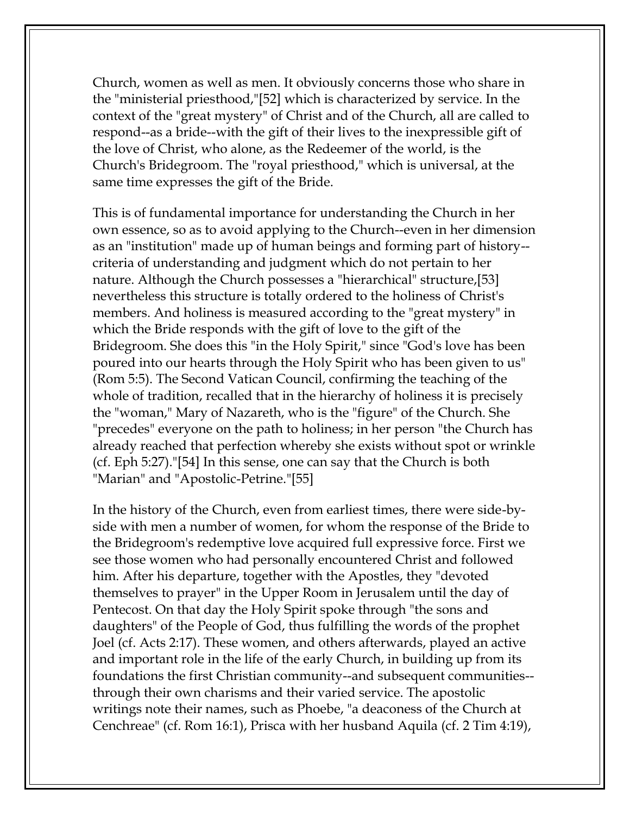Church, women as well as men. It obviously concerns those who share in the "ministerial priesthood,"[52] which is characterized by service. In the context of the "great mystery" of Christ and of the Church, all are called to respond--as a bride--with the gift of their lives to the inexpressible gift of the love of Christ, who alone, as the Redeemer of the world, is the Church's Bridegroom. The "royal priesthood," which is universal, at the same time expresses the gift of the Bride.

This is of fundamental importance for understanding the Church in her own essence, so as to avoid applying to the Church--even in her dimension as an "institution" made up of human beings and forming part of history- criteria of understanding and judgment which do not pertain to her nature. Although the Church possesses a "hierarchical" structure,[53] nevertheless this structure is totally ordered to the holiness of Christ's members. And holiness is measured according to the "great mystery" in which the Bride responds with the gift of love to the gift of the Bridegroom. She does this "in the Holy Spirit," since "God's love has been poured into our hearts through the Holy Spirit who has been given to us" (Rom 5:5). The Second Vatican Council, confirming the teaching of the whole of tradition, recalled that in the hierarchy of holiness it is precisely the "woman," Mary of Nazareth, who is the "figure" of the Church. She "precedes" everyone on the path to holiness; in her person "the Church has already reached that perfection whereby she exists without spot or wrinkle (cf. Eph 5:27)."[54] In this sense, one can say that the Church is both "Marian" and "Apostolic-Petrine."[55]

In the history of the Church, even from earliest times, there were side-byside with men a number of women, for whom the response of the Bride to the Bridegroom's redemptive love acquired full expressive force. First we see those women who had personally encountered Christ and followed him. After his departure, together with the Apostles, they "devoted themselves to prayer" in the Upper Room in Jerusalem until the day of Pentecost. On that day the Holy Spirit spoke through "the sons and daughters" of the People of God, thus fulfilling the words of the prophet Joel (cf. Acts 2:17). These women, and others afterwards, played an active and important role in the life of the early Church, in building up from its foundations the first Christian community--and subsequent communities- through their own charisms and their varied service. The apostolic writings note their names, such as Phoebe, "a deaconess of the Church at Cenchreae" (cf. Rom 16:1), Prisca with her husband Aquila (cf. 2 Tim 4:19),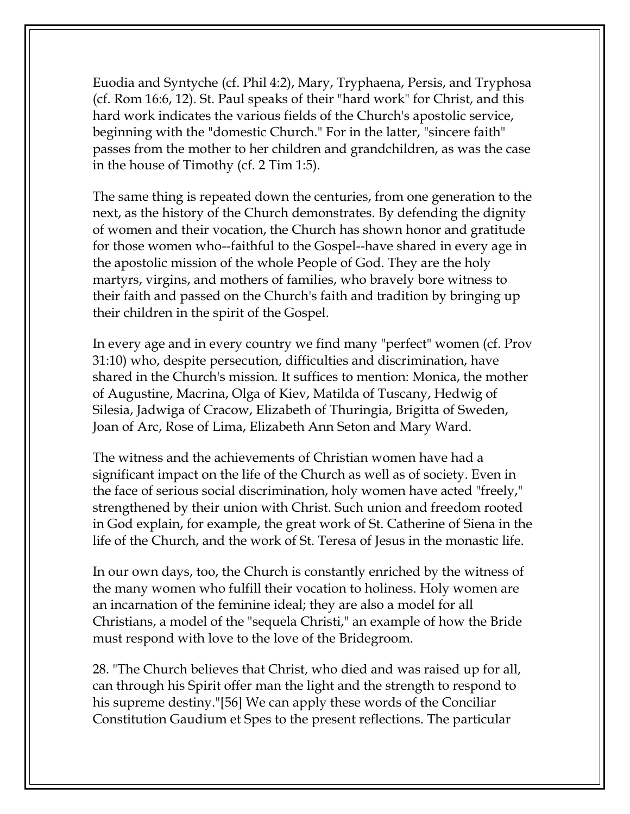Euodia and Syntyche (cf. Phil 4:2), Mary, Tryphaena, Persis, and Tryphosa (cf. Rom 16:6, 12). St. Paul speaks of their "hard work" for Christ, and this hard work indicates the various fields of the Church's apostolic service, beginning with the "domestic Church." For in the latter, "sincere faith" passes from the mother to her children and grandchildren, as was the case in the house of Timothy (cf. 2 Tim 1:5).

The same thing is repeated down the centuries, from one generation to the next, as the history of the Church demonstrates. By defending the dignity of women and their vocation, the Church has shown honor and gratitude for those women who--faithful to the Gospel--have shared in every age in the apostolic mission of the whole People of God. They are the holy martyrs, virgins, and mothers of families, who bravely bore witness to their faith and passed on the Church's faith and tradition by bringing up their children in the spirit of the Gospel.

In every age and in every country we find many "perfect" women (cf. Prov 31:10) who, despite persecution, difficulties and discrimination, have shared in the Church's mission. It suffices to mention: Monica, the mother of Augustine, Macrina, Olga of Kiev, Matilda of Tuscany, Hedwig of Silesia, Jadwiga of Cracow, Elizabeth of Thuringia, Brigitta of Sweden, Joan of Arc, Rose of Lima, Elizabeth Ann Seton and Mary Ward.

The witness and the achievements of Christian women have had a significant impact on the life of the Church as well as of society. Even in the face of serious social discrimination, holy women have acted "freely," strengthened by their union with Christ. Such union and freedom rooted in God explain, for example, the great work of St. Catherine of Siena in the life of the Church, and the work of St. Teresa of Jesus in the monastic life.

In our own days, too, the Church is constantly enriched by the witness of the many women who fulfill their vocation to holiness. Holy women are an incarnation of the feminine ideal; they are also a model for all Christians, a model of the "sequela Christi," an example of how the Bride must respond with love to the love of the Bridegroom.

28. "The Church believes that Christ, who died and was raised up for all, can through his Spirit offer man the light and the strength to respond to his supreme destiny."[56] We can apply these words of the Conciliar Constitution Gaudium et Spes to the present reflections. The particular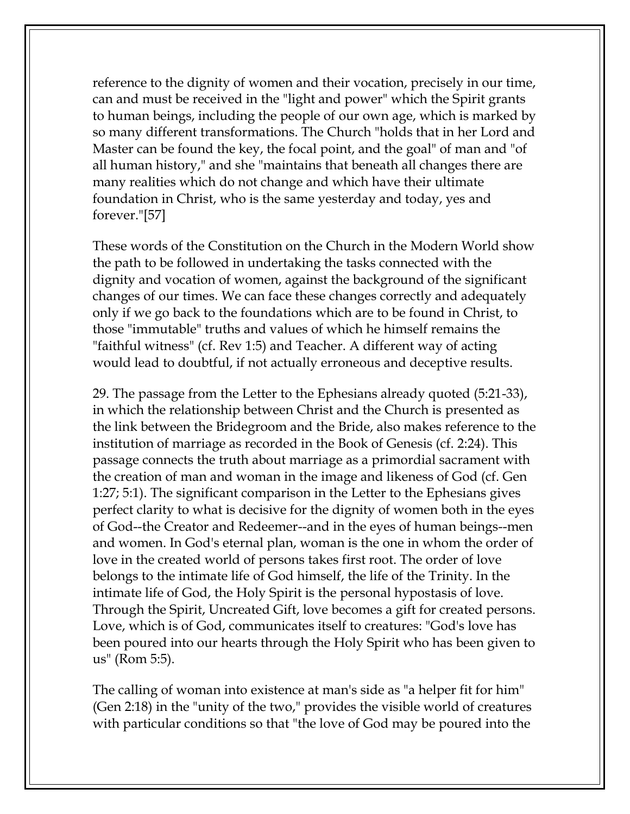reference to the dignity of women and their vocation, precisely in our time, can and must be received in the "light and power" which the Spirit grants to human beings, including the people of our own age, which is marked by so many different transformations. The Church "holds that in her Lord and Master can be found the key, the focal point, and the goal" of man and "of all human history," and she "maintains that beneath all changes there are many realities which do not change and which have their ultimate foundation in Christ, who is the same yesterday and today, yes and forever."[57]

These words of the Constitution on the Church in the Modern World show the path to be followed in undertaking the tasks connected with the dignity and vocation of women, against the background of the significant changes of our times. We can face these changes correctly and adequately only if we go back to the foundations which are to be found in Christ, to those "immutable" truths and values of which he himself remains the "faithful witness" (cf. Rev 1:5) and Teacher. A different way of acting would lead to doubtful, if not actually erroneous and deceptive results.

29. The passage from the Letter to the Ephesians already quoted (5:21-33), in which the relationship between Christ and the Church is presented as the link between the Bridegroom and the Bride, also makes reference to the institution of marriage as recorded in the Book of Genesis (cf. 2:24). This passage connects the truth about marriage as a primordial sacrament with the creation of man and woman in the image and likeness of God (cf. Gen 1:27; 5:1). The significant comparison in the Letter to the Ephesians gives perfect clarity to what is decisive for the dignity of women both in the eyes of God--the Creator and Redeemer--and in the eyes of human beings--men and women. In God's eternal plan, woman is the one in whom the order of love in the created world of persons takes first root. The order of love belongs to the intimate life of God himself, the life of the Trinity. In the intimate life of God, the Holy Spirit is the personal hypostasis of love. Through the Spirit, Uncreated Gift, love becomes a gift for created persons. Love, which is of God, communicates itself to creatures: "God's love has been poured into our hearts through the Holy Spirit who has been given to us" (Rom 5:5).

The calling of woman into existence at man's side as "a helper fit for him" (Gen 2:18) in the "unity of the two," provides the visible world of creatures with particular conditions so that "the love of God may be poured into the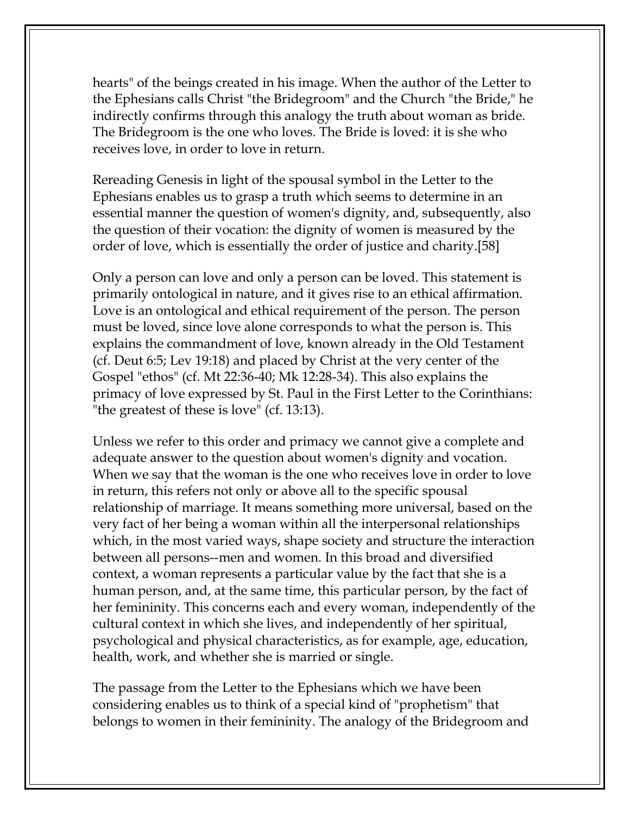hearts" of the beings created in his image. When the author of the Letter to the Ephesians calls Christ "the Bridegroom" and the Church "the Bride," he indirectly confirms through this analogy the truth about woman as bride. The Bridegroom is the one who loves. The Bride is loved: it is she who receives love, in order to love in return.

Rereading Genesis in light of the spousal symbol in the Letter to the Ephesians enables us to grasp a truth which seems to determine in an essential manner the question of women's dignity, and, subsequently, also the question of their vocation: the dignity of women is measured by the order of love, which is essentially the order of justice and charity.[58]

Only a person can love and only a person can be loved. This statement is primarily ontological in nature, and it gives rise to an ethical affirmation. Love is an ontological and ethical requirement of the person. The person must be loved, since love alone corresponds to what the person is. This explains the commandment of love, known already in the Old Testament (cf. Deut 6:5; Lev 19:18) and placed by Christ at the very center of the Gospel "ethos" (cf. Mt 22:36-40; Mk 12:28-34). This also explains the primacy of love expressed by St. Paul in the First Letter to the Corinthians: "the greatest of these is love" (cf. 13:13).

Unless we refer to this order and primacy we cannot give a complete and adequate answer to the question about women's dignity and vocation. When we say that the woman is the one who receives love in order to love in return, this refers not only or above all to the specific spousal relationship of marriage. It means something more universal, based on the very fact of her being a woman within all the interpersonal relationships which, in the most varied ways, shape society and structure the interaction between all persons--men and women. In this broad and diversified context, a woman represents a particular value by the fact that she is a human person, and, at the same time, this particular person, by the fact of her femininity. This concerns each and every woman, independently of the cultural context in which she lives, and independently of her spiritual, psychological and physical characteristics, as for example, age, education, health, work, and whether she is married or single.

The passage from the Letter to the Ephesians which we have been considering enables us to think of a special kind of "prophetism" that belongs to women in their femininity. The analogy of the Bridegroom and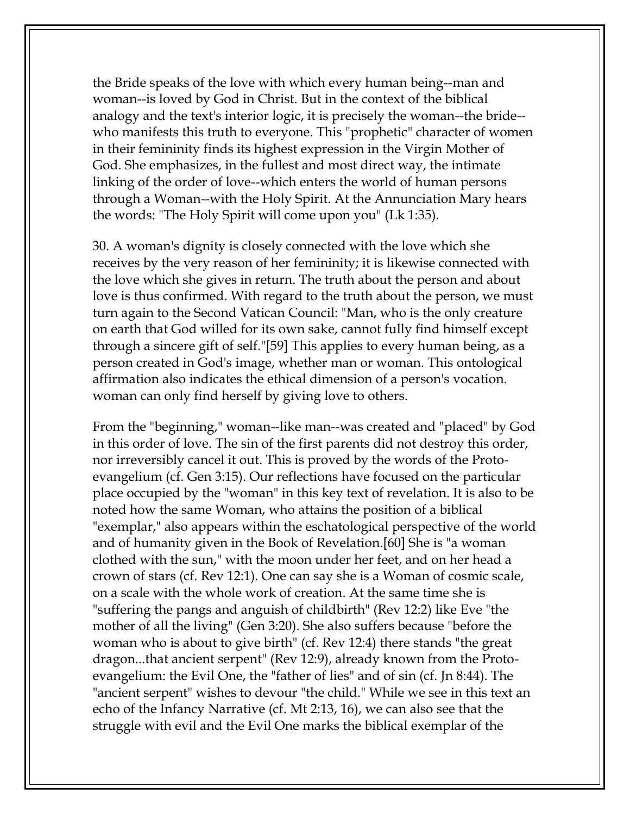the Bride speaks of the love with which every human being--man and woman--is loved by God in Christ. But in the context of the biblical analogy and the text's interior logic, it is precisely the woman--the bride- who manifests this truth to everyone. This "prophetic" character of women in their femininity finds its highest expression in the Virgin Mother of God. She emphasizes, in the fullest and most direct way, the intimate linking of the order of love--which enters the world of human persons through a Woman--with the Holy Spirit. At the Annunciation Mary hears the words: "The Holy Spirit will come upon you" (Lk 1:35).

30. A woman's dignity is closely connected with the love which she receives by the very reason of her femininity; it is likewise connected with the love which she gives in return. The truth about the person and about love is thus confirmed. With regard to the truth about the person, we must turn again to the Second Vatican Council: "Man, who is the only creature on earth that God willed for its own sake, cannot fully find himself except through a sincere gift of self."[59] This applies to every human being, as a person created in God's image, whether man or woman. This ontological affirmation also indicates the ethical dimension of a person's vocation. woman can only find herself by giving love to others.

From the "beginning," woman--like man--was created and "placed" by God in this order of love. The sin of the first parents did not destroy this order, nor irreversibly cancel it out. This is proved by the words of the Protoevangelium (cf. Gen 3:15). Our reflections have focused on the particular place occupied by the "woman" in this key text of revelation. It is also to be noted how the same Woman, who attains the position of a biblical "exemplar," also appears within the eschatological perspective of the world and of humanity given in the Book of Revelation.[60] She is "a woman clothed with the sun," with the moon under her feet, and on her head a crown of stars (cf. Rev 12:1). One can say she is a Woman of cosmic scale, on a scale with the whole work of creation. At the same time she is "suffering the pangs and anguish of childbirth" (Rev 12:2) like Eve "the mother of all the living" (Gen 3:20). She also suffers because "before the woman who is about to give birth" (cf. Rev 12:4) there stands "the great dragon...that ancient serpent" (Rev 12:9), already known from the Protoevangelium: the Evil One, the "father of lies" and of sin (cf. Jn 8:44). The "ancient serpent" wishes to devour "the child." While we see in this text an echo of the Infancy Narrative (cf. Mt 2:13, 16), we can also see that the struggle with evil and the Evil One marks the biblical exemplar of the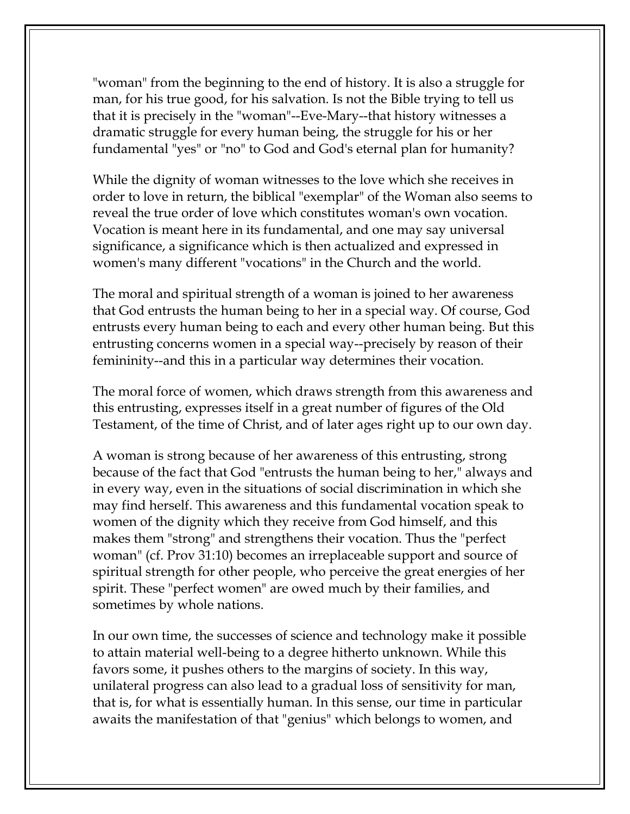"woman" from the beginning to the end of history. It is also a struggle for man, for his true good, for his salvation. Is not the Bible trying to tell us that it is precisely in the "woman"--Eve-Mary--that history witnesses a dramatic struggle for every human being, the struggle for his or her fundamental "yes" or "no" to God and God's eternal plan for humanity?

While the dignity of woman witnesses to the love which she receives in order to love in return, the biblical "exemplar" of the Woman also seems to reveal the true order of love which constitutes woman's own vocation. Vocation is meant here in its fundamental, and one may say universal significance, a significance which is then actualized and expressed in women's many different "vocations" in the Church and the world.

The moral and spiritual strength of a woman is joined to her awareness that God entrusts the human being to her in a special way. Of course, God entrusts every human being to each and every other human being. But this entrusting concerns women in a special way--precisely by reason of their femininity--and this in a particular way determines their vocation.

The moral force of women, which draws strength from this awareness and this entrusting, expresses itself in a great number of figures of the Old Testament, of the time of Christ, and of later ages right up to our own day.

A woman is strong because of her awareness of this entrusting, strong because of the fact that God "entrusts the human being to her," always and in every way, even in the situations of social discrimination in which she may find herself. This awareness and this fundamental vocation speak to women of the dignity which they receive from God himself, and this makes them "strong" and strengthens their vocation. Thus the "perfect woman" (cf. Prov 31:10) becomes an irreplaceable support and source of spiritual strength for other people, who perceive the great energies of her spirit. These "perfect women" are owed much by their families, and sometimes by whole nations.

In our own time, the successes of science and technology make it possible to attain material well-being to a degree hitherto unknown. While this favors some, it pushes others to the margins of society. In this way, unilateral progress can also lead to a gradual loss of sensitivity for man, that is, for what is essentially human. In this sense, our time in particular awaits the manifestation of that "genius" which belongs to women, and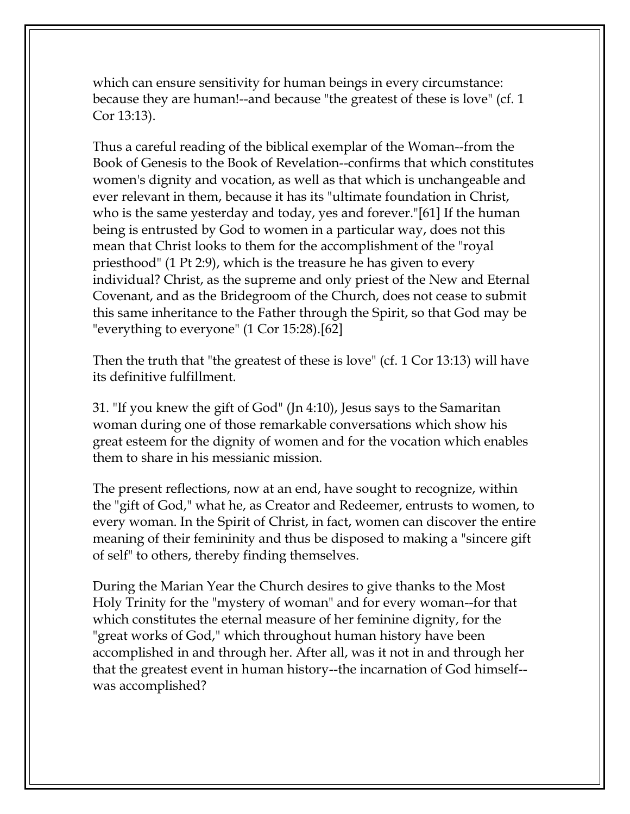which can ensure sensitivity for human beings in every circumstance: because they are human!--and because "the greatest of these is love" (cf. 1 Cor 13:13).

Thus a careful reading of the biblical exemplar of the Woman--from the Book of Genesis to the Book of Revelation--confirms that which constitutes women's dignity and vocation, as well as that which is unchangeable and ever relevant in them, because it has its "ultimate foundation in Christ, who is the same yesterday and today, yes and forever."[61] If the human being is entrusted by God to women in a particular way, does not this mean that Christ looks to them for the accomplishment of the "royal priesthood" (1 Pt 2:9), which is the treasure he has given to every individual? Christ, as the supreme and only priest of the New and Eternal Covenant, and as the Bridegroom of the Church, does not cease to submit this same inheritance to the Father through the Spirit, so that God may be "everything to everyone" (1 Cor 15:28).[62]

Then the truth that "the greatest of these is love" (cf. 1 Cor 13:13) will have its definitive fulfillment.

31. "If you knew the gift of God" (Jn 4:10), Jesus says to the Samaritan woman during one of those remarkable conversations which show his great esteem for the dignity of women and for the vocation which enables them to share in his messianic mission.

The present reflections, now at an end, have sought to recognize, within the "gift of God," what he, as Creator and Redeemer, entrusts to women, to every woman. In the Spirit of Christ, in fact, women can discover the entire meaning of their femininity and thus be disposed to making a "sincere gift of self" to others, thereby finding themselves.

During the Marian Year the Church desires to give thanks to the Most Holy Trinity for the "mystery of woman" and for every woman--for that which constitutes the eternal measure of her feminine dignity, for the "great works of God," which throughout human history have been accomplished in and through her. After all, was it not in and through her that the greatest event in human history--the incarnation of God himself- was accomplished?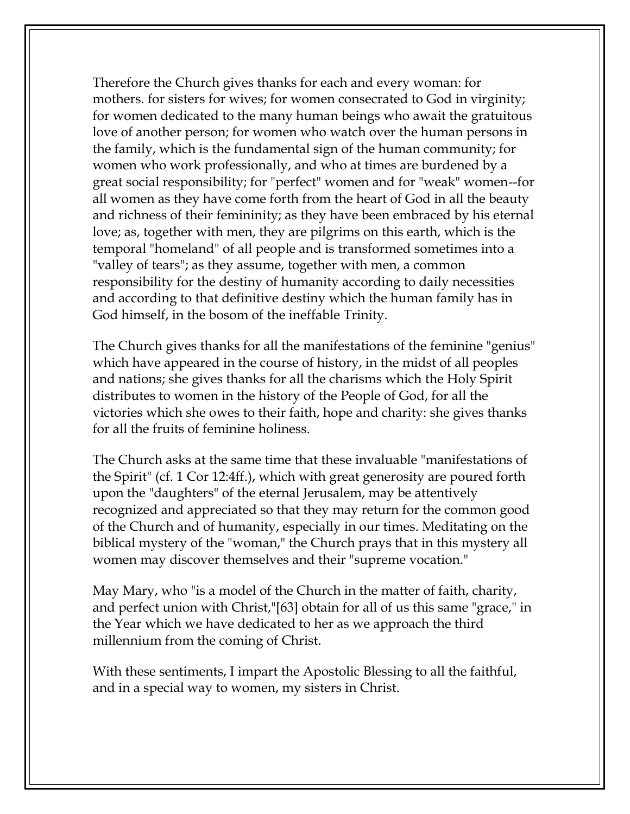Therefore the Church gives thanks for each and every woman: for mothers. for sisters for wives; for women consecrated to God in virginity; for women dedicated to the many human beings who await the gratuitous love of another person; for women who watch over the human persons in the family, which is the fundamental sign of the human community; for women who work professionally, and who at times are burdened by a great social responsibility; for "perfect" women and for "weak" women--for all women as they have come forth from the heart of God in all the beauty and richness of their femininity; as they have been embraced by his eternal love; as, together with men, they are pilgrims on this earth, which is the temporal "homeland" of all people and is transformed sometimes into a "valley of tears"; as they assume, together with men, a common responsibility for the destiny of humanity according to daily necessities and according to that definitive destiny which the human family has in God himself, in the bosom of the ineffable Trinity.

The Church gives thanks for all the manifestations of the feminine "genius" which have appeared in the course of history, in the midst of all peoples and nations; she gives thanks for all the charisms which the Holy Spirit distributes to women in the history of the People of God, for all the victories which she owes to their faith, hope and charity: she gives thanks for all the fruits of feminine holiness.

The Church asks at the same time that these invaluable "manifestations of the Spirit" (cf. 1 Cor 12:4ff.), which with great generosity are poured forth upon the "daughters" of the eternal Jerusalem, may be attentively recognized and appreciated so that they may return for the common good of the Church and of humanity, especially in our times. Meditating on the biblical mystery of the "woman," the Church prays that in this mystery all women may discover themselves and their "supreme vocation."

May Mary, who "is a model of the Church in the matter of faith, charity, and perfect union with Christ,"[63] obtain for all of us this same "grace," in the Year which we have dedicated to her as we approach the third millennium from the coming of Christ.

With these sentiments, I impart the Apostolic Blessing to all the faithful, and in a special way to women, my sisters in Christ.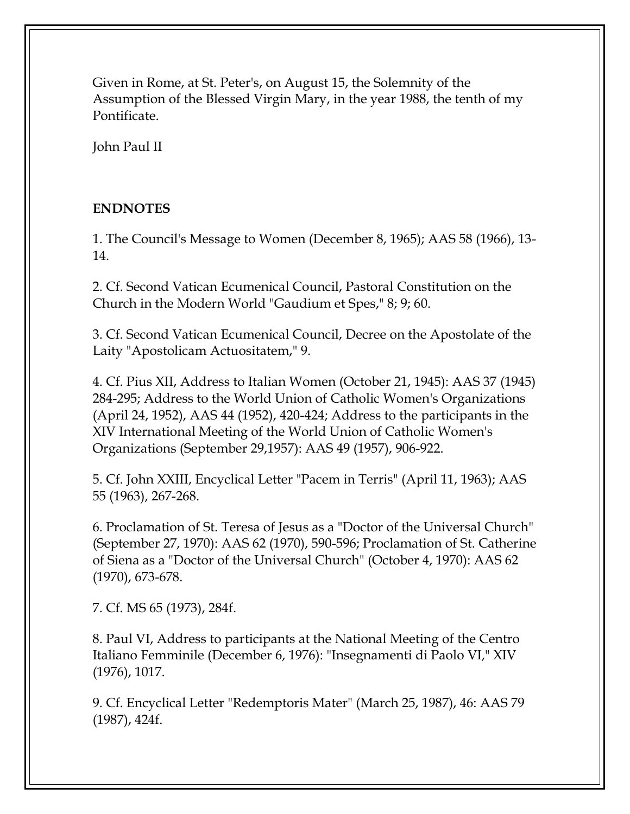Given in Rome, at St. Peter's, on August 15, the Solemnity of the Assumption of the Blessed Virgin Mary, in the year 1988, the tenth of my Pontificate.

John Paul II

## **ENDNOTES**

1. The Council's Message to Women (December 8, 1965); AAS 58 (1966), 13- 14.

2. Cf. Second Vatican Ecumenical Council, Pastoral Constitution on the Church in the Modern World "Gaudium et Spes," 8; 9; 60.

3. Cf. Second Vatican Ecumenical Council, Decree on the Apostolate of the Laity "Apostolicam Actuositatem," 9.

4. Cf. Pius XII, Address to Italian Women (October 21, 1945): AAS 37 (1945) 284-295; Address to the World Union of Catholic Women's Organizations (April 24, 1952), AAS 44 (1952), 420-424; Address to the participants in the XIV International Meeting of the World Union of Catholic Women's Organizations (September 29,1957): AAS 49 (1957), 906-922.

5. Cf. John XXIII, Encyclical Letter "Pacem in Terris" (April 11, 1963); AAS 55 (1963), 267-268.

6. Proclamation of St. Teresa of Jesus as a "Doctor of the Universal Church" (September 27, 1970): AAS 62 (1970), 590-596; Proclamation of St. Catherine of Siena as a "Doctor of the Universal Church" (October 4, 1970): AAS 62 (1970), 673-678.

7. Cf. MS 65 (1973), 284f.

8. Paul VI, Address to participants at the National Meeting of the Centro Italiano Femminile (December 6, 1976): "Insegnamenti di Paolo VI," XIV (1976), 1017.

9. Cf. Encyclical Letter "Redemptoris Mater" (March 25, 1987), 46: AAS 79 (1987), 424f.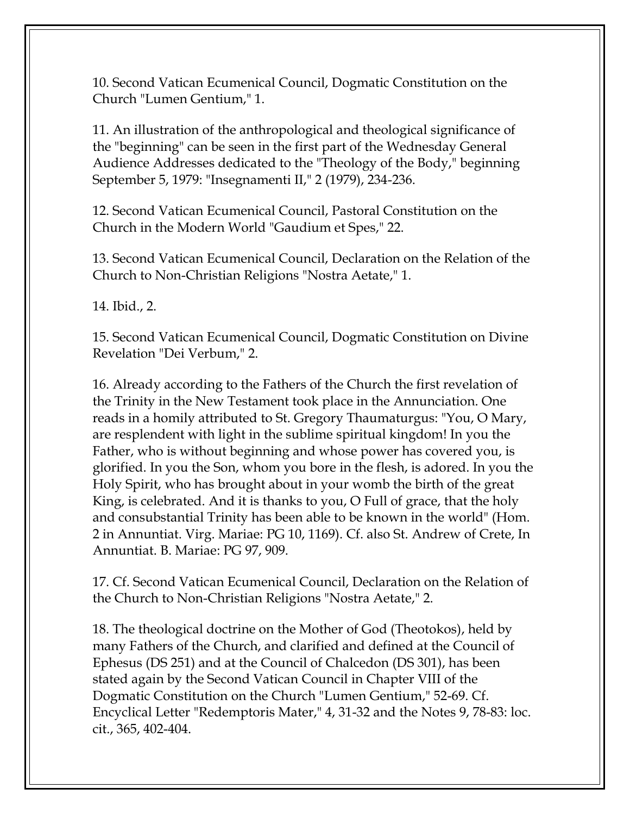10. Second Vatican Ecumenical Council, Dogmatic Constitution on the Church "Lumen Gentium," 1.

11. An illustration of the anthropological and theological significance of the "beginning" can be seen in the first part of the Wednesday General Audience Addresses dedicated to the "Theology of the Body," beginning September 5, 1979: "Insegnamenti II," 2 (1979), 234-236.

12. Second Vatican Ecumenical Council, Pastoral Constitution on the Church in the Modern World "Gaudium et Spes," 22.

13. Second Vatican Ecumenical Council, Declaration on the Relation of the Church to Non-Christian Religions "Nostra Aetate," 1.

14. Ibid., 2.

15. Second Vatican Ecumenical Council, Dogmatic Constitution on Divine Revelation "Dei Verbum," 2.

16. Already according to the Fathers of the Church the first revelation of the Trinity in the New Testament took place in the Annunciation. One reads in a homily attributed to St. Gregory Thaumaturgus: "You, O Mary, are resplendent with light in the sublime spiritual kingdom! In you the Father, who is without beginning and whose power has covered you, is glorified. In you the Son, whom you bore in the flesh, is adored. In you the Holy Spirit, who has brought about in your womb the birth of the great King, is celebrated. And it is thanks to you, O Full of grace, that the holy and consubstantial Trinity has been able to be known in the world" (Hom. 2 in Annuntiat. Virg. Mariae: PG 10, 1169). Cf. also St. Andrew of Crete, In Annuntiat. B. Mariae: PG 97, 909.

17. Cf. Second Vatican Ecumenical Council, Declaration on the Relation of the Church to Non-Christian Religions "Nostra Aetate," 2.

18. The theological doctrine on the Mother of God (Theotokos), held by many Fathers of the Church, and clarified and defined at the Council of Ephesus (DS 251) and at the Council of Chalcedon (DS 301), has been stated again by the Second Vatican Council in Chapter VIII of the Dogmatic Constitution on the Church "Lumen Gentium," 52-69. Cf. Encyclical Letter "Redemptoris Mater," 4, 31-32 and the Notes 9, 78-83: loc. cit., 365, 402-404.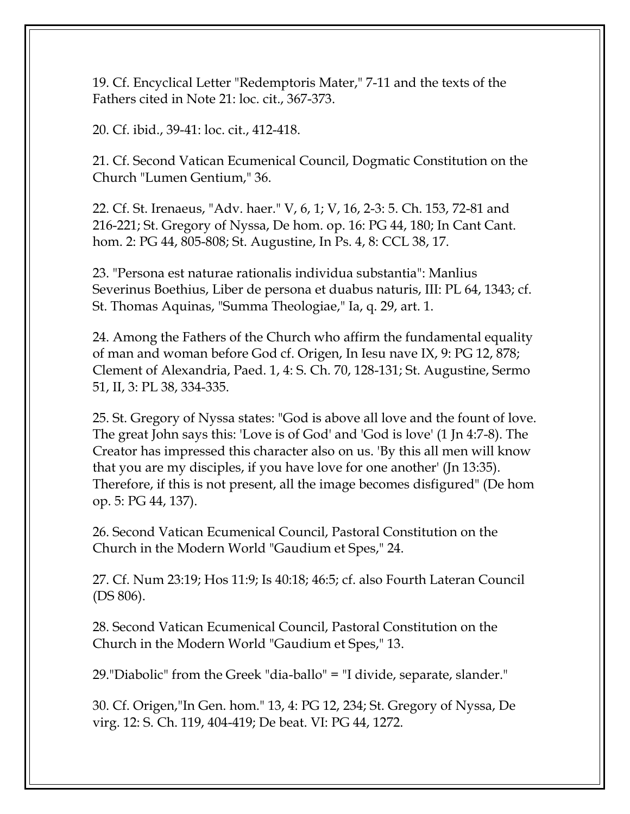19. Cf. Encyclical Letter "Redemptoris Mater," 7-11 and the texts of the Fathers cited in Note 21: loc. cit., 367-373.

20. Cf. ibid., 39-41: loc. cit., 412-418.

21. Cf. Second Vatican Ecumenical Council, Dogmatic Constitution on the Church "Lumen Gentium," 36.

22. Cf. St. Irenaeus, "Adv. haer." V, 6, 1; V, 16, 2-3: 5. Ch. 153, 72-81 and 216-221; St. Gregory of Nyssa, De hom. op. 16: PG 44, 180; In Cant Cant. hom. 2: PG 44, 805-808; St. Augustine, In Ps. 4, 8: CCL 38, 17.

23. "Persona est naturae rationalis individua substantia": Manlius Severinus Boethius, Liber de persona et duabus naturis, III: PL 64, 1343; cf. St. Thomas Aquinas, "Summa Theologiae," Ia, q. 29, art. 1.

24. Among the Fathers of the Church who affirm the fundamental equality of man and woman before God cf. Origen, In Iesu nave IX, 9: PG 12, 878; Clement of Alexandria, Paed. 1, 4: S. Ch. 70, 128-131; St. Augustine, Sermo 51, II, 3: PL 38, 334-335.

25. St. Gregory of Nyssa states: "God is above all love and the fount of love. The great John says this: 'Love is of God' and 'God is love' (1 Jn 4:7-8). The Creator has impressed this character also on us. 'By this all men will know that you are my disciples, if you have love for one another' (Jn 13:35). Therefore, if this is not present, all the image becomes disfigured" (De hom op. 5: PG 44, 137).

26. Second Vatican Ecumenical Council, Pastoral Constitution on the Church in the Modern World "Gaudium et Spes," 24.

27. Cf. Num 23:19; Hos 11:9; Is 40:18; 46:5; cf. also Fourth Lateran Council (DS 806).

28. Second Vatican Ecumenical Council, Pastoral Constitution on the Church in the Modern World "Gaudium et Spes," 13.

29."Diabolic" from the Greek "dia-ballo" = "I divide, separate, slander."

30. Cf. Origen,"In Gen. hom." 13, 4: PG 12, 234; St. Gregory of Nyssa, De virg. 12: S. Ch. 119, 404-419; De beat. VI: PG 44, 1272.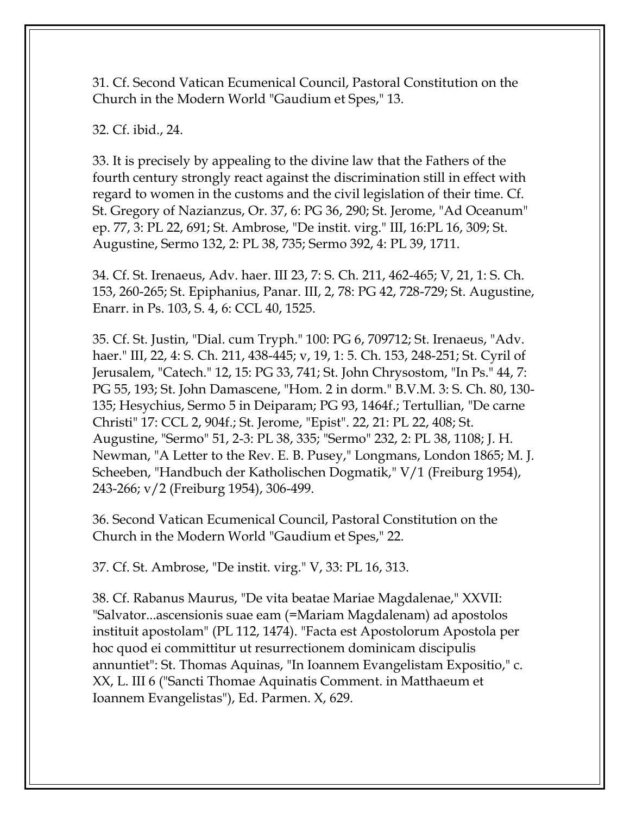31. Cf. Second Vatican Ecumenical Council, Pastoral Constitution on the Church in the Modern World "Gaudium et Spes," 13.

32. Cf. ibid., 24.

33. It is precisely by appealing to the divine law that the Fathers of the fourth century strongly react against the discrimination still in effect with regard to women in the customs and the civil legislation of their time. Cf. St. Gregory of Nazianzus, Or. 37, 6: PG 36, 290; St. Jerome, "Ad Oceanum" ep. 77, 3: PL 22, 691; St. Ambrose, "De instit. virg." III, 16:PL 16, 309; St. Augustine, Sermo 132, 2: PL 38, 735; Sermo 392, 4: PL 39, 1711.

34. Cf. St. Irenaeus, Adv. haer. III 23, 7: S. Ch. 211, 462-465; V, 21, 1: S. Ch. 153, 260-265; St. Epiphanius, Panar. III, 2, 78: PG 42, 728-729; St. Augustine, Enarr. in Ps. 103, S. 4, 6: CCL 40, 1525.

35. Cf. St. Justin, "Dial. cum Tryph." 100: PG 6, 709712; St. Irenaeus, "Adv. haer." III, 22, 4: S. Ch. 211, 438-445; v, 19, 1: 5. Ch. 153, 248-251; St. Cyril of Jerusalem, "Catech." 12, 15: PG 33, 741; St. John Chrysostom, "In Ps." 44, 7: PG 55, 193; St. John Damascene, "Hom. 2 in dorm." B.V.M. 3: S. Ch. 80, 130- 135; Hesychius, Sermo 5 in Deiparam; PG 93, 1464f.; Tertullian, "De carne Christi" 17: CCL 2, 904f.; St. Jerome, "Epist". 22, 21: PL 22, 408; St. Augustine, "Sermo" 51, 2-3: PL 38, 335; "Sermo" 232, 2: PL 38, 1108; J. H. Newman, "A Letter to the Rev. E. B. Pusey," Longmans, London 1865; M. J. Scheeben, "Handbuch der Katholischen Dogmatik," V/1 (Freiburg 1954), 243-266; v/2 (Freiburg 1954), 306-499.

36. Second Vatican Ecumenical Council, Pastoral Constitution on the Church in the Modern World "Gaudium et Spes," 22.

37. Cf. St. Ambrose, "De instit. virg." V, 33: PL 16, 313.

38. Cf. Rabanus Maurus, "De vita beatae Mariae Magdalenae," XXVII: "Salvator...ascensionis suae eam (=Mariam Magdalenam) ad apostolos instituit apostolam" (PL 112, 1474). "Facta est Apostolorum Apostola per hoc quod ei committitur ut resurrectionem dominicam discipulis annuntiet": St. Thomas Aquinas, "In Ioannem Evangelistam Expositio," c. XX, L. III 6 ("Sancti Thomae Aquinatis Comment. in Matthaeum et Ioannem Evangelistas"), Ed. Parmen. X, 629.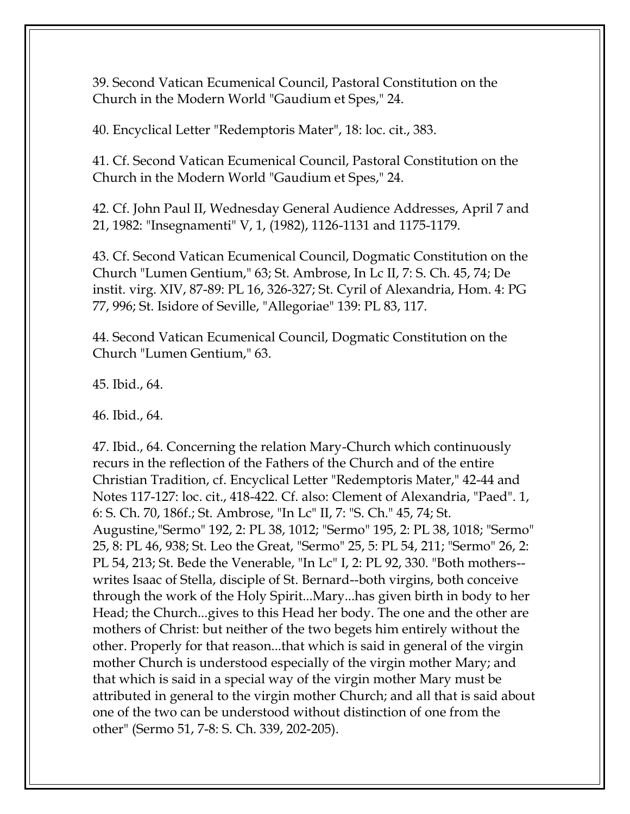39. Second Vatican Ecumenical Council, Pastoral Constitution on the Church in the Modern World "Gaudium et Spes," 24.

40. Encyclical Letter "Redemptoris Mater", 18: loc. cit., 383.

41. Cf. Second Vatican Ecumenical Council, Pastoral Constitution on the Church in the Modern World "Gaudium et Spes," 24.

42. Cf. John Paul II, Wednesday General Audience Addresses, April 7 and 21, 1982: "Insegnamenti" V, 1, (1982), 1126-1131 and 1175-1179.

43. Cf. Second Vatican Ecumenical Council, Dogmatic Constitution on the Church "Lumen Gentium," 63; St. Ambrose, In Lc II, 7: S. Ch. 45, 74; De instit. virg. XIV, 87-89: PL 16, 326-327; St. Cyril of Alexandria, Hom. 4: PG 77, 996; St. Isidore of Seville, "Allegoriae" 139: PL 83, 117.

44. Second Vatican Ecumenical Council, Dogmatic Constitution on the Church "Lumen Gentium," 63.

45. Ibid., 64.

46. Ibid., 64.

47. Ibid., 64. Concerning the relation Mary-Church which continuously recurs in the reflection of the Fathers of the Church and of the entire Christian Tradition, cf. Encyclical Letter "Redemptoris Mater," 42-44 and Notes 117-127: loc. cit., 418-422. Cf. also: Clement of Alexandria, "Paed". 1, 6: S. Ch. 70, 186f.; St. Ambrose, "In Lc" II, 7: "S. Ch." 45, 74; St. Augustine,"Sermo" 192, 2: PL 38, 1012; "Sermo" 195, 2: PL 38, 1018; "Sermo" 25, 8: PL 46, 938; St. Leo the Great, "Sermo" 25, 5: PL 54, 211; "Sermo" 26, 2: PL 54, 213; St. Bede the Venerable, "In Lc" I, 2: PL 92, 330. "Both mothers- writes Isaac of Stella, disciple of St. Bernard--both virgins, both conceive through the work of the Holy Spirit...Mary...has given birth in body to her Head; the Church...gives to this Head her body. The one and the other are mothers of Christ: but neither of the two begets him entirely without the other. Properly for that reason...that which is said in general of the virgin mother Church is understood especially of the virgin mother Mary; and that which is said in a special way of the virgin mother Mary must be attributed in general to the virgin mother Church; and all that is said about one of the two can be understood without distinction of one from the other" (Sermo 51, 7-8: S. Ch. 339, 202-205).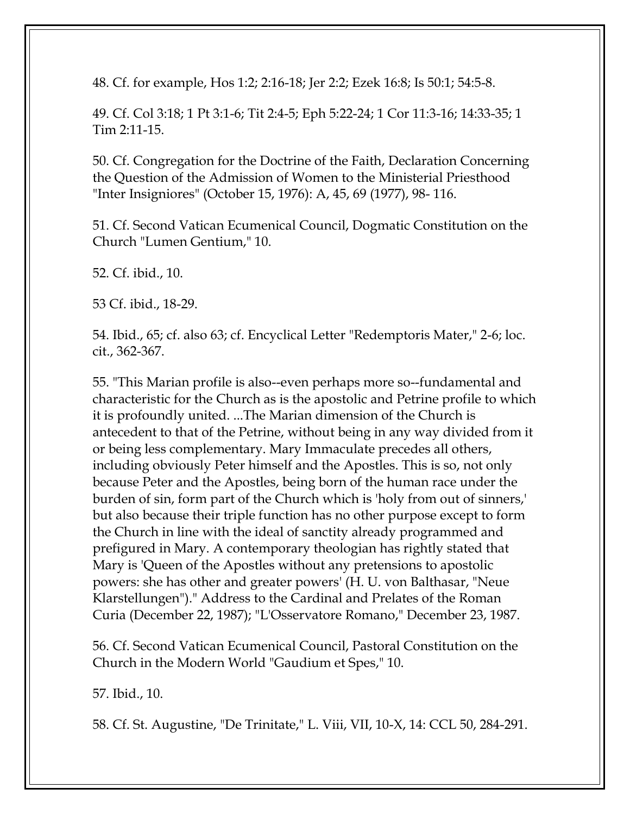48. Cf. for example, Hos 1:2; 2:16-18; Jer 2:2; Ezek 16:8; Is 50:1; 54:5-8.

49. Cf. Col 3:18; 1 Pt 3:1-6; Tit 2:4-5; Eph 5:22-24; 1 Cor 11:3-16; 14:33-35; 1 Tim 2:11-15.

50. Cf. Congregation for the Doctrine of the Faith, Declaration Concerning the Question of the Admission of Women to the Ministerial Priesthood "Inter Insigniores" (October 15, 1976): A, 45, 69 (1977), 98- 116.

51. Cf. Second Vatican Ecumenical Council, Dogmatic Constitution on the Church "Lumen Gentium," 10.

52. Cf. ibid., 10.

53 Cf. ibid., 18-29.

54. Ibid., 65; cf. also 63; cf. Encyclical Letter "Redemptoris Mater," 2-6; loc. cit., 362-367.

55. "This Marian profile is also--even perhaps more so--fundamental and characteristic for the Church as is the apostolic and Petrine profile to which it is profoundly united. ...The Marian dimension of the Church is antecedent to that of the Petrine, without being in any way divided from it or being less complementary. Mary Immaculate precedes all others, including obviously Peter himself and the Apostles. This is so, not only because Peter and the Apostles, being born of the human race under the burden of sin, form part of the Church which is 'holy from out of sinners,' but also because their triple function has no other purpose except to form the Church in line with the ideal of sanctity already programmed and prefigured in Mary. A contemporary theologian has rightly stated that Mary is 'Queen of the Apostles without any pretensions to apostolic powers: she has other and greater powers' (H. U. von Balthasar, "Neue Klarstellungen")." Address to the Cardinal and Prelates of the Roman Curia (December 22, 1987); "L'Osservatore Romano," December 23, 1987.

56. Cf. Second Vatican Ecumenical Council, Pastoral Constitution on the Church in the Modern World "Gaudium et Spes," 10.

57. Ibid., 10.

58. Cf. St. Augustine, "De Trinitate," L. Viii, VII, 10-X, 14: CCL 50, 284-291.